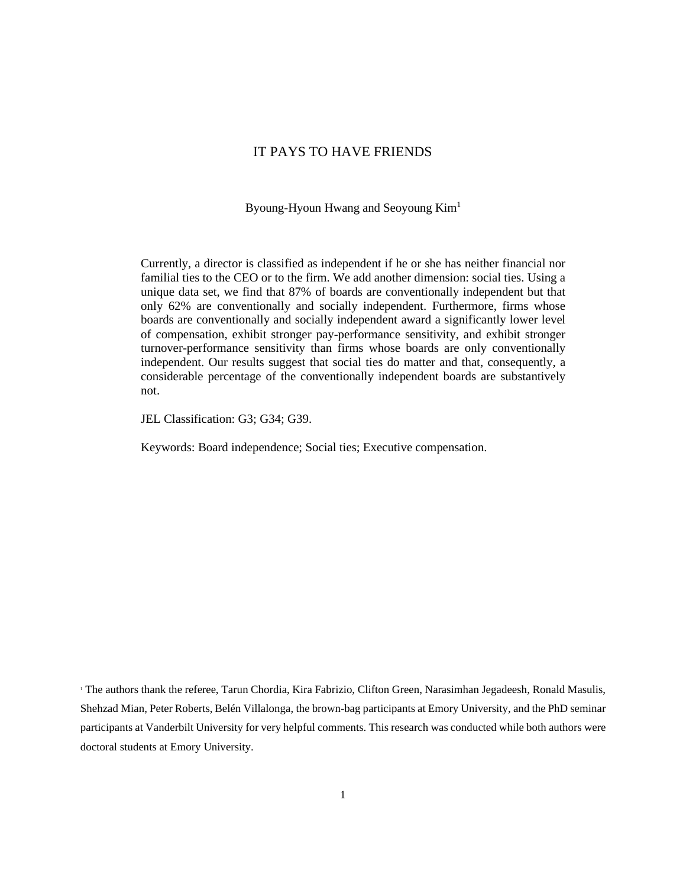## IT PAYS TO HAVE FRIENDS

Byoung-Hyoun Hwang and Seoyoung Kim<sup>1</sup>

Currently, a director is classified as independent if he or she has neither financial nor familial ties to the CEO or to the firm. We add another dimension: social ties. Using a unique data set, we find that 87% of boards are conventionally independent but that only 62% are conventionally and socially independent. Furthermore, firms whose boards are conventionally and socially independent award a significantly lower level of compensation, exhibit stronger pay-performance sensitivity, and exhibit stronger turnover-performance sensitivity than firms whose boards are only conventionally independent. Our results suggest that social ties do matter and that, consequently, a considerable percentage of the conventionally independent boards are substantively not.

JEL Classification: G3; G34; G39.

Keywords: Board independence; Social ties; Executive compensation.

The authors thank the referee, Tarun Chordia, Kira Fabrizio, Clifton Green, Narasimhan Jegadeesh, Ronald Masulis, Shehzad Mian, Peter Roberts, Belén Villalonga, the brown-bag participants at Emory University, and the PhD seminar participants at Vanderbilt University for very helpful comments. This research was conducted while both authors were doctoral students at Emory University.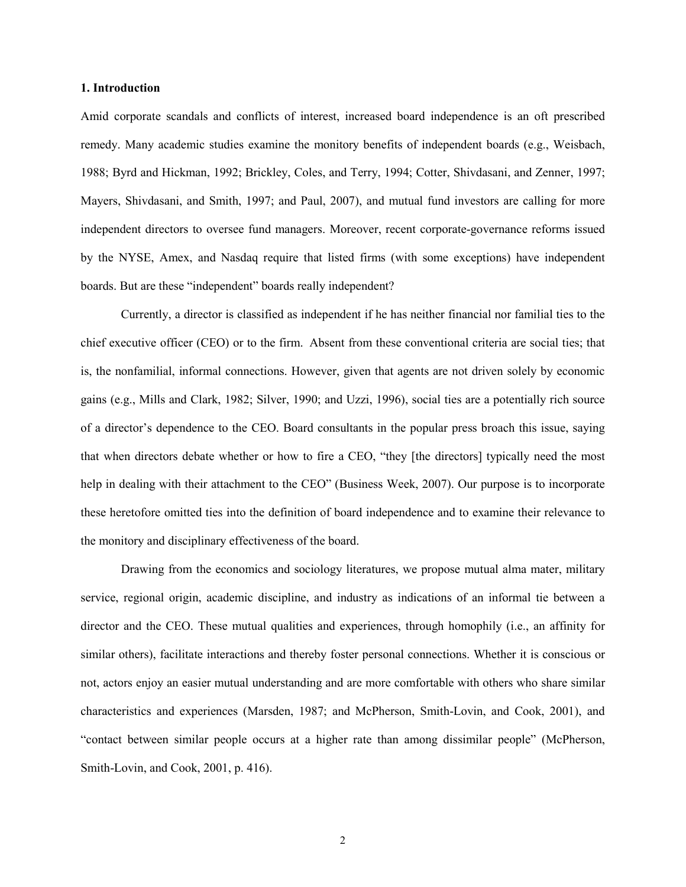#### **1. Introduction**

Amid corporate scandals and conflicts of interest, increased board independence is an oft prescribed remedy. Many academic studies examine the monitory benefits of independent boards (e.g., Weisbach, 1988; Byrd and Hickman, 1992; Brickley, Coles, and Terry, 1994; Cotter, Shivdasani, and Zenner, 1997; Mayers, Shivdasani, and Smith, 1997; and Paul, 2007), and mutual fund investors are calling for more independent directors to oversee fund managers. Moreover, recent corporate-governance reforms issued by the NYSE, Amex, and Nasdaq require that listed firms (with some exceptions) have independent boards. But are these "independent" boards really independent?

Currently, a director is classified as independent if he has neither financial nor familial ties to the chief executive officer (CEO) or to the firm. Absent from these conventional criteria are social ties; that is, the nonfamilial, informal connections. However, given that agents are not driven solely by economic gains (e.g., Mills and Clark, 1982; Silver, 1990; and Uzzi, 1996), social ties are a potentially rich source of a director's dependence to the CEO. Board consultants in the popular press broach this issue, saying that when directors debate whether or how to fire a CEO, "they [the directors] typically need the most help in dealing with their attachment to the CEO" (Business Week, 2007). Our purpose is to incorporate these heretofore omitted ties into the definition of board independence and to examine their relevance to the monitory and disciplinary effectiveness of the board.

Drawing from the economics and sociology literatures, we propose mutual alma mater, military service, regional origin, academic discipline, and industry as indications of an informal tie between a director and the CEO. These mutual qualities and experiences, through homophily (i.e., an affinity for similar others), facilitate interactions and thereby foster personal connections. Whether it is conscious or not, actors enjoy an easier mutual understanding and are more comfortable with others who share similar characteristics and experiences (Marsden, 1987; and McPherson, Smith-Lovin, and Cook, 2001), and "contact between similar people occurs at a higher rate than among dissimilar people" (McPherson, Smith-Lovin, and Cook, 2001, p. 416).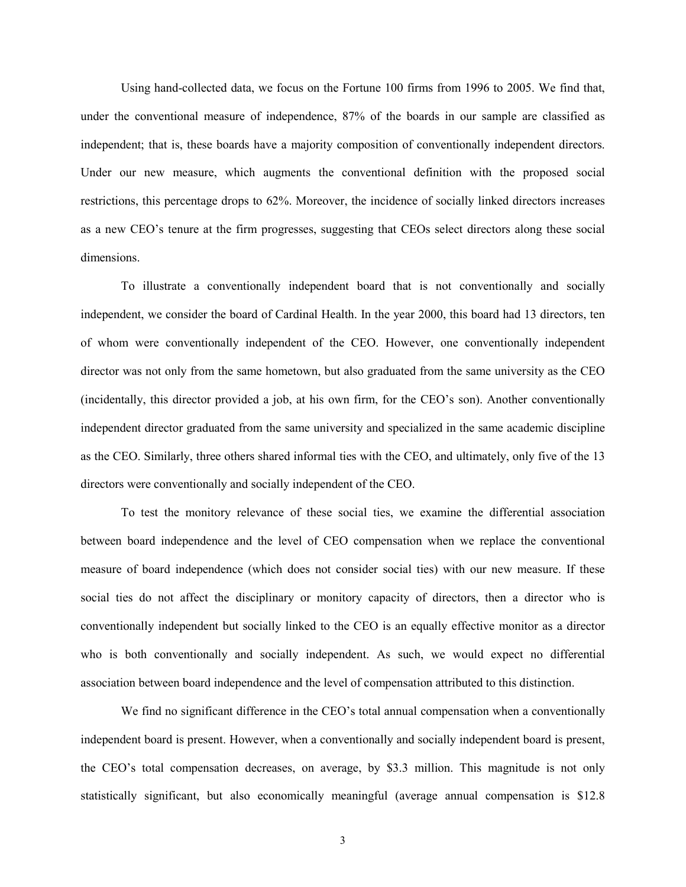Using hand-collected data, we focus on the Fortune 100 firms from 1996 to 2005. We find that, under the conventional measure of independence, 87% of the boards in our sample are classified as independent; that is, these boards have a majority composition of conventionally independent directors. Under our new measure, which augments the conventional definition with the proposed social restrictions, this percentage drops to 62%. Moreover, the incidence of socially linked directors increases as a new CEO's tenure at the firm progresses, suggesting that CEOs select directors along these social dimensions.

To illustrate a conventionally independent board that is not conventionally and socially independent, we consider the board of Cardinal Health. In the year 2000, this board had 13 directors, ten of whom were conventionally independent of the CEO. However, one conventionally independent director was not only from the same hometown, but also graduated from the same university as the CEO (incidentally, this director provided a job, at his own firm, for the CEO's son). Another conventionally independent director graduated from the same university and specialized in the same academic discipline as the CEO. Similarly, three others shared informal ties with the CEO, and ultimately, only five of the 13 directors were conventionally and socially independent of the CEO.

To test the monitory relevance of these social ties, we examine the differential association between board independence and the level of CEO compensation when we replace the conventional measure of board independence (which does not consider social ties) with our new measure. If these social ties do not affect the disciplinary or monitory capacity of directors, then a director who is conventionally independent but socially linked to the CEO is an equally effective monitor as a director who is both conventionally and socially independent. As such, we would expect no differential association between board independence and the level of compensation attributed to this distinction.

We find no significant difference in the CEO's total annual compensation when a conventionally independent board is present. However, when a conventionally and socially independent board is present, the CEO's total compensation decreases, on average, by \$3.3 million. This magnitude is not only statistically significant, but also economically meaningful (average annual compensation is \$12.8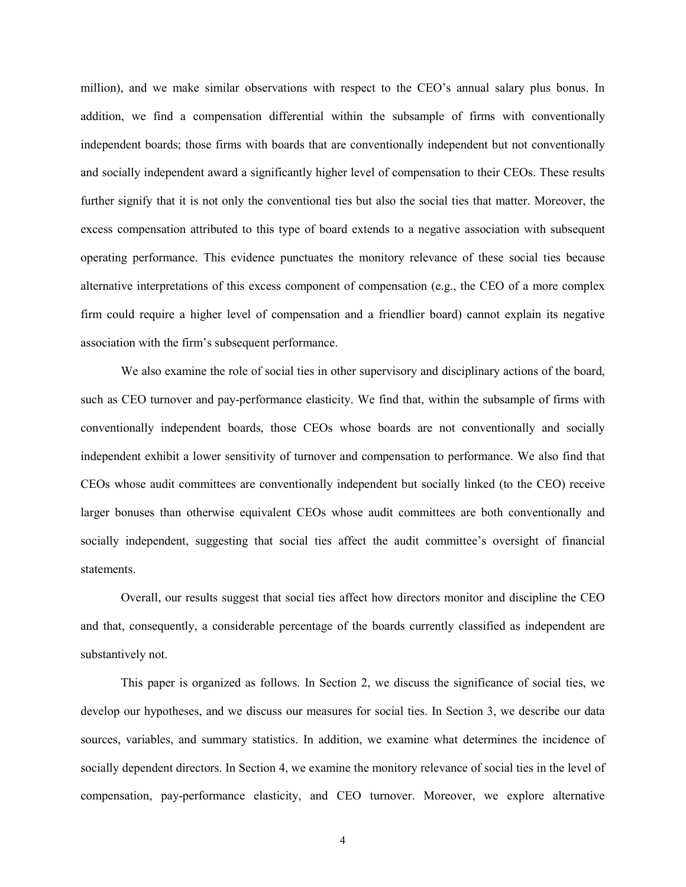million), and we make similar observations with respect to the CEO's annual salary plus bonus. In addition, we find a compensation differential within the subsample of firms with conventionally independent boards; those firms with boards that are conventionally independent but not conventionally and socially independent award a significantly higher level of compensation to their CEOs. These results further signify that it is not only the conventional ties but also the social ties that matter. Moreover, the excess compensation attributed to this type of board extends to a negative association with subsequent operating performance. This evidence punctuates the monitory relevance of these social ties because alternative interpretations of this excess component of compensation (e.g., the CEO of a more complex firm could require a higher level of compensation and a friendlier board) cannot explain its negative association with the firm's subsequent performance.

We also examine the role of social ties in other supervisory and disciplinary actions of the board, such as CEO turnover and pay-performance elasticity. We find that, within the subsample of firms with conventionally independent boards, those CEOs whose boards are not conventionally and socially independent exhibit a lower sensitivity of turnover and compensation to performance. We also find that CEOs whose audit committees are conventionally independent but socially linked (to the CEO) receive larger bonuses than otherwise equivalent CEOs whose audit committees are both conventionally and socially independent, suggesting that social ties affect the audit committee's oversight of financial statements.

Overall, our results suggest that social ties affect how directors monitor and discipline the CEO and that, consequently, a considerable percentage of the boards currently classified as independent are substantively not.

This paper is organized as follows. In Section 2, we discuss the significance of social ties, we develop our hypotheses, and we discuss our measures for social ties. In Section 3, we describe our data sources, variables, and summary statistics. In addition, we examine what determines the incidence of socially dependent directors. In Section 4, we examine the monitory relevance of social ties in the level of compensation, pay-performance elasticity, and CEO turnover. Moreover, we explore alternative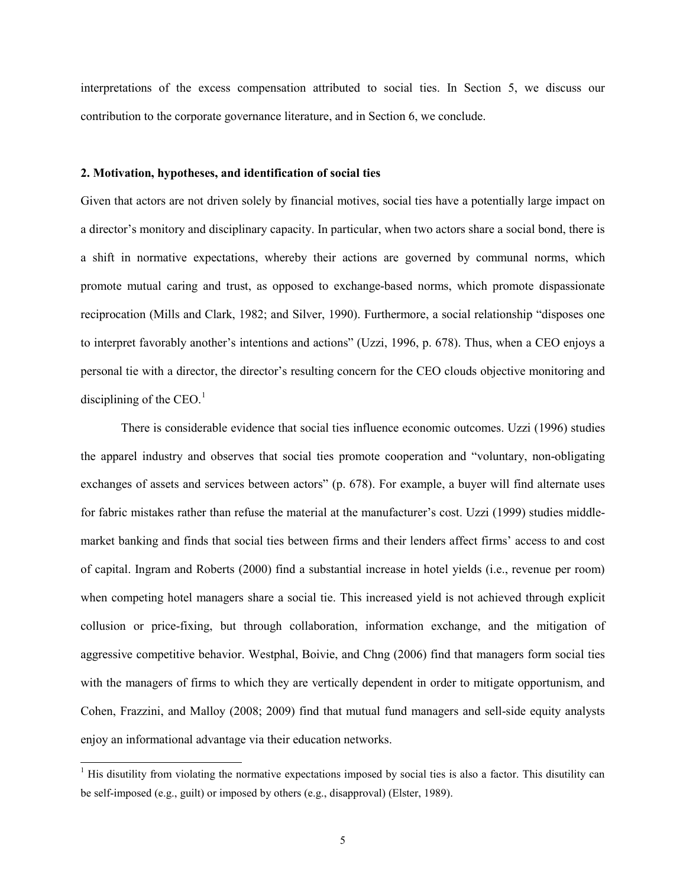interpretations of the excess compensation attributed to social ties. In Section 5, we discuss our contribution to the corporate governance literature, and in Section 6, we conclude.

## **2. Motivation, hypotheses, and identification of social ties**

Given that actors are not driven solely by financial motives, social ties have a potentially large impact on a director's monitory and disciplinary capacity. In particular, when two actors share a social bond, there is a shift in normative expectations, whereby their actions are governed by communal norms, which promote mutual caring and trust, as opposed to exchange-based norms, which promote dispassionate reciprocation (Mills and Clark, 1982; and Silver, 1990). Furthermore, a social relationship "disposes one to interpret favorably another's intentions and actions" (Uzzi, 1996, p. 678). Thus, when a CEO enjoys a personal tie with a director, the director's resulting concern for the CEO clouds objective monitoring and disciplining of the CEO. $<sup>1</sup>$ </sup>

There is considerable evidence that social ties influence economic outcomes. Uzzi (1996) studies the apparel industry and observes that social ties promote cooperation and "voluntary, non-obligating exchanges of assets and services between actors" (p. 678). For example, a buyer will find alternate uses for fabric mistakes rather than refuse the material at the manufacturer's cost. Uzzi (1999) studies middlemarket banking and finds that social ties between firms and their lenders affect firms' access to and cost of capital. Ingram and Roberts (2000) find a substantial increase in hotel yields (i.e., revenue per room) when competing hotel managers share a social tie. This increased yield is not achieved through explicit collusion or price-fixing, but through collaboration, information exchange, and the mitigation of aggressive competitive behavior. Westphal, Boivie, and Chng (2006) find that managers form social ties with the managers of firms to which they are vertically dependent in order to mitigate opportunism, and Cohen, Frazzini, and Malloy (2008; 2009) find that mutual fund managers and sell-side equity analysts enjoy an informational advantage via their education networks.

 $<sup>1</sup>$  His disutility from violating the normative expectations imposed by social ties is also a factor. This disutility can</sup> be self-imposed (e.g., guilt) or imposed by others (e.g., disapproval) (Elster, 1989).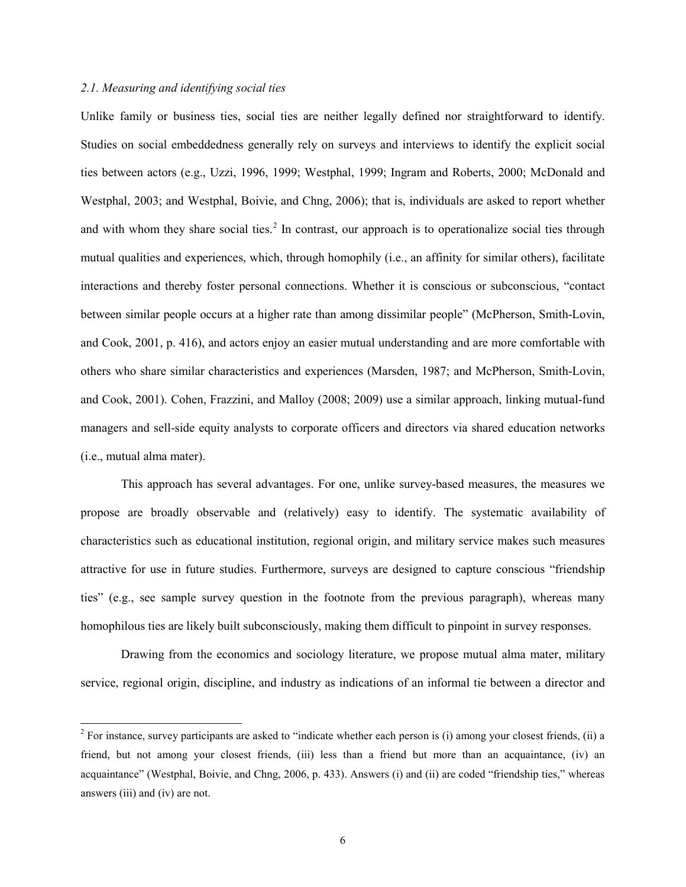## *2.1. Measuring and identifying social ties*

Unlike family or business ties, social ties are neither legally defined nor straightforward to identify. Studies on social embeddedness generally rely on surveys and interviews to identify the explicit social ties between actors (e.g., Uzzi, 1996, 1999; Westphal, 1999; Ingram and Roberts, 2000; McDonald and Westphal, 2003; and Westphal, Boivie, and Chng, 2006); that is, individuals are asked to report whether and with whom they share social ties.<sup>2</sup> In contrast, our approach is to operationalize social ties through mutual qualities and experiences, which, through homophily (i.e., an affinity for similar others), facilitate interactions and thereby foster personal connections. Whether it is conscious or subconscious, "contact between similar people occurs at a higher rate than among dissimilar people" (McPherson, Smith-Lovin, and Cook, 2001, p. 416), and actors enjoy an easier mutual understanding and are more comfortable with others who share similar characteristics and experiences (Marsden, 1987; and McPherson, Smith-Lovin, and Cook, 2001). Cohen, Frazzini, and Malloy (2008; 2009) use a similar approach, linking mutual-fund managers and sell-side equity analysts to corporate officers and directors via shared education networks (i.e., mutual alma mater).

This approach has several advantages. For one, unlike survey-based measures, the measures we propose are broadly observable and (relatively) easy to identify. The systematic availability of characteristics such as educational institution, regional origin, and military service makes such measures attractive for use in future studies. Furthermore, surveys are designed to capture conscious "friendship ties" (e.g., see sample survey question in the footnote from the previous paragraph), whereas many homophilous ties are likely built subconsciously, making them difficult to pinpoint in survey responses.

Drawing from the economics and sociology literature, we propose mutual alma mater, military service, regional origin, discipline, and industry as indications of an informal tie between a director and

 $2$  For instance, survey participants are asked to "indicate whether each person is (i) among your closest friends, (ii) a friend, but not among your closest friends, (iii) less than a friend but more than an acquaintance, (iv) an acquaintance" (Westphal, Boivie, and Chng, 2006, p. 433). Answers (i) and (ii) are coded "friendship ties," whereas answers (iii) and (iv) are not.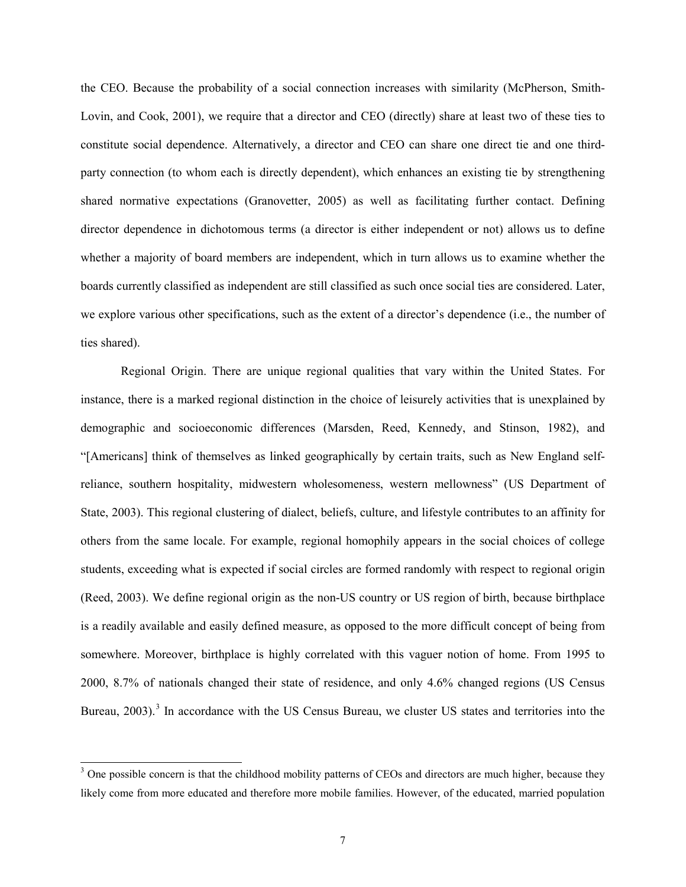the CEO. Because the probability of a social connection increases with similarity (McPherson, Smith-Lovin, and Cook, 2001), we require that a director and CEO (directly) share at least two of these ties to constitute social dependence. Alternatively, a director and CEO can share one direct tie and one thirdparty connection (to whom each is directly dependent), which enhances an existing tie by strengthening shared normative expectations (Granovetter, 2005) as well as facilitating further contact. Defining director dependence in dichotomous terms (a director is either independent or not) allows us to define whether a majority of board members are independent, which in turn allows us to examine whether the boards currently classified as independent are still classified as such once social ties are considered. Later, we explore various other specifications, such as the extent of a director's dependence (i.e., the number of ties shared).

Regional Origin. There are unique regional qualities that vary within the United States. For instance, there is a marked regional distinction in the choice of leisurely activities that is unexplained by demographic and socioeconomic differences (Marsden, Reed, Kennedy, and Stinson, 1982), and "[Americans] think of themselves as linked geographically by certain traits, such as New England selfreliance, southern hospitality, midwestern wholesomeness, western mellowness" (US Department of State, 2003). This regional clustering of dialect, beliefs, culture, and lifestyle contributes to an affinity for others from the same locale. For example, regional homophily appears in the social choices of college students, exceeding what is expected if social circles are formed randomly with respect to regional origin (Reed, 2003). We define regional origin as the non-US country or US region of birth, because birthplace is a readily available and easily defined measure, as opposed to the more difficult concept of being from somewhere. Moreover, birthplace is highly correlated with this vaguer notion of home. From 1995 to 2000, 8.7% of nationals changed their state of residence, and only 4.6% changed regions (US Census Bureau, 2003).<sup>3</sup> In accordance with the US Census Bureau, we cluster US states and territories into the

<sup>&</sup>lt;sup>3</sup> One possible concern is that the childhood mobility patterns of CEOs and directors are much higher, because they likely come from more educated and therefore more mobile families. However, of the educated, married population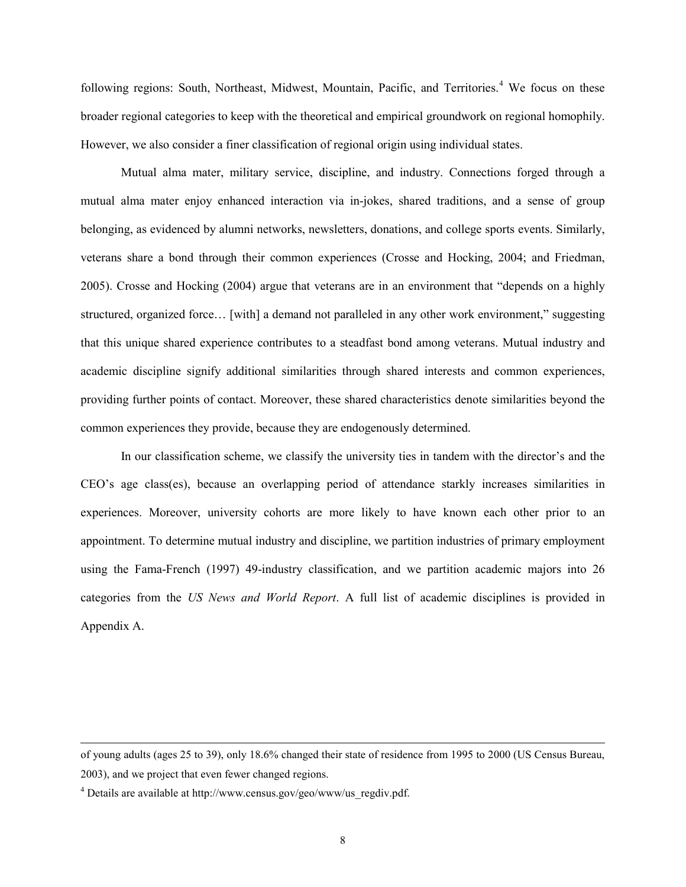following regions: South, Northeast, Midwest, Mountain, Pacific, and Territories.<sup>4</sup> We focus on these broader regional categories to keep with the theoretical and empirical groundwork on regional homophily. However, we also consider a finer classification of regional origin using individual states.

Mutual alma mater, military service, discipline, and industry. Connections forged through a mutual alma mater enjoy enhanced interaction via in-jokes, shared traditions, and a sense of group belonging, as evidenced by alumni networks, newsletters, donations, and college sports events. Similarly, veterans share a bond through their common experiences (Crosse and Hocking, 2004; and Friedman, 2005). Crosse and Hocking (2004) argue that veterans are in an environment that "depends on a highly structured, organized force… [with] a demand not paralleled in any other work environment," suggesting that this unique shared experience contributes to a steadfast bond among veterans. Mutual industry and academic discipline signify additional similarities through shared interests and common experiences, providing further points of contact. Moreover, these shared characteristics denote similarities beyond the common experiences they provide, because they are endogenously determined.

In our classification scheme, we classify the university ties in tandem with the director's and the CEO's age class(es), because an overlapping period of attendance starkly increases similarities in experiences. Moreover, university cohorts are more likely to have known each other prior to an appointment. To determine mutual industry and discipline, we partition industries of primary employment using the Fama-French (1997) 49-industry classification, and we partition academic majors into 26 categories from the *US News and World Report*. A full list of academic disciplines is provided in Appendix A.

 $\overline{a}$ 

of young adults (ages 25 to 39), only 18.6% changed their state of residence from 1995 to 2000 (US Census Bureau, 2003), and we project that even fewer changed regions.

<sup>&</sup>lt;sup>4</sup> Details are available at http://www.census.gov/geo/www/us\_regdiv.pdf.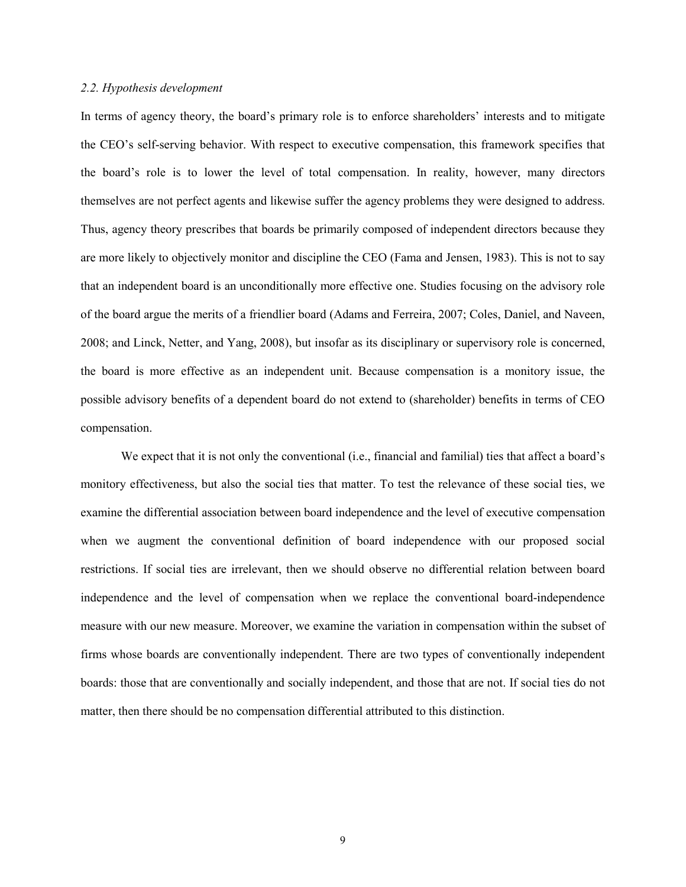### *2.2. Hypothesis development*

In terms of agency theory, the board's primary role is to enforce shareholders' interests and to mitigate the CEO's self-serving behavior. With respect to executive compensation, this framework specifies that the board's role is to lower the level of total compensation. In reality, however, many directors themselves are not perfect agents and likewise suffer the agency problems they were designed to address. Thus, agency theory prescribes that boards be primarily composed of independent directors because they are more likely to objectively monitor and discipline the CEO (Fama and Jensen, 1983). This is not to say that an independent board is an unconditionally more effective one. Studies focusing on the advisory role of the board argue the merits of a friendlier board (Adams and Ferreira, 2007; Coles, Daniel, and Naveen, 2008; and Linck, Netter, and Yang, 2008), but insofar as its disciplinary or supervisory role is concerned, the board is more effective as an independent unit. Because compensation is a monitory issue, the possible advisory benefits of a dependent board do not extend to (shareholder) benefits in terms of CEO compensation.

We expect that it is not only the conventional (i.e., financial and familial) ties that affect a board's monitory effectiveness, but also the social ties that matter. To test the relevance of these social ties, we examine the differential association between board independence and the level of executive compensation when we augment the conventional definition of board independence with our proposed social restrictions. If social ties are irrelevant, then we should observe no differential relation between board independence and the level of compensation when we replace the conventional board-independence measure with our new measure. Moreover, we examine the variation in compensation within the subset of firms whose boards are conventionally independent. There are two types of conventionally independent boards: those that are conventionally and socially independent, and those that are not. If social ties do not matter, then there should be no compensation differential attributed to this distinction.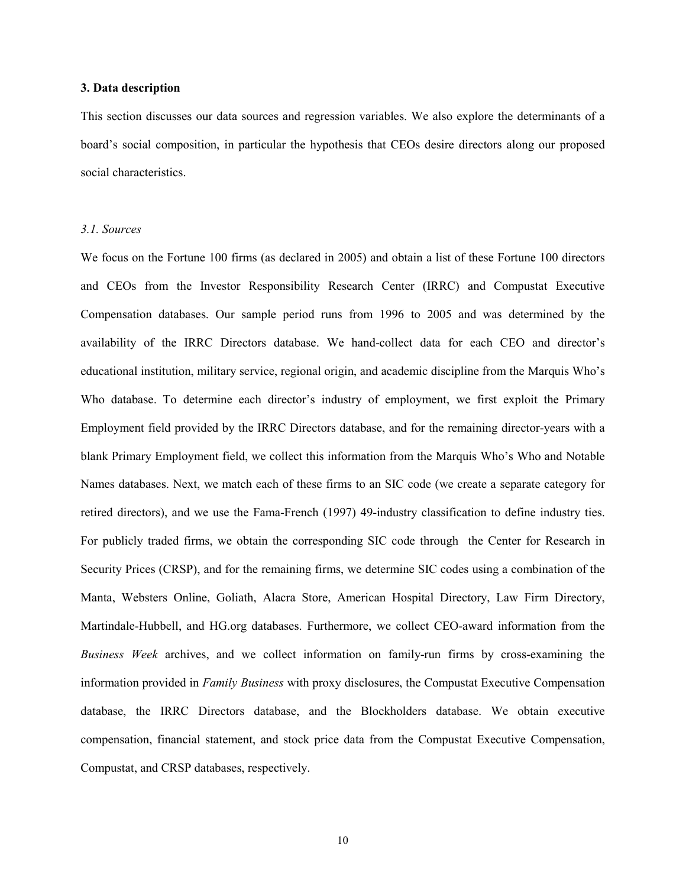#### **3. Data description**

This section discusses our data sources and regression variables. We also explore the determinants of a board's social composition, in particular the hypothesis that CEOs desire directors along our proposed social characteristics.

### *3.1. Sources*

We focus on the Fortune 100 firms (as declared in 2005) and obtain a list of these Fortune 100 directors and CEOs from the Investor Responsibility Research Center (IRRC) and Compustat Executive Compensation databases. Our sample period runs from 1996 to 2005 and was determined by the availability of the IRRC Directors database. We hand-collect data for each CEO and director's educational institution, military service, regional origin, and academic discipline from the Marquis Who's Who database. To determine each director's industry of employment, we first exploit the Primary Employment field provided by the IRRC Directors database, and for the remaining director-years with a blank Primary Employment field, we collect this information from the Marquis Who's Who and Notable Names databases. Next, we match each of these firms to an SIC code (we create a separate category for retired directors), and we use the Fama-French (1997) 49-industry classification to define industry ties. For publicly traded firms, we obtain the corresponding SIC code through the Center for Research in Security Prices (CRSP), and for the remaining firms, we determine SIC codes using a combination of the Manta, Websters Online, Goliath, Alacra Store, American Hospital Directory, Law Firm Directory, Martindale-Hubbell, and HG.org databases. Furthermore, we collect CEO-award information from the *Business Week* archives, and we collect information on family-run firms by cross-examining the information provided in *Family Business* with proxy disclosures, the Compustat Executive Compensation database, the IRRC Directors database, and the Blockholders database. We obtain executive compensation, financial statement, and stock price data from the Compustat Executive Compensation, Compustat, and CRSP databases, respectively.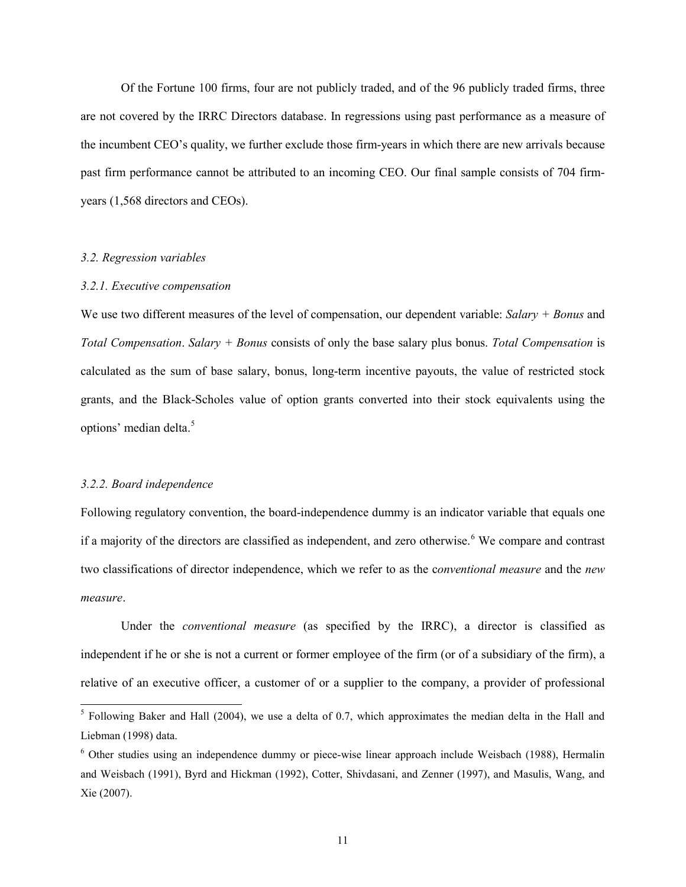Of the Fortune 100 firms, four are not publicly traded, and of the 96 publicly traded firms, three are not covered by the IRRC Directors database. In regressions using past performance as a measure of the incumbent CEO's quality, we further exclude those firm-years in which there are new arrivals because past firm performance cannot be attributed to an incoming CEO. Our final sample consists of 704 firmyears (1,568 directors and CEOs).

## *3.2. Regression variables*

## *3.2.1. Executive compensation*

We use two different measures of the level of compensation, our dependent variable: *Salary + Bonus* and *Total Compensation*. *Salary + Bonus* consists of only the base salary plus bonus. *Total Compensation* is calculated as the sum of base salary, bonus, long-term incentive payouts, the value of restricted stock grants, and the Black-Scholes value of option grants converted into their stock equivalents using the options' median delta.<sup>5</sup>

#### *3.2.2. Board independence*

Following regulatory convention, the board-independence dummy is an indicator variable that equals one if a majority of the directors are classified as independent, and zero otherwise.<sup>6</sup> We compare and contrast two classifications of director independence, which we refer to as the c*onventional measure* and the *new measure*.

Under the *conventional measure* (as specified by the IRRC), a director is classified as independent if he or she is not a current or former employee of the firm (or of a subsidiary of the firm), a relative of an executive officer, a customer of or a supplier to the company, a provider of professional

<sup>&</sup>lt;sup>5</sup> Following Baker and Hall (2004), we use a delta of 0.7, which approximates the median delta in the Hall and Liebman (1998) data.

<sup>6</sup> Other studies using an independence dummy or piece-wise linear approach include Weisbach (1988), Hermalin and Weisbach (1991), Byrd and Hickman (1992), Cotter, Shivdasani, and Zenner (1997), and Masulis, Wang, and Xie (2007).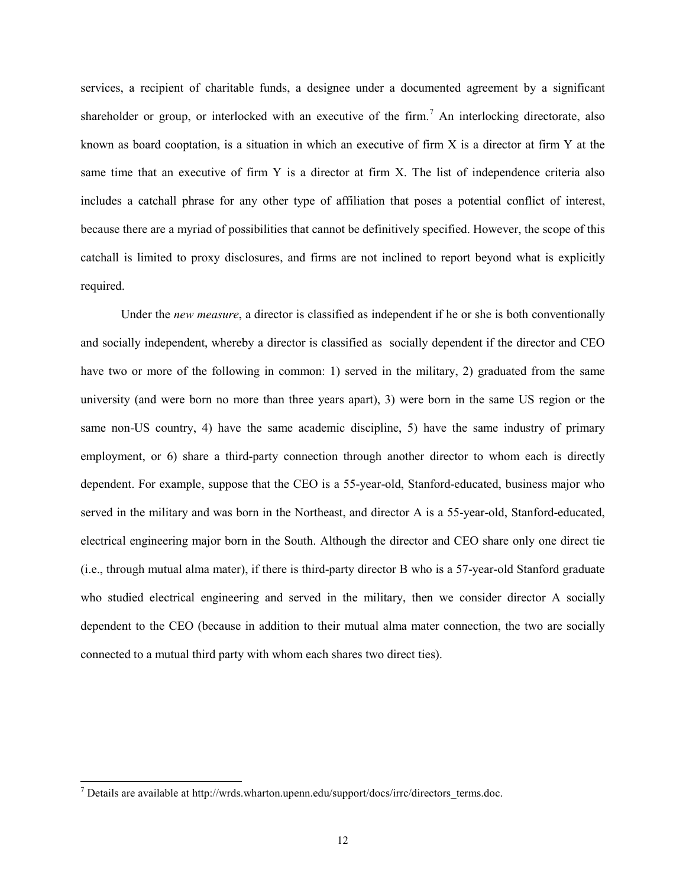services, a recipient of charitable funds, a designee under a documented agreement by a significant shareholder or group, or interlocked with an executive of the firm.<sup>7</sup> An interlocking directorate, also known as board cooptation, is a situation in which an executive of firm  $X$  is a director at firm  $Y$  at the same time that an executive of firm Y is a director at firm X. The list of independence criteria also includes a catchall phrase for any other type of affiliation that poses a potential conflict of interest, because there are a myriad of possibilities that cannot be definitively specified. However, the scope of this catchall is limited to proxy disclosures, and firms are not inclined to report beyond what is explicitly required.

Under the *new measure*, a director is classified as independent if he or she is both conventionally and socially independent, whereby a director is classified as socially dependent if the director and CEO have two or more of the following in common: 1) served in the military, 2) graduated from the same university (and were born no more than three years apart), 3) were born in the same US region or the same non-US country, 4) have the same academic discipline, 5) have the same industry of primary employment, or 6) share a third-party connection through another director to whom each is directly dependent. For example, suppose that the CEO is a 55-year-old, Stanford-educated, business major who served in the military and was born in the Northeast, and director A is a 55-year-old, Stanford-educated, electrical engineering major born in the South. Although the director and CEO share only one direct tie (i.e., through mutual alma mater), if there is third-party director B who is a 57-year-old Stanford graduate who studied electrical engineering and served in the military, then we consider director A socially dependent to the CEO (because in addition to their mutual alma mater connection, the two are socially connected to a mutual third party with whom each shares two direct ties).

 $<sup>7</sup>$  Details are available at http://wrds.wharton.upenn.edu/support/docs/irrc/directors\_terms.doc.</sup>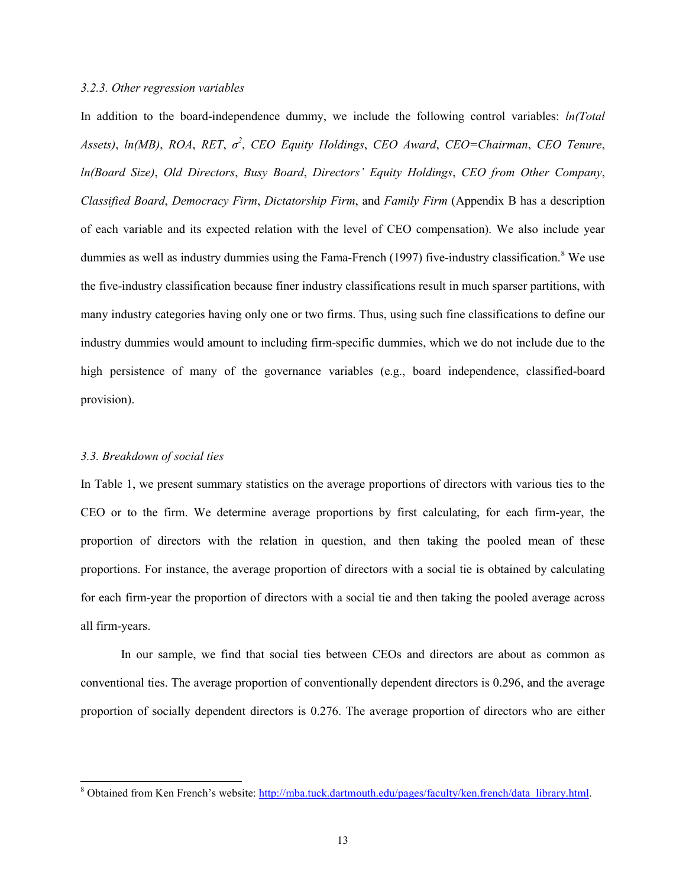### *3.2.3. Other regression variables*

In addition to the board-independence dummy, we include the following control variables: *ln(Total Assets)*, *ln(MB)*, *ROA*, *RET*, *σ 2* , *CEO Equity Holdings*, *CEO Award*, *CEO=Chairman*, *CEO Tenure*, *ln(Board Size)*, *Old Directors*, *Busy Board*, *Directors' Equity Holdings*, *CEO from Other Company*, *Classified Board*, *Democracy Firm*, *Dictatorship Firm*, and *Family Firm* (Appendix B has a description of each variable and its expected relation with the level of CEO compensation). We also include year dummies as well as industry dummies using the Fama-French (1997) five-industry classification.<sup>8</sup> We use the five-industry classification because finer industry classifications result in much sparser partitions, with many industry categories having only one or two firms. Thus, using such fine classifications to define our industry dummies would amount to including firm-specific dummies, which we do not include due to the high persistence of many of the governance variables (e.g., board independence, classified-board provision).

## *3.3. Breakdown of social ties*

In Table 1, we present summary statistics on the average proportions of directors with various ties to the CEO or to the firm. We determine average proportions by first calculating, for each firm-year, the proportion of directors with the relation in question, and then taking the pooled mean of these proportions. For instance, the average proportion of directors with a social tie is obtained by calculating for each firm-year the proportion of directors with a social tie and then taking the pooled average across all firm-years.

In our sample, we find that social ties between CEOs and directors are about as common as conventional ties. The average proportion of conventionally dependent directors is 0.296, and the average proportion of socially dependent directors is 0.276. The average proportion of directors who are either

 <sup>8</sup> Obtained from Ken French's website: [http://mba.tuck.dartmouth.edu/pages/faculty/ken.french/data\\_library.html.](http://mba.tuck.dartmouth.edu/pages/faculty/ken.french/data_library.html)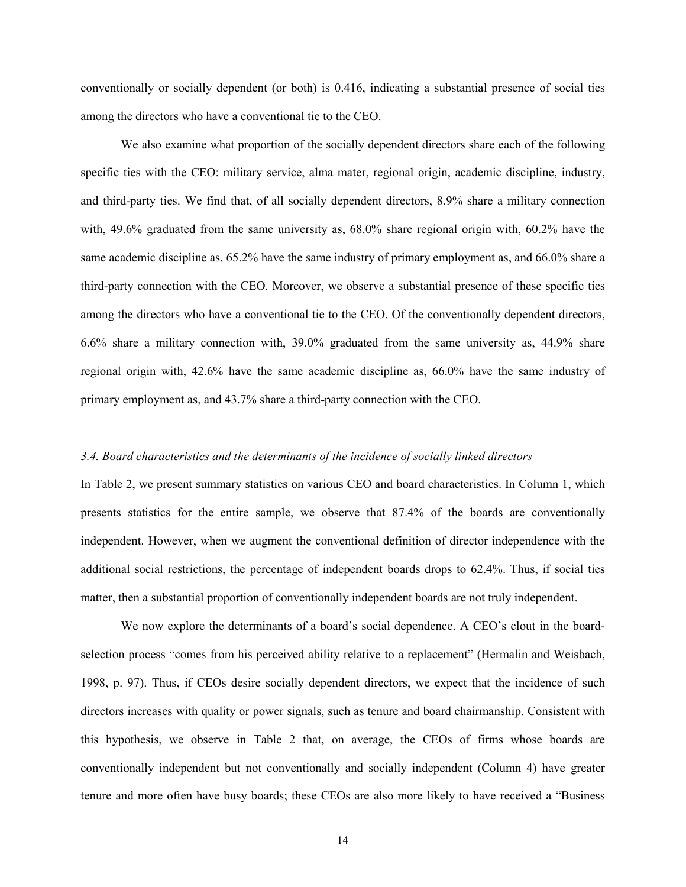conventionally or socially dependent (or both) is 0.416, indicating a substantial presence of social ties among the directors who have a conventional tie to the CEO.

We also examine what proportion of the socially dependent directors share each of the following specific ties with the CEO: military service, alma mater, regional origin, academic discipline, industry, and third-party ties. We find that, of all socially dependent directors, 8.9% share a military connection with, 49.6% graduated from the same university as, 68.0% share regional origin with, 60.2% have the same academic discipline as, 65.2% have the same industry of primary employment as, and 66.0% share a third-party connection with the CEO. Moreover, we observe a substantial presence of these specific ties among the directors who have a conventional tie to the CEO. Of the conventionally dependent directors, 6.6% share a military connection with, 39.0% graduated from the same university as, 44.9% share regional origin with, 42.6% have the same academic discipline as, 66.0% have the same industry of primary employment as, and 43.7% share a third-party connection with the CEO.

## *3.4. Board characteristics and the determinants of the incidence of socially linked directors*

In Table 2, we present summary statistics on various CEO and board characteristics. In Column 1, which presents statistics for the entire sample, we observe that 87.4% of the boards are conventionally independent. However, when we augment the conventional definition of director independence with the additional social restrictions, the percentage of independent boards drops to 62.4%. Thus, if social ties matter, then a substantial proportion of conventionally independent boards are not truly independent.

We now explore the determinants of a board's social dependence. A CEO's clout in the boardselection process "comes from his perceived ability relative to a replacement" (Hermalin and Weisbach, 1998, p. 97). Thus, if CEOs desire socially dependent directors, we expect that the incidence of such directors increases with quality or power signals, such as tenure and board chairmanship. Consistent with this hypothesis, we observe in Table 2 that, on average, the CEOs of firms whose boards are conventionally independent but not conventionally and socially independent (Column 4) have greater tenure and more often have busy boards; these CEOs are also more likely to have received a "Business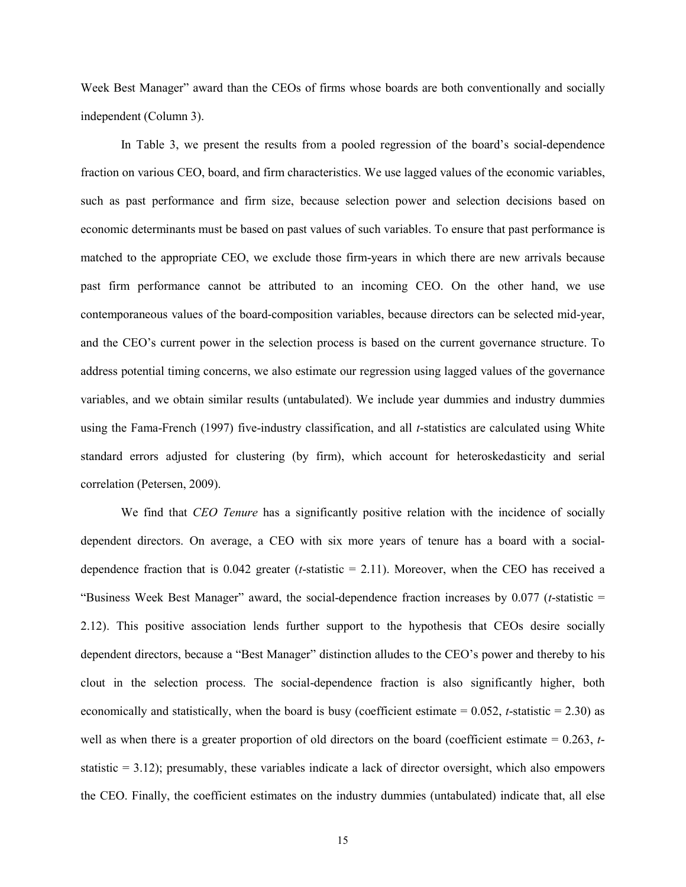Week Best Manager" award than the CEOs of firms whose boards are both conventionally and socially independent (Column 3).

In Table 3, we present the results from a pooled regression of the board's social-dependence fraction on various CEO, board, and firm characteristics. We use lagged values of the economic variables, such as past performance and firm size, because selection power and selection decisions based on economic determinants must be based on past values of such variables. To ensure that past performance is matched to the appropriate CEO, we exclude those firm-years in which there are new arrivals because past firm performance cannot be attributed to an incoming CEO. On the other hand, we use contemporaneous values of the board-composition variables, because directors can be selected mid-year, and the CEO's current power in the selection process is based on the current governance structure. To address potential timing concerns, we also estimate our regression using lagged values of the governance variables, and we obtain similar results (untabulated). We include year dummies and industry dummies using the Fama-French (1997) five-industry classification, and all *t*-statistics are calculated using White standard errors adjusted for clustering (by firm), which account for heteroskedasticity and serial correlation (Petersen, 2009).

We find that *CEO Tenure* has a significantly positive relation with the incidence of socially dependent directors. On average, a CEO with six more years of tenure has a board with a socialdependence fraction that is 0.042 greater (*t*-statistic = 2.11). Moreover, when the CEO has received a "Business Week Best Manager" award, the social-dependence fraction increases by 0.077 (*t*-statistic = 2.12). This positive association lends further support to the hypothesis that CEOs desire socially dependent directors, because a "Best Manager" distinction alludes to the CEO's power and thereby to his clout in the selection process. The social-dependence fraction is also significantly higher, both economically and statistically, when the board is busy (coefficient estimate  $= 0.052$ , *t*-statistic  $= 2.30$ ) as well as when there is a greater proportion of old directors on the board (coefficient estimate = 0.263, *t*statistic  $= 3.12$ ); presumably, these variables indicate a lack of director oversight, which also empowers the CEO. Finally, the coefficient estimates on the industry dummies (untabulated) indicate that, all else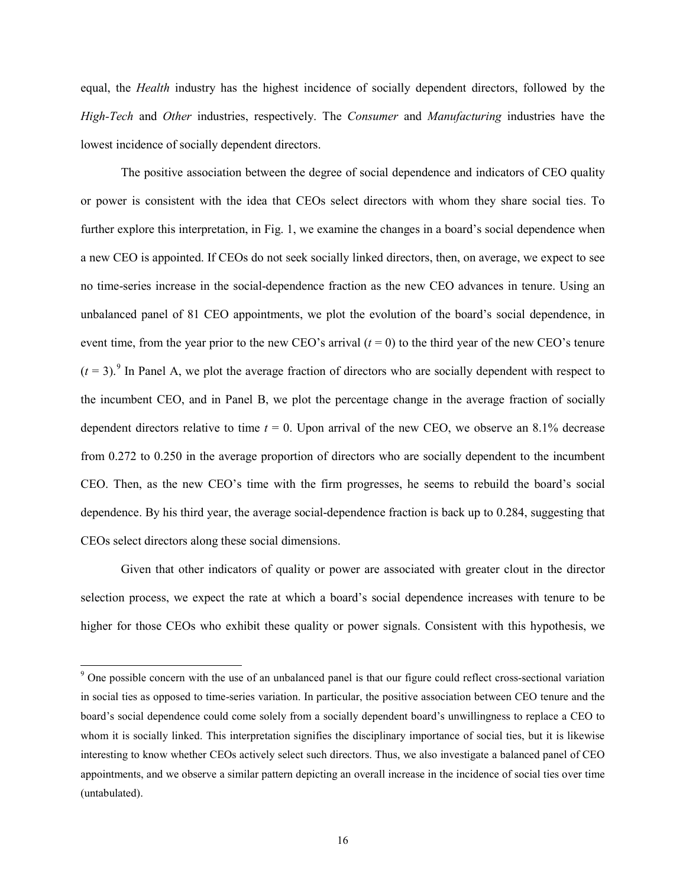equal, the *Health* industry has the highest incidence of socially dependent directors, followed by the *High-Tech* and *Other* industries, respectively. The *Consumer* and *Manufacturing* industries have the lowest incidence of socially dependent directors.

The positive association between the degree of social dependence and indicators of CEO quality or power is consistent with the idea that CEOs select directors with whom they share social ties. To further explore this interpretation, in Fig. 1, we examine the changes in a board's social dependence when a new CEO is appointed. If CEOs do not seek socially linked directors, then, on average, we expect to see no time-series increase in the social-dependence fraction as the new CEO advances in tenure. Using an unbalanced panel of 81 CEO appointments, we plot the evolution of the board's social dependence, in event time, from the year prior to the new CEO's arrival  $(t = 0)$  to the third year of the new CEO's tenure  $(t = 3)$ .<sup>9</sup> In Panel A, we plot the average fraction of directors who are socially dependent with respect to the incumbent CEO, and in Panel B, we plot the percentage change in the average fraction of socially dependent directors relative to time  $t = 0$ . Upon arrival of the new CEO, we observe an 8.1% decrease from 0.272 to 0.250 in the average proportion of directors who are socially dependent to the incumbent CEO. Then, as the new CEO's time with the firm progresses, he seems to rebuild the board's social dependence. By his third year, the average social-dependence fraction is back up to 0.284, suggesting that CEOs select directors along these social dimensions.

Given that other indicators of quality or power are associated with greater clout in the director selection process, we expect the rate at which a board's social dependence increases with tenure to be higher for those CEOs who exhibit these quality or power signals. Consistent with this hypothesis, we

<sup>&</sup>lt;sup>9</sup> One possible concern with the use of an unbalanced panel is that our figure could reflect cross-sectional variation in social ties as opposed to time-series variation. In particular, the positive association between CEO tenure and the board's social dependence could come solely from a socially dependent board's unwillingness to replace a CEO to whom it is socially linked. This interpretation signifies the disciplinary importance of social ties, but it is likewise interesting to know whether CEOs actively select such directors. Thus, we also investigate a balanced panel of CEO appointments, and we observe a similar pattern depicting an overall increase in the incidence of social ties over time (untabulated).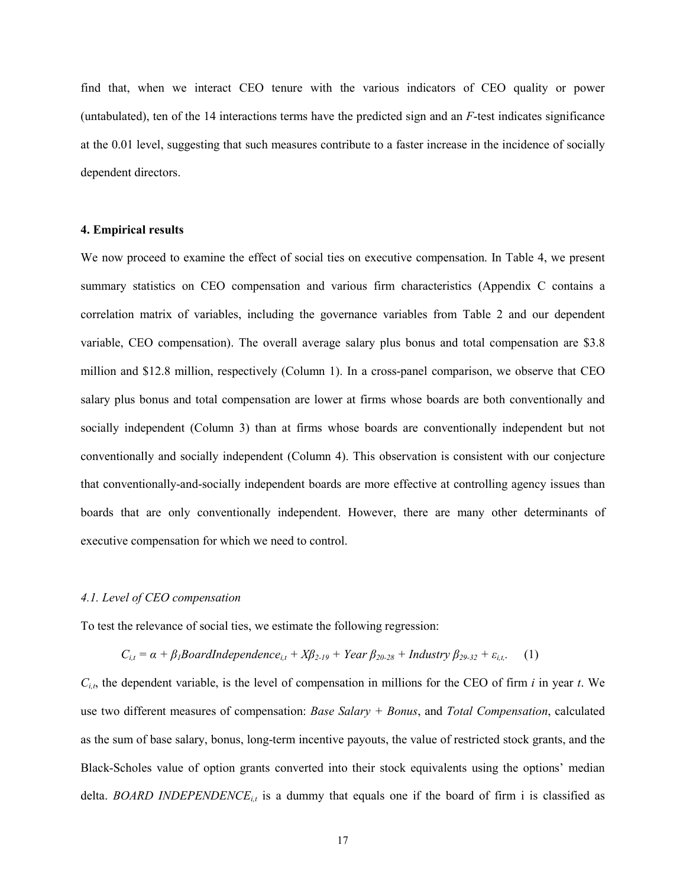find that, when we interact CEO tenure with the various indicators of CEO quality or power (untabulated), ten of the 14 interactions terms have the predicted sign and an *F*-test indicates significance at the 0.01 level, suggesting that such measures contribute to a faster increase in the incidence of socially dependent directors.

### **4. Empirical results**

We now proceed to examine the effect of social ties on executive compensation. In Table 4, we present summary statistics on CEO compensation and various firm characteristics (Appendix C contains a correlation matrix of variables, including the governance variables from Table 2 and our dependent variable, CEO compensation). The overall average salary plus bonus and total compensation are \$3.8 million and \$12.8 million, respectively (Column 1). In a cross-panel comparison, we observe that CEO salary plus bonus and total compensation are lower at firms whose boards are both conventionally and socially independent (Column 3) than at firms whose boards are conventionally independent but not conventionally and socially independent (Column 4). This observation is consistent with our conjecture that conventionally-and-socially independent boards are more effective at controlling agency issues than boards that are only conventionally independent. However, there are many other determinants of executive compensation for which we need to control.

#### *4.1. Level of CEO compensation*

To test the relevance of social ties, we estimate the following regression:

$$
C_{i,t} = \alpha + \beta_1 \text{Board} \text{Independence}_{i,t} + X\beta_{2\text{-}19} + \text{Year} \beta_{20\text{-}28} + \text{Industry} \beta_{29\text{-}32} + \varepsilon_{i,t}.
$$
 (1)

*Ci,t*, the dependent variable, is the level of compensation in millions for the CEO of firm *i* in year *t*. We use two different measures of compensation: *Base Salary + Bonus*, and *Total Compensation*, calculated as the sum of base salary, bonus, long-term incentive payouts, the value of restricted stock grants, and the Black-Scholes value of option grants converted into their stock equivalents using the options' median delta. *BOARD INDEPENDENCE<sub>it</sub>* is a dummy that equals one if the board of firm i is classified as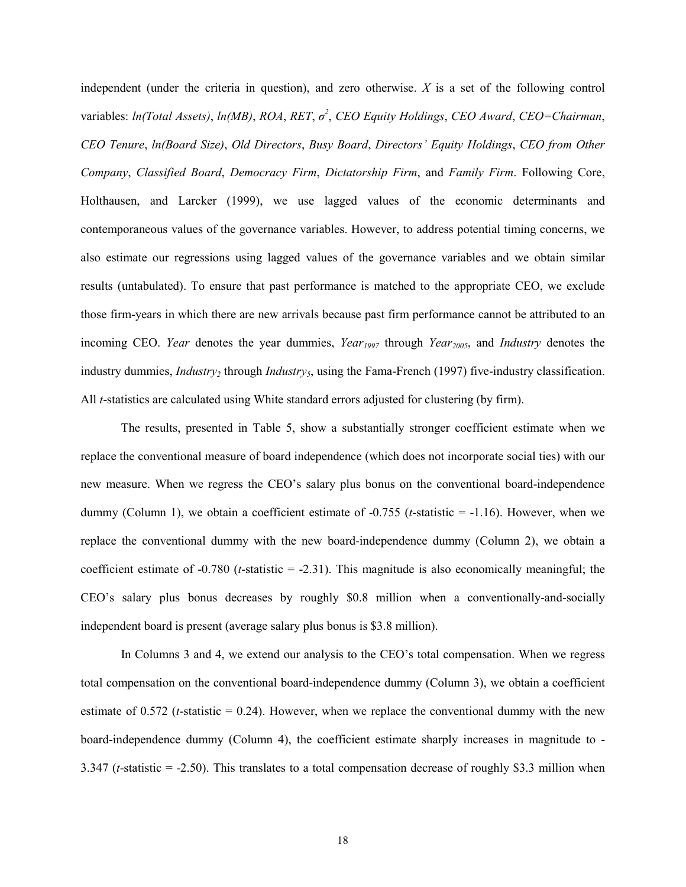independent (under the criteria in question), and zero otherwise. *X* is a set of the following control variables: *ln(Total Assets)*, *ln(MB)*, *ROA*, *RET*, *σ 2* , *CEO Equity Holdings*, *CEO Award*, *CEO=Chairman*, *CEO Tenure*, *ln(Board Size)*, *Old Directors*, *Busy Board*, *Directors' Equity Holdings*, *CEO from Other Company*, *Classified Board*, *Democracy Firm*, *Dictatorship Firm*, and *Family Firm*. Following Core, Holthausen, and Larcker (1999), we use lagged values of the economic determinants and contemporaneous values of the governance variables. However, to address potential timing concerns, we also estimate our regressions using lagged values of the governance variables and we obtain similar results (untabulated). To ensure that past performance is matched to the appropriate CEO, we exclude those firm-years in which there are new arrivals because past firm performance cannot be attributed to an incoming CEO. *Year* denotes the year dummies, *Year<sub>1997</sub>* through *Year<sub>2005</sub>*, and *Industry* denotes the industry dummies, *Industry<sub>2</sub>* through *Industry<sub>5</sub>*, using the Fama-French (1997) five-industry classification. All *t*-statistics are calculated using White standard errors adjusted for clustering (by firm).

The results, presented in Table 5, show a substantially stronger coefficient estimate when we replace the conventional measure of board independence (which does not incorporate social ties) with our new measure. When we regress the CEO's salary plus bonus on the conventional board-independence dummy (Column 1), we obtain a coefficient estimate of -0.755 (*t*-statistic = -1.16). However, when we replace the conventional dummy with the new board-independence dummy (Column 2), we obtain a coefficient estimate of -0.780 (*t*-statistic = -2.31). This magnitude is also economically meaningful; the CEO's salary plus bonus decreases by roughly \$0.8 million when a conventionally-and-socially independent board is present (average salary plus bonus is \$3.8 million).

In Columns 3 and 4, we extend our analysis to the CEO's total compensation. When we regress total compensation on the conventional board-independence dummy (Column 3), we obtain a coefficient estimate of 0.572 ( $t$ -statistic = 0.24). However, when we replace the conventional dummy with the new board-independence dummy (Column 4), the coefficient estimate sharply increases in magnitude to - 3.347 (*t*-statistic = -2.50). This translates to a total compensation decrease of roughly \$3.3 million when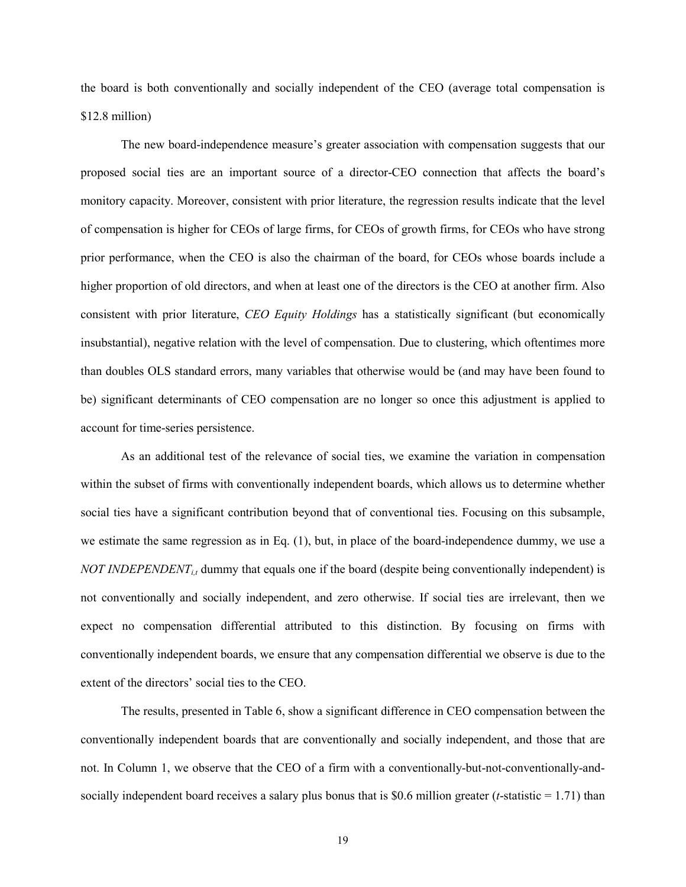the board is both conventionally and socially independent of the CEO (average total compensation is \$12.8 million)

The new board-independence measure's greater association with compensation suggests that our proposed social ties are an important source of a director-CEO connection that affects the board's monitory capacity. Moreover, consistent with prior literature, the regression results indicate that the level of compensation is higher for CEOs of large firms, for CEOs of growth firms, for CEOs who have strong prior performance, when the CEO is also the chairman of the board, for CEOs whose boards include a higher proportion of old directors, and when at least one of the directors is the CEO at another firm. Also consistent with prior literature, *CEO Equity Holdings* has a statistically significant (but economically insubstantial), negative relation with the level of compensation. Due to clustering, which oftentimes more than doubles OLS standard errors, many variables that otherwise would be (and may have been found to be) significant determinants of CEO compensation are no longer so once this adjustment is applied to account for time-series persistence.

As an additional test of the relevance of social ties, we examine the variation in compensation within the subset of firms with conventionally independent boards, which allows us to determine whether social ties have a significant contribution beyond that of conventional ties. Focusing on this subsample, we estimate the same regression as in Eq. (1), but, in place of the board-independence dummy, we use a *NOT INDEPENDENT<sub>i</sub>*, dummy that equals one if the board (despite being conventionally independent) is not conventionally and socially independent, and zero otherwise. If social ties are irrelevant, then we expect no compensation differential attributed to this distinction. By focusing on firms with conventionally independent boards, we ensure that any compensation differential we observe is due to the extent of the directors' social ties to the CEO.

The results, presented in Table 6, show a significant difference in CEO compensation between the conventionally independent boards that are conventionally and socially independent, and those that are not. In Column 1, we observe that the CEO of a firm with a conventionally-but-not-conventionally-andsocially independent board receives a salary plus bonus that is \$0.6 million greater (*t*-statistic = 1.71) than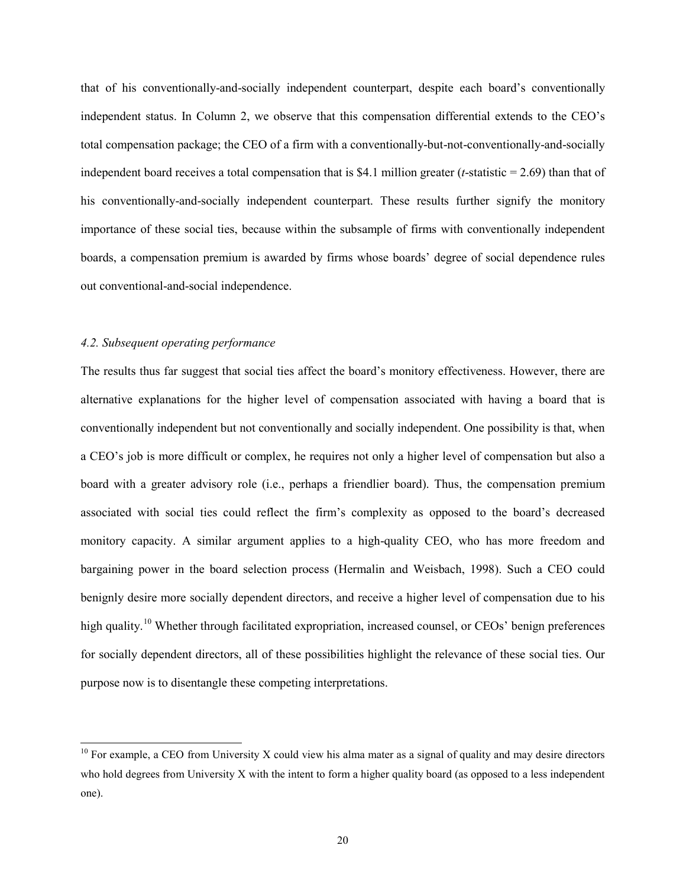that of his conventionally-and-socially independent counterpart, despite each board's conventionally independent status. In Column 2, we observe that this compensation differential extends to the CEO's total compensation package; the CEO of a firm with a conventionally-but-not-conventionally-and-socially independent board receives a total compensation that is \$4.1 million greater (*t*-statistic = 2.69) than that of his conventionally-and-socially independent counterpart. These results further signify the monitory importance of these social ties, because within the subsample of firms with conventionally independent boards, a compensation premium is awarded by firms whose boards' degree of social dependence rules out conventional-and-social independence.

#### *4.2. Subsequent operating performance*

The results thus far suggest that social ties affect the board's monitory effectiveness. However, there are alternative explanations for the higher level of compensation associated with having a board that is conventionally independent but not conventionally and socially independent. One possibility is that, when a CEO's job is more difficult or complex, he requires not only a higher level of compensation but also a board with a greater advisory role (i.e., perhaps a friendlier board). Thus, the compensation premium associated with social ties could reflect the firm's complexity as opposed to the board's decreased monitory capacity. A similar argument applies to a high-quality CEO, who has more freedom and bargaining power in the board selection process (Hermalin and Weisbach, 1998). Such a CEO could benignly desire more socially dependent directors, and receive a higher level of compensation due to his high quality.<sup>10</sup> Whether through facilitated expropriation, increased counsel, or CEOs' benign preferences for socially dependent directors, all of these possibilities highlight the relevance of these social ties. Our purpose now is to disentangle these competing interpretations.

 $10$  For example, a CEO from University X could view his alma mater as a signal of quality and may desire directors who hold degrees from University X with the intent to form a higher quality board (as opposed to a less independent one).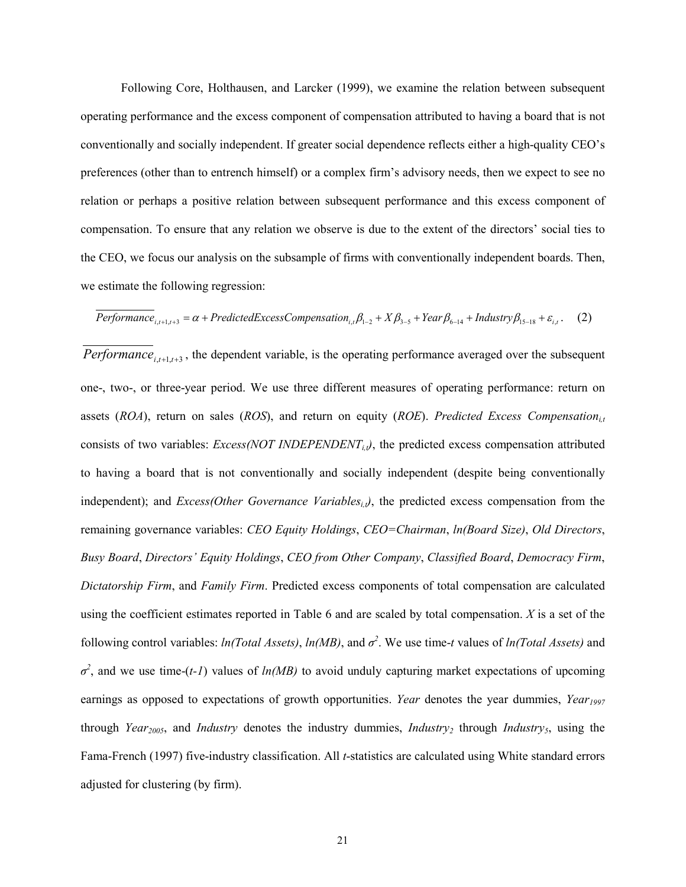Following Core, Holthausen, and Larcker (1999), we examine the relation between subsequent operating performance and the excess component of compensation attributed to having a board that is not conventionally and socially independent. If greater social dependence reflects either a high-quality CEO's preferences (other than to entrench himself) or a complex firm's advisory needs, then we expect to see no relation or perhaps a positive relation between subsequent performance and this excess component of compensation. To ensure that any relation we observe is due to the extent of the directors' social ties to the CEO, we focus our analysis on the subsample of firms with conventionally independent boards. Then, we estimate the following regression:

$$
Performance_{i,t+1,t+3} = \alpha + PredictedExcessComparison_{i,t}\beta_{1-2} + X\beta_{3-5} + Year\beta_{6-14} + Industry\beta_{15-18} + \varepsilon_{i,t}.
$$
 (2)

*Performance*<sub>*i*,*t*+1,*t*+3</sub>, the dependent variable, is the operating performance averaged over the subsequent one-, two-, or three-year period. We use three different measures of operating performance: return on assets (*ROA*), return on sales (*ROS*), and return on equity (*ROE*). *Predicted Excess Compensation*<sub>it</sub> consists of two variables: *Excess(NOT INDEPENDENT<sub>i,t</sub>)*, the predicted excess compensation attributed to having a board that is not conventionally and socially independent (despite being conventionally independent); and *Excess(Other Governance Variables<sub>i,t)</sub>*, the predicted excess compensation from the remaining governance variables: *CEO Equity Holdings*, *CEO=Chairman*, *ln(Board Size)*, *Old Directors*, *Busy Board*, *Directors' Equity Holdings*, *CEO from Other Company*, *Classified Board*, *Democracy Firm*, *Dictatorship Firm*, and *Family Firm*. Predicted excess components of total compensation are calculated using the coefficient estimates reported in Table 6 and are scaled by total compensation. *X* is a set of the following control variables: *ln(Total Assets)*, *ln(MB)*, and *σ 2* . We use time-*t* values of *ln(Total Assets)* and  $\sigma^2$ , and we use time-(*t-1*) values of *ln(MB)* to avoid unduly capturing market expectations of upcoming earnings as opposed to expectations of growth opportunities. *Year* denotes the year dummies, *Year<sub>1997</sub>* through *Year<sub>2005</sub>*, and *Industry* denotes the industry dummies, *Industry<sub>2</sub>* through *Industry<sub>5</sub>*, using the Fama-French (1997) five-industry classification. All *t*-statistics are calculated using White standard errors adjusted for clustering (by firm).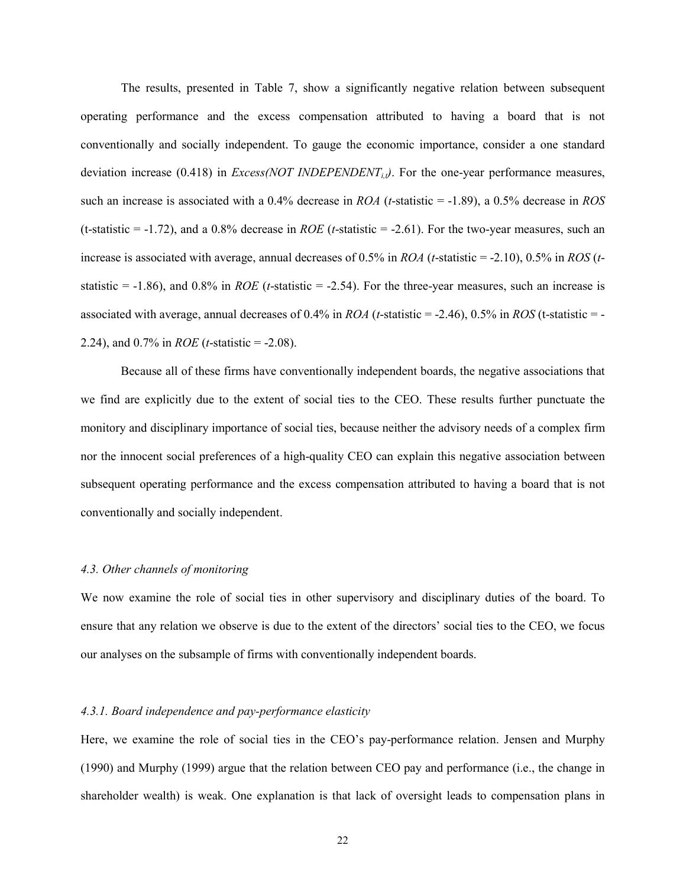The results, presented in Table 7, show a significantly negative relation between subsequent operating performance and the excess compensation attributed to having a board that is not conventionally and socially independent. To gauge the economic importance, consider a one standard deviation increase (0.418) in *Excess(NOT INDEPENDENT<sub>it</sub>)*. For the one-year performance measures, such an increase is associated with a 0.4% decrease in *ROA* (*t*-statistic = -1.89), a 0.5% decrease in *ROS* (t-statistic  $= -1.72$ ), and a 0.8% decrease in *ROE* (*t*-statistic  $= -2.61$ ). For the two-year measures, such an increase is associated with average, annual decreases of 0.5% in *ROA* (*t*-statistic = -2.10), 0.5% in *ROS* (*t*statistic =  $-1.86$ ), and 0.8% in *ROE* (*t*-statistic =  $-2.54$ ). For the three-year measures, such an increase is associated with average, annual decreases of 0.4% in *ROA* (*t*-statistic = -2.46), 0.5% in *ROS* (t-statistic = - 2.24), and 0.7% in *ROE* (*t*-statistic = -2.08).

Because all of these firms have conventionally independent boards, the negative associations that we find are explicitly due to the extent of social ties to the CEO. These results further punctuate the monitory and disciplinary importance of social ties, because neither the advisory needs of a complex firm nor the innocent social preferences of a high-quality CEO can explain this negative association between subsequent operating performance and the excess compensation attributed to having a board that is not conventionally and socially independent.

## *4.3. Other channels of monitoring*

We now examine the role of social ties in other supervisory and disciplinary duties of the board. To ensure that any relation we observe is due to the extent of the directors' social ties to the CEO, we focus our analyses on the subsample of firms with conventionally independent boards.

### *4.3.1. Board independence and pay-performance elasticity*

Here, we examine the role of social ties in the CEO's pay-performance relation. Jensen and Murphy (1990) and Murphy (1999) argue that the relation between CEO pay and performance (i.e., the change in shareholder wealth) is weak. One explanation is that lack of oversight leads to compensation plans in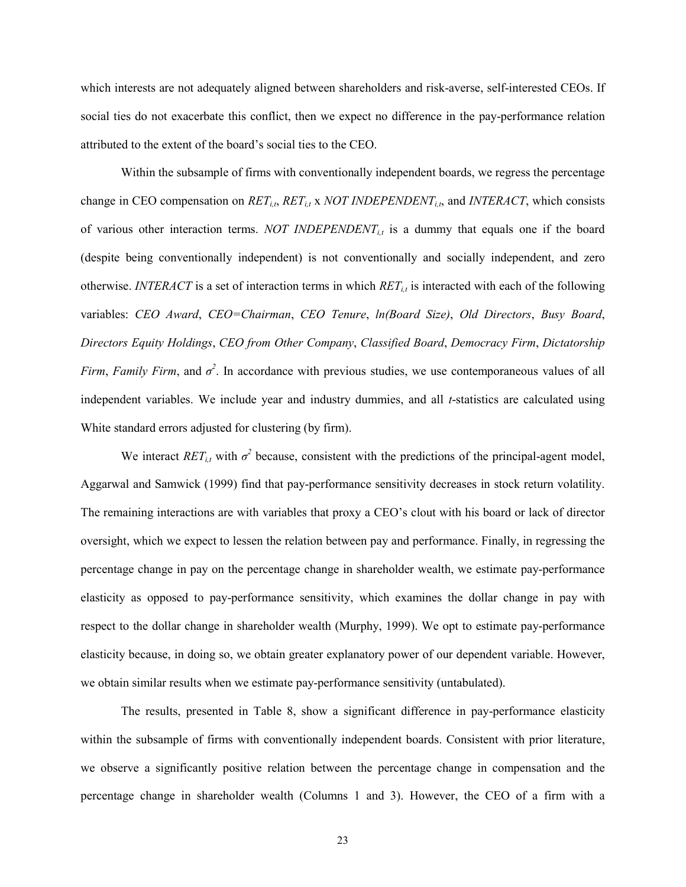which interests are not adequately aligned between shareholders and risk-averse, self-interested CEOs. If social ties do not exacerbate this conflict, then we expect no difference in the pay-performance relation attributed to the extent of the board's social ties to the CEO.

Within the subsample of firms with conventionally independent boards, we regress the percentage change in CEO compensation on *RETi,t*, *RETi,t* x *NOT INDEPENDENTi,t*, and *INTERACT*, which consists of various other interaction terms. *NOT INDEPENDENT<sub>it</sub>* is a dummy that equals one if the board (despite being conventionally independent) is not conventionally and socially independent, and zero otherwise. *INTERACT* is a set of interaction terms in which  $RET_{it}$  is interacted with each of the following variables: *CEO Award*, *CEO=Chairman*, *CEO Tenure*, *ln(Board Size)*, *Old Directors*, *Busy Board*, *Directors Equity Holdings*, *CEO from Other Company*, *Classified Board*, *Democracy Firm*, *Dictatorship Firm, Family Firm,* and  $\sigma^2$ . In accordance with previous studies, we use contemporaneous values of all independent variables. We include year and industry dummies, and all *t*-statistics are calculated using White standard errors adjusted for clustering (by firm).

We interact  $RET_{i,t}$  with  $\sigma^2$  because, consistent with the predictions of the principal-agent model, Aggarwal and Samwick (1999) find that pay-performance sensitivity decreases in stock return volatility. The remaining interactions are with variables that proxy a CEO's clout with his board or lack of director oversight, which we expect to lessen the relation between pay and performance. Finally, in regressing the percentage change in pay on the percentage change in shareholder wealth, we estimate pay-performance elasticity as opposed to pay-performance sensitivity, which examines the dollar change in pay with respect to the dollar change in shareholder wealth (Murphy, 1999). We opt to estimate pay-performance elasticity because, in doing so, we obtain greater explanatory power of our dependent variable. However, we obtain similar results when we estimate pay-performance sensitivity (untabulated).

The results, presented in Table 8, show a significant difference in pay-performance elasticity within the subsample of firms with conventionally independent boards. Consistent with prior literature, we observe a significantly positive relation between the percentage change in compensation and the percentage change in shareholder wealth (Columns 1 and 3). However, the CEO of a firm with a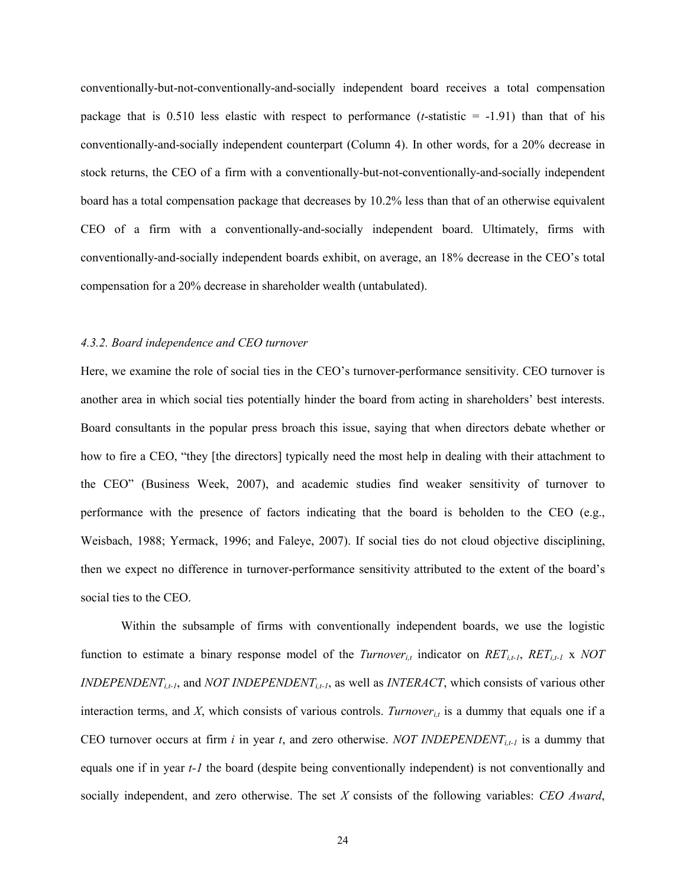conventionally-but-not-conventionally-and-socially independent board receives a total compensation package that is  $0.510$  less elastic with respect to performance (*t*-statistic  $= -1.91$ ) than that of his conventionally-and-socially independent counterpart (Column 4). In other words, for a 20% decrease in stock returns, the CEO of a firm with a conventionally-but-not-conventionally-and-socially independent board has a total compensation package that decreases by 10.2% less than that of an otherwise equivalent CEO of a firm with a conventionally-and-socially independent board. Ultimately, firms with conventionally-and-socially independent boards exhibit, on average, an 18% decrease in the CEO's total compensation for a 20% decrease in shareholder wealth (untabulated).

#### *4.3.2. Board independence and CEO turnover*

Here, we examine the role of social ties in the CEO's turnover-performance sensitivity. CEO turnover is another area in which social ties potentially hinder the board from acting in shareholders' best interests. Board consultants in the popular press broach this issue, saying that when directors debate whether or how to fire a CEO, "they [the directors] typically need the most help in dealing with their attachment to the CEO" (Business Week, 2007), and academic studies find weaker sensitivity of turnover to performance with the presence of factors indicating that the board is beholden to the CEO (e.g., Weisbach, 1988; Yermack, 1996; and Faleye, 2007). If social ties do not cloud objective disciplining, then we expect no difference in turnover-performance sensitivity attributed to the extent of the board's social ties to the CEO.

Within the subsample of firms with conventionally independent boards, we use the logistic function to estimate a binary response model of the *Turnover<sub>i,t</sub>* indicator on  $RET_{i,t-1}$ ,  $RET_{i,t-1}$  x *NOT INDEPENDENT<sub>i,t-1</sub>*, and *NOT INDEPENDENT<sub>i,t-1</sub>*, as well as *INTERACT*, which consists of various other interaction terms, and *X*, which consists of various controls. *Turnover<sub>it</sub>* is a dummy that equals one if a CEO turnover occurs at firm *i* in year *t*, and zero otherwise. *NOT INDEPENDENT<sub>it-1</sub>* is a dummy that equals one if in year *t-1* the board (despite being conventionally independent) is not conventionally and socially independent, and zero otherwise. The set *X* consists of the following variables: *CEO Award*,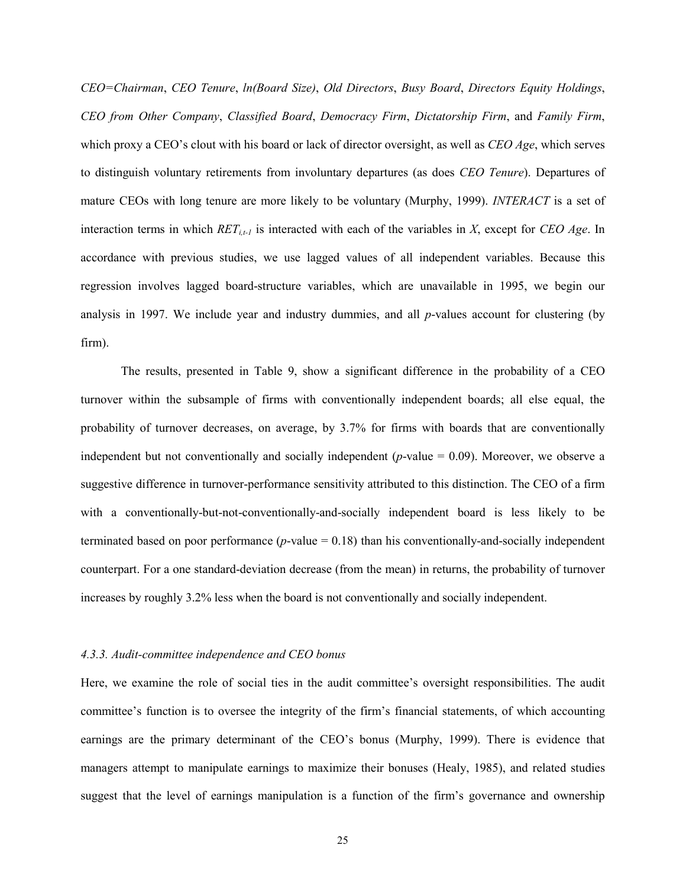*CEO=Chairman*, *CEO Tenure*, *ln(Board Size)*, *Old Directors*, *Busy Board*, *Directors Equity Holdings*, *CEO from Other Company*, *Classified Board*, *Democracy Firm*, *Dictatorship Firm*, and *Family Firm*, which proxy a CEO's clout with his board or lack of director oversight, as well as *CEO Age*, which serves to distinguish voluntary retirements from involuntary departures (as does *CEO Tenure*). Departures of mature CEOs with long tenure are more likely to be voluntary (Murphy, 1999). *INTERACT* is a set of interaction terms in which  $RET_{i}$  is interacted with each of the variables in *X*, except for *CEO Age*. In accordance with previous studies, we use lagged values of all independent variables. Because this regression involves lagged board-structure variables, which are unavailable in 1995, we begin our analysis in 1997. We include year and industry dummies, and all *p*-values account for clustering (by firm).

The results, presented in Table 9, show a significant difference in the probability of a CEO turnover within the subsample of firms with conventionally independent boards; all else equal, the probability of turnover decreases, on average, by 3.7% for firms with boards that are conventionally independent but not conventionally and socially independent (*p*-value = 0.09). Moreover, we observe a suggestive difference in turnover-performance sensitivity attributed to this distinction. The CEO of a firm with a conventionally-but-not-conventionally-and-socially independent board is less likely to be terminated based on poor performance (*p*-value = 0.18) than his conventionally-and-socially independent counterpart. For a one standard-deviation decrease (from the mean) in returns, the probability of turnover increases by roughly 3.2% less when the board is not conventionally and socially independent.

#### *4.3.3. Audit-committee independence and CEO bonus*

Here, we examine the role of social ties in the audit committee's oversight responsibilities. The audit committee's function is to oversee the integrity of the firm's financial statements, of which accounting earnings are the primary determinant of the CEO's bonus (Murphy, 1999). There is evidence that managers attempt to manipulate earnings to maximize their bonuses (Healy, 1985), and related studies suggest that the level of earnings manipulation is a function of the firm's governance and ownership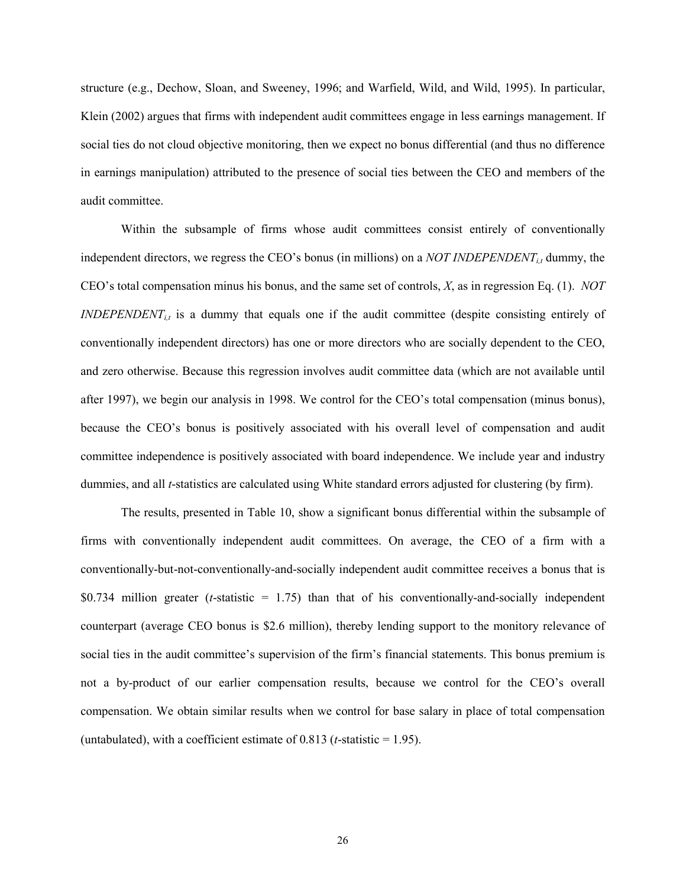structure (e.g., Dechow, Sloan, and Sweeney, 1996; and Warfield, Wild, and Wild, 1995). In particular, Klein (2002) argues that firms with independent audit committees engage in less earnings management. If social ties do not cloud objective monitoring, then we expect no bonus differential (and thus no difference in earnings manipulation) attributed to the presence of social ties between the CEO and members of the audit committee.

Within the subsample of firms whose audit committees consist entirely of conventionally independent directors, we regress the CEO's bonus (in millions) on a *NOT INDEPENDENT<sub>it</sub>* dummy, the CEO's total compensation minus his bonus, and the same set of controls, *X*, as in regression Eq. (1). *NOT INDEPENDENT<sub>it</sub>* is a dummy that equals one if the audit committee (despite consisting entirely of conventionally independent directors) has one or more directors who are socially dependent to the CEO, and zero otherwise. Because this regression involves audit committee data (which are not available until after 1997), we begin our analysis in 1998. We control for the CEO's total compensation (minus bonus), because the CEO's bonus is positively associated with his overall level of compensation and audit committee independence is positively associated with board independence. We include year and industry dummies, and all *t*-statistics are calculated using White standard errors adjusted for clustering (by firm).

The results, presented in Table 10, show a significant bonus differential within the subsample of firms with conventionally independent audit committees. On average, the CEO of a firm with a conventionally-but-not-conventionally-and-socially independent audit committee receives a bonus that is \$0.734 million greater (*t*-statistic = 1.75) than that of his conventionally-and-socially independent counterpart (average CEO bonus is \$2.6 million), thereby lending support to the monitory relevance of social ties in the audit committee's supervision of the firm's financial statements. This bonus premium is not a by-product of our earlier compensation results, because we control for the CEO's overall compensation. We obtain similar results when we control for base salary in place of total compensation (untabulated), with a coefficient estimate of  $0.813$  (*t*-statistic = 1.95).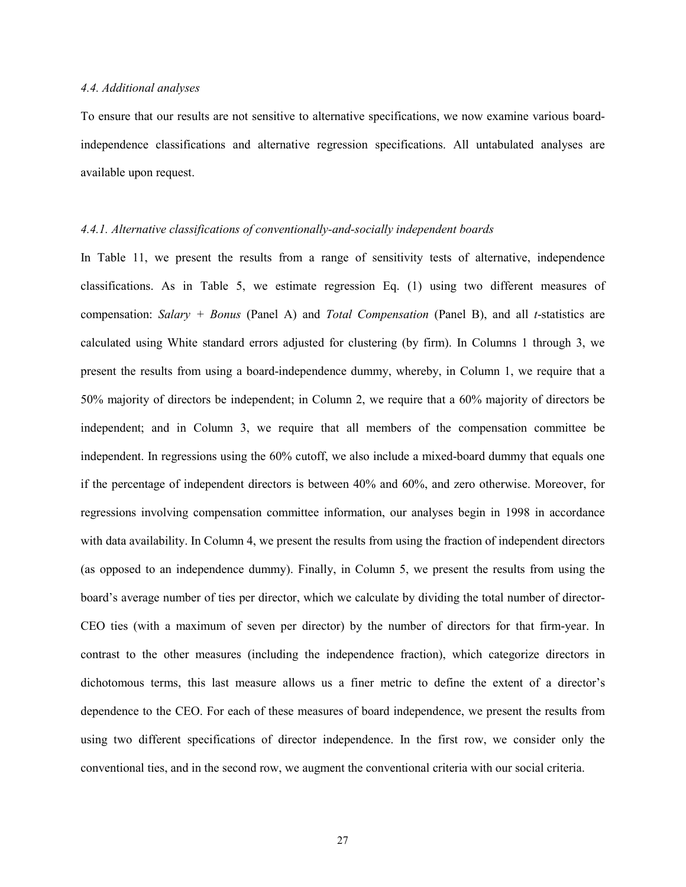#### *4.4. Additional analyses*

To ensure that our results are not sensitive to alternative specifications, we now examine various boardindependence classifications and alternative regression specifications. All untabulated analyses are available upon request.

#### *4.4.1. Alternative classifications of conventionally-and-socially independent boards*

In Table 11, we present the results from a range of sensitivity tests of alternative, independence classifications. As in Table 5, we estimate regression Eq. (1) using two different measures of compensation: *Salary + Bonus* (Panel A) and *Total Compensation* (Panel B), and all *t*-statistics are calculated using White standard errors adjusted for clustering (by firm). In Columns 1 through 3, we present the results from using a board-independence dummy, whereby, in Column 1, we require that a 50% majority of directors be independent; in Column 2, we require that a 60% majority of directors be independent; and in Column 3, we require that all members of the compensation committee be independent. In regressions using the 60% cutoff, we also include a mixed-board dummy that equals one if the percentage of independent directors is between 40% and 60%, and zero otherwise. Moreover, for regressions involving compensation committee information, our analyses begin in 1998 in accordance with data availability. In Column 4, we present the results from using the fraction of independent directors (as opposed to an independence dummy). Finally, in Column 5, we present the results from using the board's average number of ties per director, which we calculate by dividing the total number of director-CEO ties (with a maximum of seven per director) by the number of directors for that firm-year. In contrast to the other measures (including the independence fraction), which categorize directors in dichotomous terms, this last measure allows us a finer metric to define the extent of a director's dependence to the CEO. For each of these measures of board independence, we present the results from using two different specifications of director independence. In the first row, we consider only the conventional ties, and in the second row, we augment the conventional criteria with our social criteria.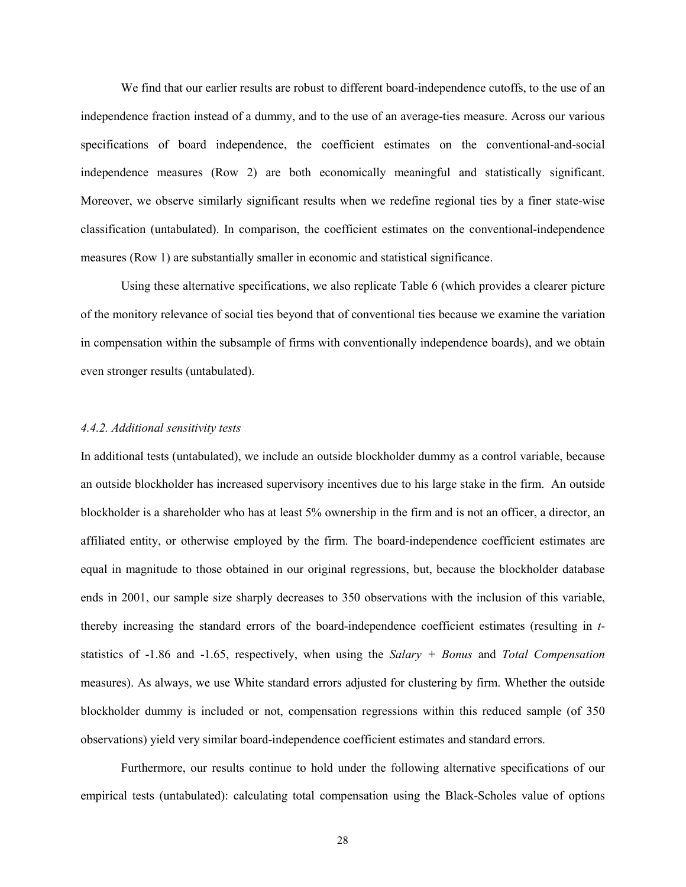We find that our earlier results are robust to different board-independence cutoffs, to the use of an independence fraction instead of a dummy, and to the use of an average-ties measure. Across our various specifications of board independence, the coefficient estimates on the conventional-and-social independence measures (Row 2) are both economically meaningful and statistically significant. Moreover, we observe similarly significant results when we redefine regional ties by a finer state-wise classification (untabulated). In comparison, the coefficient estimates on the conventional-independence measures (Row 1) are substantially smaller in economic and statistical significance.

Using these alternative specifications, we also replicate Table 6 (which provides a clearer picture of the monitory relevance of social ties beyond that of conventional ties because we examine the variation in compensation within the subsample of firms with conventionally independence boards), and we obtain even stronger results (untabulated).

## *4.4.2. Additional sensitivity tests*

In additional tests (untabulated), we include an outside blockholder dummy as a control variable, because an outside blockholder has increased supervisory incentives due to his large stake in the firm. An outside blockholder is a shareholder who has at least 5% ownership in the firm and is not an officer, a director, an affiliated entity, or otherwise employed by the firm. The board-independence coefficient estimates are equal in magnitude to those obtained in our original regressions, but, because the blockholder database ends in 2001, our sample size sharply decreases to 350 observations with the inclusion of this variable, thereby increasing the standard errors of the board-independence coefficient estimates (resulting in *t*statistics of -1.86 and -1.65, respectively, when using the *Salary + Bonus* and *Total Compensation* measures). As always, we use White standard errors adjusted for clustering by firm. Whether the outside blockholder dummy is included or not, compensation regressions within this reduced sample (of 350 observations) yield very similar board-independence coefficient estimates and standard errors.

Furthermore, our results continue to hold under the following alternative specifications of our empirical tests (untabulated): calculating total compensation using the Black-Scholes value of options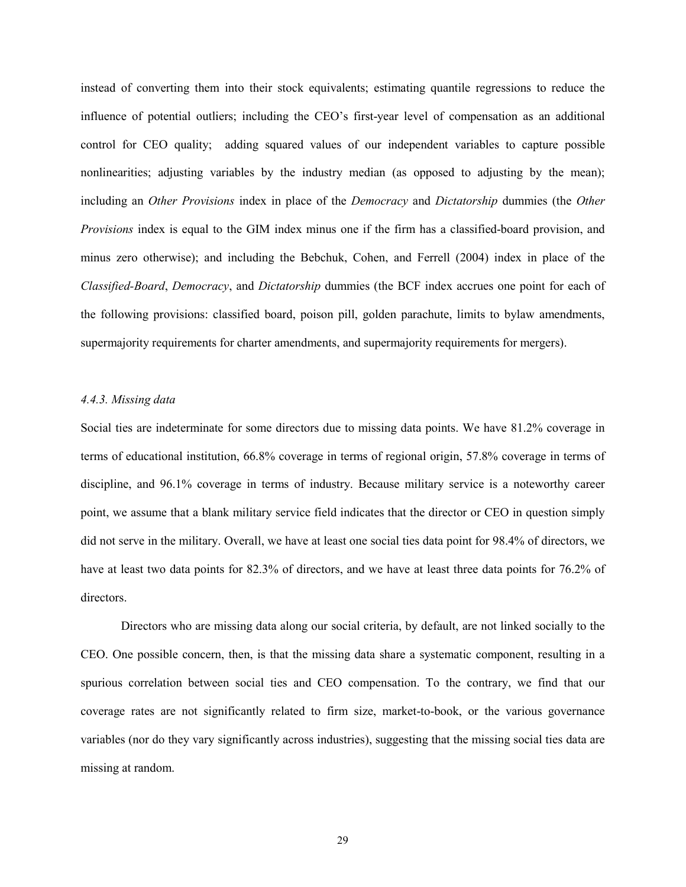instead of converting them into their stock equivalents; estimating quantile regressions to reduce the influence of potential outliers; including the CEO's first-year level of compensation as an additional control for CEO quality; adding squared values of our independent variables to capture possible nonlinearities; adjusting variables by the industry median (as opposed to adjusting by the mean); including an *Other Provisions* index in place of the *Democracy* and *Dictatorship* dummies (the *Other Provisions* index is equal to the GIM index minus one if the firm has a classified-board provision, and minus zero otherwise); and including the Bebchuk, Cohen, and Ferrell (2004) index in place of the *Classified-Board*, *Democracy*, and *Dictatorship* dummies (the BCF index accrues one point for each of the following provisions: classified board, poison pill, golden parachute, limits to bylaw amendments, supermajority requirements for charter amendments, and supermajority requirements for mergers).

## *4.4.3. Missing data*

Social ties are indeterminate for some directors due to missing data points. We have 81.2% coverage in terms of educational institution, 66.8% coverage in terms of regional origin, 57.8% coverage in terms of discipline, and 96.1% coverage in terms of industry. Because military service is a noteworthy career point, we assume that a blank military service field indicates that the director or CEO in question simply did not serve in the military. Overall, we have at least one social ties data point for 98.4% of directors, we have at least two data points for 82.3% of directors, and we have at least three data points for 76.2% of directors.

Directors who are missing data along our social criteria, by default, are not linked socially to the CEO. One possible concern, then, is that the missing data share a systematic component, resulting in a spurious correlation between social ties and CEO compensation. To the contrary, we find that our coverage rates are not significantly related to firm size, market-to-book, or the various governance variables (nor do they vary significantly across industries), suggesting that the missing social ties data are missing at random.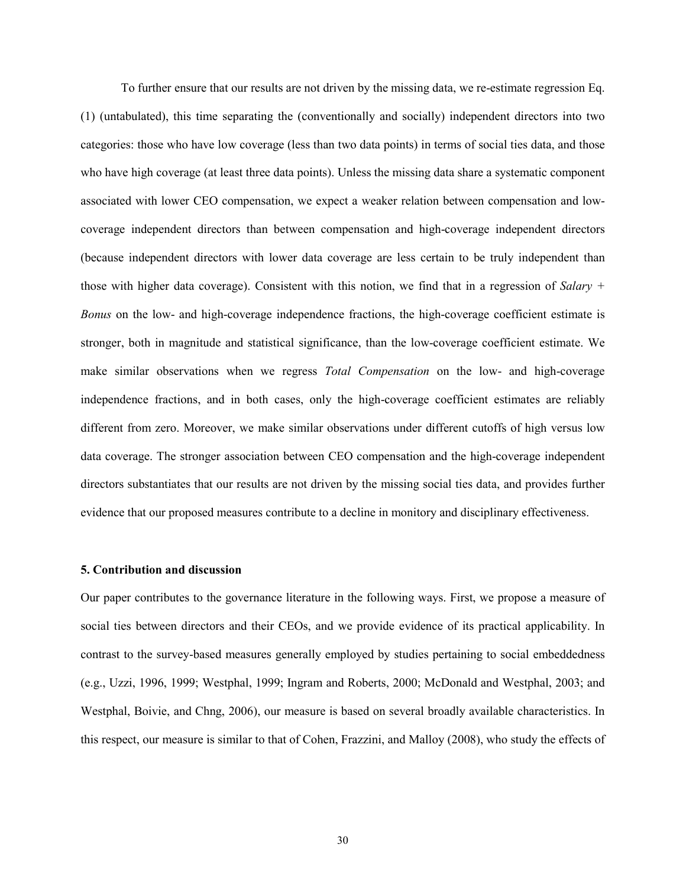To further ensure that our results are not driven by the missing data, we re-estimate regression Eq. (1) (untabulated), this time separating the (conventionally and socially) independent directors into two categories: those who have low coverage (less than two data points) in terms of social ties data, and those who have high coverage (at least three data points). Unless the missing data share a systematic component associated with lower CEO compensation, we expect a weaker relation between compensation and lowcoverage independent directors than between compensation and high-coverage independent directors (because independent directors with lower data coverage are less certain to be truly independent than those with higher data coverage). Consistent with this notion, we find that in a regression of *Salary + Bonus* on the low- and high-coverage independence fractions, the high-coverage coefficient estimate is stronger, both in magnitude and statistical significance, than the low-coverage coefficient estimate. We make similar observations when we regress *Total Compensation* on the low- and high-coverage independence fractions, and in both cases, only the high-coverage coefficient estimates are reliably different from zero. Moreover, we make similar observations under different cutoffs of high versus low data coverage. The stronger association between CEO compensation and the high-coverage independent directors substantiates that our results are not driven by the missing social ties data, and provides further evidence that our proposed measures contribute to a decline in monitory and disciplinary effectiveness.

#### **5. Contribution and discussion**

Our paper contributes to the governance literature in the following ways. First, we propose a measure of social ties between directors and their CEOs, and we provide evidence of its practical applicability. In contrast to the survey-based measures generally employed by studies pertaining to social embeddedness (e.g., Uzzi, 1996, 1999; Westphal, 1999; Ingram and Roberts, 2000; McDonald and Westphal, 2003; and Westphal, Boivie, and Chng, 2006), our measure is based on several broadly available characteristics. In this respect, our measure is similar to that of Cohen, Frazzini, and Malloy (2008), who study the effects of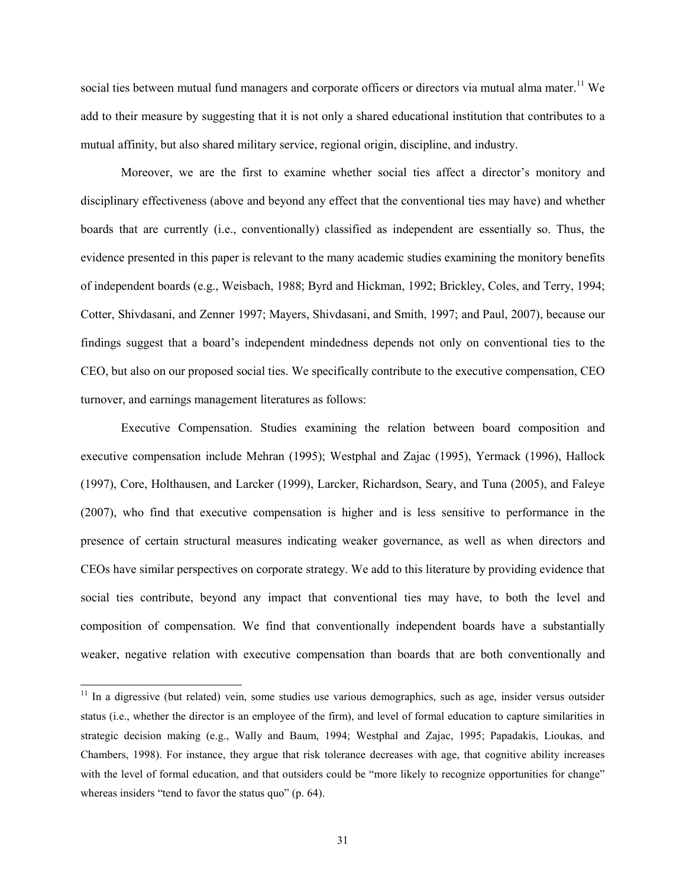social ties between mutual fund managers and corporate officers or directors via mutual alma mater.<sup>11</sup> We add to their measure by suggesting that it is not only a shared educational institution that contributes to a mutual affinity, but also shared military service, regional origin, discipline, and industry.

Moreover, we are the first to examine whether social ties affect a director's monitory and disciplinary effectiveness (above and beyond any effect that the conventional ties may have) and whether boards that are currently (i.e., conventionally) classified as independent are essentially so. Thus, the evidence presented in this paper is relevant to the many academic studies examining the monitory benefits of independent boards (e.g., Weisbach, 1988; Byrd and Hickman, 1992; Brickley, Coles, and Terry, 1994; Cotter, Shivdasani, and Zenner 1997; Mayers, Shivdasani, and Smith, 1997; and Paul, 2007), because our findings suggest that a board's independent mindedness depends not only on conventional ties to the CEO, but also on our proposed social ties. We specifically contribute to the executive compensation, CEO turnover, and earnings management literatures as follows:

Executive Compensation. Studies examining the relation between board composition and executive compensation include Mehran (1995); Westphal and Zajac (1995), Yermack (1996), Hallock (1997), Core, Holthausen, and Larcker (1999), Larcker, Richardson, Seary, and Tuna (2005), and Faleye (2007), who find that executive compensation is higher and is less sensitive to performance in the presence of certain structural measures indicating weaker governance, as well as when directors and CEOs have similar perspectives on corporate strategy. We add to this literature by providing evidence that social ties contribute, beyond any impact that conventional ties may have, to both the level and composition of compensation. We find that conventionally independent boards have a substantially weaker, negative relation with executive compensation than boards that are both conventionally and

<sup>&</sup>lt;sup>11</sup> In a digressive (but related) vein, some studies use various demographics, such as age, insider versus outsider status (i.e., whether the director is an employee of the firm), and level of formal education to capture similarities in strategic decision making (e.g., Wally and Baum, 1994; Westphal and Zajac, 1995; Papadakis, Lioukas, and Chambers, 1998). For instance, they argue that risk tolerance decreases with age, that cognitive ability increases with the level of formal education, and that outsiders could be "more likely to recognize opportunities for change" whereas insiders "tend to favor the status quo" (p. 64).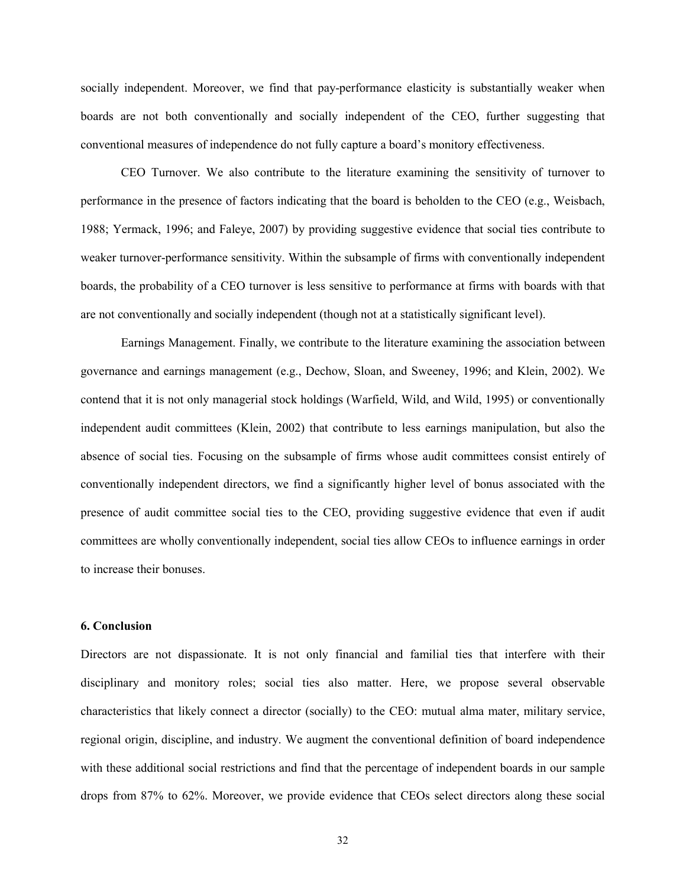socially independent. Moreover, we find that pay-performance elasticity is substantially weaker when boards are not both conventionally and socially independent of the CEO, further suggesting that conventional measures of independence do not fully capture a board's monitory effectiveness.

CEO Turnover. We also contribute to the literature examining the sensitivity of turnover to performance in the presence of factors indicating that the board is beholden to the CEO (e.g., Weisbach, 1988; Yermack, 1996; and Faleye, 2007) by providing suggestive evidence that social ties contribute to weaker turnover-performance sensitivity. Within the subsample of firms with conventionally independent boards, the probability of a CEO turnover is less sensitive to performance at firms with boards with that are not conventionally and socially independent (though not at a statistically significant level).

Earnings Management. Finally, we contribute to the literature examining the association between governance and earnings management (e.g., Dechow, Sloan, and Sweeney, 1996; and Klein, 2002). We contend that it is not only managerial stock holdings (Warfield, Wild, and Wild, 1995) or conventionally independent audit committees (Klein, 2002) that contribute to less earnings manipulation, but also the absence of social ties. Focusing on the subsample of firms whose audit committees consist entirely of conventionally independent directors, we find a significantly higher level of bonus associated with the presence of audit committee social ties to the CEO, providing suggestive evidence that even if audit committees are wholly conventionally independent, social ties allow CEOs to influence earnings in order to increase their bonuses.

## **6. Conclusion**

Directors are not dispassionate. It is not only financial and familial ties that interfere with their disciplinary and monitory roles; social ties also matter. Here, we propose several observable characteristics that likely connect a director (socially) to the CEO: mutual alma mater, military service, regional origin, discipline, and industry. We augment the conventional definition of board independence with these additional social restrictions and find that the percentage of independent boards in our sample drops from 87% to 62%. Moreover, we provide evidence that CEOs select directors along these social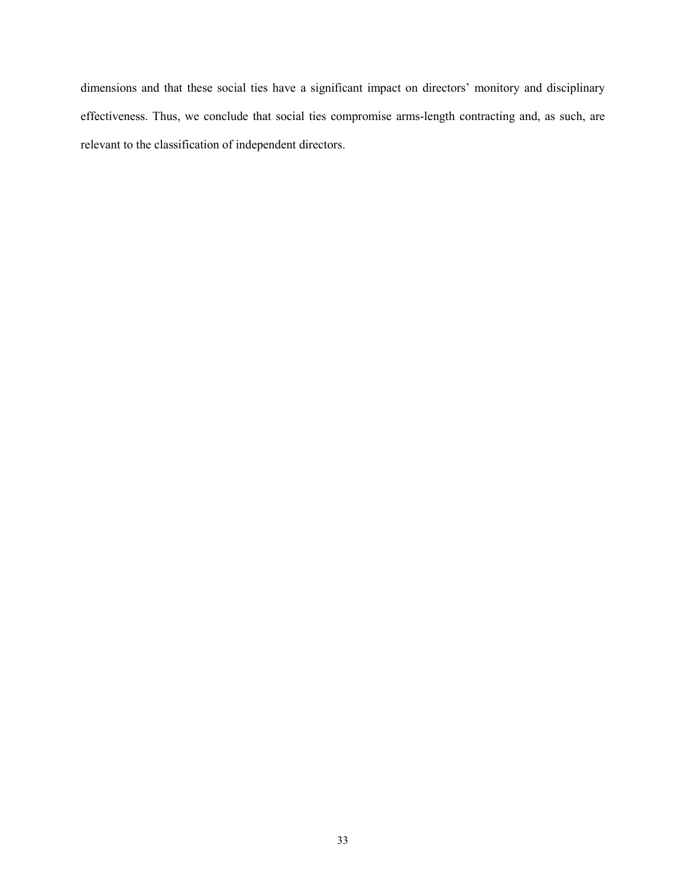dimensions and that these social ties have a significant impact on directors' monitory and disciplinary effectiveness. Thus, we conclude that social ties compromise arms-length contracting and, as such, are relevant to the classification of independent directors.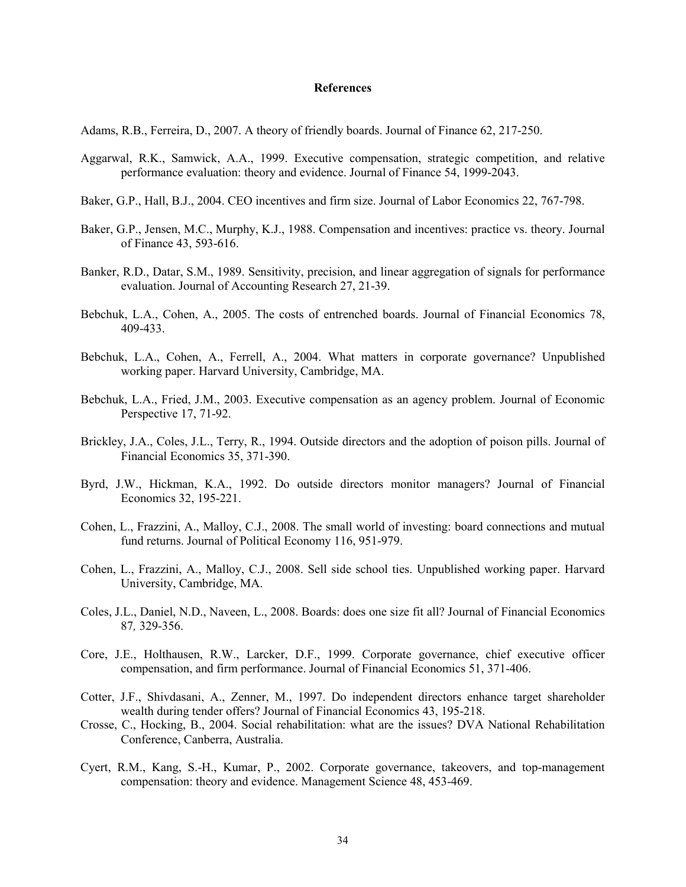#### **References**

Adams, R.B., Ferreira, D., 2007. A theory of friendly boards. Journal of Finance 62, 217-250.

- Aggarwal, R.K., Samwick, A.A., 1999. Executive compensation, strategic competition, and relative performance evaluation: theory and evidence. Journal of Finance 54, 1999-2043.
- Baker, G.P., Hall, B.J., 2004. CEO incentives and firm size. Journal of Labor Economics 22, 767-798.
- Baker, G.P., Jensen, M.C., Murphy, K.J., 1988. Compensation and incentives: practice vs. theory. Journal of Finance 43, 593-616.
- Banker, R.D., Datar, S.M., 1989. Sensitivity, precision, and linear aggregation of signals for performance evaluation. Journal of Accounting Research 27, 21-39.
- Bebchuk, L.A., Cohen, A., 2005. The costs of entrenched boards. Journal of Financial Economics 78, 409-433.
- Bebchuk, L.A., Cohen, A., Ferrell, A., 2004. What matters in corporate governance? Unpublished working paper. Harvard University, Cambridge, MA.
- Bebchuk, L.A., Fried, J.M., 2003. Executive compensation as an agency problem. Journal of Economic Perspective 17, 71-92.
- Brickley, J.A., Coles, J.L., Terry, R., 1994. Outside directors and the adoption of poison pills. Journal of Financial Economics 35, 371-390.
- Byrd, J.W., Hickman, K.A., 1992. Do outside directors monitor managers? Journal of Financial Economics 32, 195-221.
- Cohen, L., Frazzini, A., Malloy, C.J., 2008. The small world of investing: board connections and mutual fund returns. Journal of Political Economy 116, 951-979.
- Cohen, L., Frazzini, A., Malloy, C.J., 2008. Sell side school ties. Unpublished working paper. Harvard University, Cambridge, MA.
- Coles, J.L., Daniel, N.D., Naveen, L., 2008. Boards: does one size fit all? Journal of Financial Economics 87*,* 329-356.
- Core, J.E., Holthausen, R.W., Larcker, D.F., 1999. Corporate governance, chief executive officer compensation, and firm performance. Journal of Financial Economics 51, 371-406.
- Cotter, J.F., Shivdasani, A., Zenner, M., 1997. Do independent directors enhance target shareholder wealth during tender offers? Journal of Financial Economics 43, 195-218.
- Crosse, C., Hocking, B., 2004. Social rehabilitation: what are the issues? DVA National Rehabilitation Conference, Canberra, Australia.
- Cyert, R.M., Kang, S.-H., Kumar, P., 2002. Corporate governance, takeovers, and top-management compensation: theory and evidence. Management Science 48, 453-469.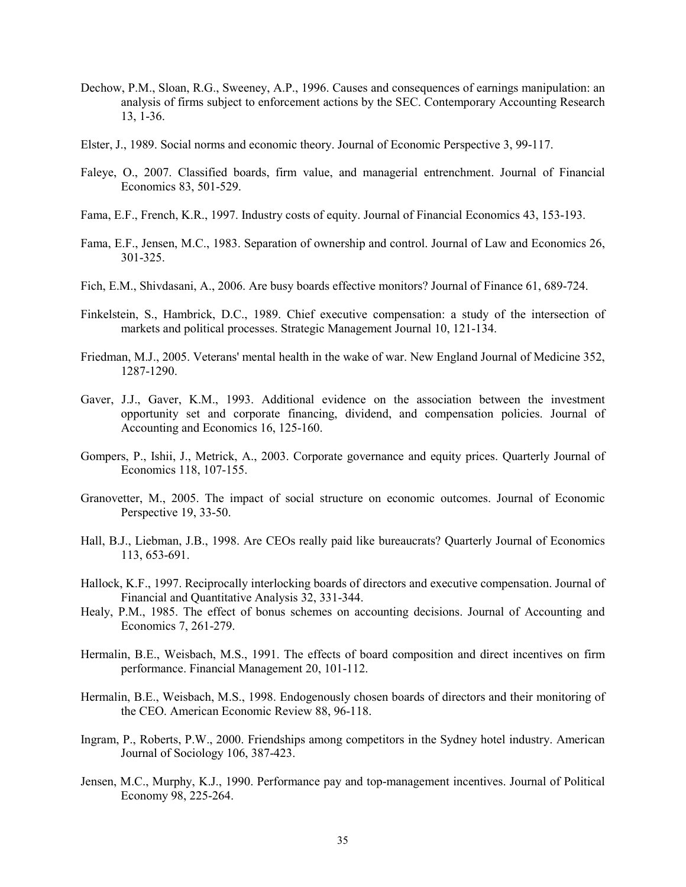- Dechow, P.M., Sloan, R.G., Sweeney, A.P., 1996. Causes and consequences of earnings manipulation: an analysis of firms subject to enforcement actions by the SEC. Contemporary Accounting Research 13, 1-36.
- Elster, J., 1989. Social norms and economic theory. Journal of Economic Perspective 3, 99-117.
- Faleye, O., 2007. Classified boards, firm value, and managerial entrenchment. Journal of Financial Economics 83, 501-529.
- Fama, E.F., French, K.R., 1997. Industry costs of equity. Journal of Financial Economics 43, 153-193.
- Fama, E.F., Jensen, M.C., 1983. Separation of ownership and control. Journal of Law and Economics 26, 301-325.
- Fich, E.M., Shivdasani, A., 2006. Are busy boards effective monitors? Journal of Finance 61, 689-724.
- Finkelstein, S., Hambrick, D.C., 1989. Chief executive compensation: a study of the intersection of markets and political processes. Strategic Management Journal 10, 121-134.
- Friedman, M.J., 2005. Veterans' mental health in the wake of war. New England Journal of Medicine 352, 1287-1290.
- Gaver, J.J., Gaver, K.M., 1993. Additional evidence on the association between the investment opportunity set and corporate financing, dividend, and compensation policies. Journal of Accounting and Economics 16, 125-160.
- Gompers, P., Ishii, J., Metrick, A., 2003. Corporate governance and equity prices. Quarterly Journal of Economics 118, 107-155.
- Granovetter, M., 2005. The impact of social structure on economic outcomes. Journal of Economic Perspective 19, 33-50.
- Hall, B.J., Liebman, J.B., 1998. Are CEOs really paid like bureaucrats? Quarterly Journal of Economics 113, 653-691.
- Hallock, K.F., 1997. Reciprocally interlocking boards of directors and executive compensation. Journal of Financial and Quantitative Analysis 32, 331-344.
- Healy, P.M., 1985. The effect of bonus schemes on accounting decisions. Journal of Accounting and Economics 7, 261-279.
- Hermalin, B.E., Weisbach, M.S., 1991. The effects of board composition and direct incentives on firm performance. Financial Management 20, 101-112.
- Hermalin, B.E., Weisbach, M.S., 1998. Endogenously chosen boards of directors and their monitoring of the CEO. American Economic Review 88, 96-118.
- Ingram, P., Roberts, P.W., 2000. Friendships among competitors in the Sydney hotel industry. American Journal of Sociology 106, 387-423.
- Jensen, M.C., Murphy, K.J., 1990. Performance pay and top-management incentives. Journal of Political Economy 98, 225-264.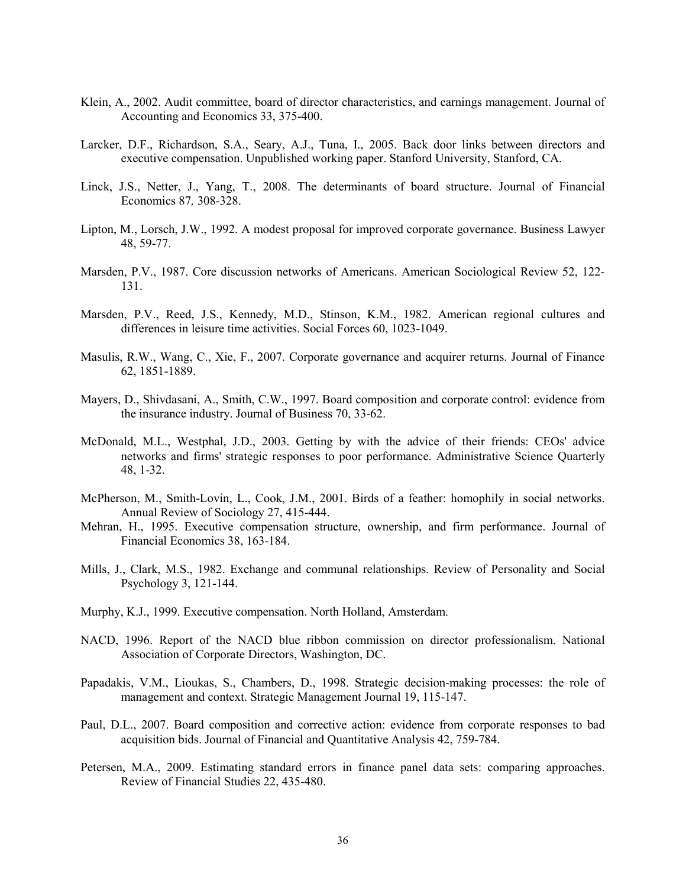- Klein, A., 2002. Audit committee, board of director characteristics, and earnings management. Journal of Accounting and Economics 33, 375-400.
- Larcker, D.F., Richardson, S.A., Seary, A.J., Tuna, I., 2005. Back door links between directors and executive compensation. Unpublished working paper. Stanford University, Stanford, CA.
- Linck, J.S., Netter, J., Yang, T., 2008. The determinants of board structure. Journal of Financial Economics 87*,* 308-328.
- Lipton, M., Lorsch, J.W., 1992. A modest proposal for improved corporate governance. Business Lawyer 48, 59-77.
- Marsden, P.V., 1987. Core discussion networks of Americans. American Sociological Review 52, 122- 131.
- Marsden, P.V., Reed, J.S., Kennedy, M.D., Stinson, K.M., 1982. American regional cultures and differences in leisure time activities. Social Forces 60, 1023-1049.
- Masulis, R.W., Wang, C., Xie, F., 2007. Corporate governance and acquirer returns. Journal of Finance 62, 1851-1889.
- Mayers, D., Shivdasani, A., Smith, C.W., 1997. Board composition and corporate control: evidence from the insurance industry. Journal of Business 70, 33-62.
- McDonald, M.L., Westphal, J.D., 2003. Getting by with the advice of their friends: CEOs' advice networks and firms' strategic responses to poor performance. Administrative Science Quarterly 48, 1-32.
- McPherson, M., Smith-Lovin, L., Cook, J.M., 2001. Birds of a feather: homophily in social networks. Annual Review of Sociology 27, 415-444.
- Mehran, H., 1995. Executive compensation structure, ownership, and firm performance. Journal of Financial Economics 38, 163-184.
- Mills, J., Clark, M.S., 1982. Exchange and communal relationships. Review of Personality and Social Psychology 3, 121-144.
- Murphy, K.J., 1999. Executive compensation. North Holland, Amsterdam.
- NACD, 1996. Report of the NACD blue ribbon commission on director professionalism. National Association of Corporate Directors, Washington, DC.
- Papadakis, V.M., Lioukas, S., Chambers, D., 1998. Strategic decision-making processes: the role of management and context. Strategic Management Journal 19, 115-147.
- Paul, D.L., 2007. Board composition and corrective action: evidence from corporate responses to bad acquisition bids. Journal of Financial and Quantitative Analysis 42, 759-784.
- Petersen, M.A., 2009. Estimating standard errors in finance panel data sets: comparing approaches. Review of Financial Studies 22, 435-480.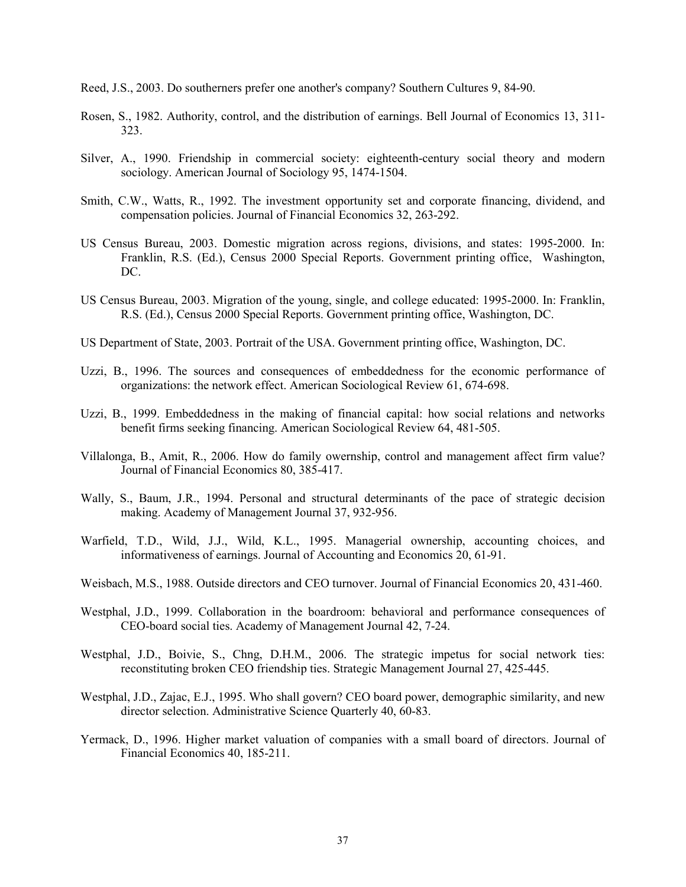- Reed, J.S., 2003. Do southerners prefer one another's company? Southern Cultures 9, 84-90.
- Rosen, S., 1982. Authority, control, and the distribution of earnings. Bell Journal of Economics 13, 311- 323.
- Silver, A., 1990. Friendship in commercial society: eighteenth-century social theory and modern sociology. American Journal of Sociology 95, 1474-1504.
- Smith, C.W., Watts, R., 1992. The investment opportunity set and corporate financing, dividend, and compensation policies. Journal of Financial Economics 32, 263-292.
- US Census Bureau, 2003. Domestic migration across regions, divisions, and states: 1995-2000. In: Franklin, R.S. (Ed.), Census 2000 Special Reports. Government printing office, Washington, DC.
- US Census Bureau, 2003. Migration of the young, single, and college educated: 1995-2000. In: Franklin, R.S. (Ed.), Census 2000 Special Reports. Government printing office, Washington, DC.
- US Department of State, 2003. Portrait of the USA. Government printing office, Washington, DC.
- Uzzi, B., 1996. The sources and consequences of embeddedness for the economic performance of organizations: the network effect. American Sociological Review 61, 674-698.
- Uzzi, B., 1999. Embeddedness in the making of financial capital: how social relations and networks benefit firms seeking financing. American Sociological Review 64, 481-505.
- Villalonga, B., Amit, R., 2006. How do family owernship, control and management affect firm value? Journal of Financial Economics 80, 385-417.
- Wally, S., Baum, J.R., 1994. Personal and structural determinants of the pace of strategic decision making. Academy of Management Journal 37, 932-956.
- Warfield, T.D., Wild, J.J., Wild, K.L., 1995. Managerial ownership, accounting choices, and informativeness of earnings. Journal of Accounting and Economics 20, 61-91.
- Weisbach, M.S., 1988. Outside directors and CEO turnover. Journal of Financial Economics 20, 431-460.
- Westphal, J.D., 1999. Collaboration in the boardroom: behavioral and performance consequences of CEO-board social ties. Academy of Management Journal 42, 7-24.
- Westphal, J.D., Boivie, S., Chng, D.H.M., 2006. The strategic impetus for social network ties: reconstituting broken CEO friendship ties. Strategic Management Journal 27, 425-445.
- Westphal, J.D., Zajac, E.J., 1995. Who shall govern? CEO board power, demographic similarity, and new director selection. Administrative Science Quarterly 40, 60-83.
- Yermack, D., 1996. Higher market valuation of companies with a small board of directors. Journal of Financial Economics 40, 185-211.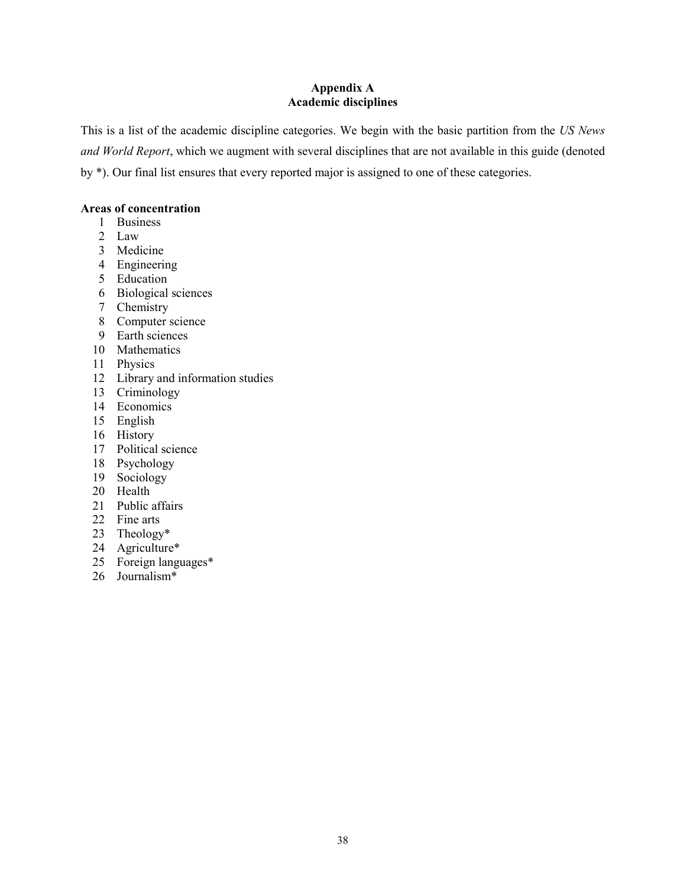## **Appendix A Academic disciplines**

This is a list of the academic discipline categories. We begin with the basic partition from the *US News and World Report*, which we augment with several disciplines that are not available in this guide (denoted by \*). Our final list ensures that every reported major is assigned to one of these categories.

## **Areas of concentration**

- Business
- Law
- Medicine
- Engineering
- Education
- Biological sciences
- Chemistry
- Computer science
- Earth sciences
- Mathematics
- Physics
- Library and information studies
- Criminology
- Economics
- English
- History
- Political science
- Psychology
- Sociology
- Health
- Public affairs
- Fine arts
- Theology\*
- Agriculture\*
- Foreign languages\*
- Journalism\*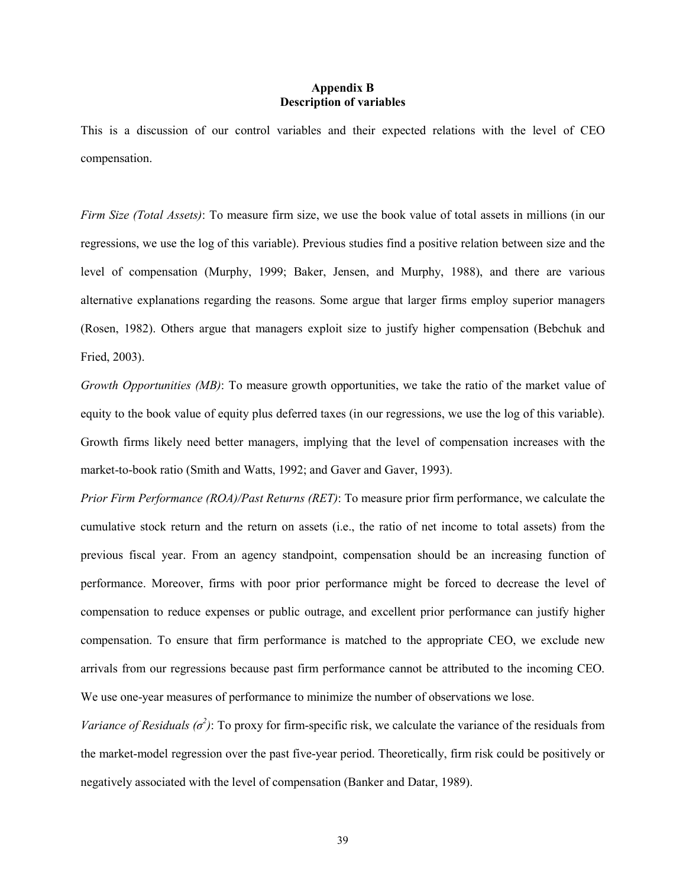## **Appendix B Description of variables**

This is a discussion of our control variables and their expected relations with the level of CEO compensation.

*Firm Size (Total Assets)*: To measure firm size, we use the book value of total assets in millions (in our regressions, we use the log of this variable). Previous studies find a positive relation between size and the level of compensation (Murphy, 1999; Baker, Jensen, and Murphy, 1988), and there are various alternative explanations regarding the reasons. Some argue that larger firms employ superior managers (Rosen, 1982). Others argue that managers exploit size to justify higher compensation (Bebchuk and Fried, 2003).

*Growth Opportunities (MB)*: To measure growth opportunities, we take the ratio of the market value of equity to the book value of equity plus deferred taxes (in our regressions, we use the log of this variable). Growth firms likely need better managers, implying that the level of compensation increases with the market-to-book ratio (Smith and Watts, 1992; and Gaver and Gaver, 1993).

*Prior Firm Performance (ROA)/Past Returns (RET)*: To measure prior firm performance, we calculate the cumulative stock return and the return on assets (i.e., the ratio of net income to total assets) from the previous fiscal year. From an agency standpoint, compensation should be an increasing function of performance. Moreover, firms with poor prior performance might be forced to decrease the level of compensation to reduce expenses or public outrage, and excellent prior performance can justify higher compensation. To ensure that firm performance is matched to the appropriate CEO, we exclude new arrivals from our regressions because past firm performance cannot be attributed to the incoming CEO. We use one-year measures of performance to minimize the number of observations we lose.

*Variance of Residuals*  $(\sigma^2)$ *:* To proxy for firm-specific risk, we calculate the variance of the residuals from the market-model regression over the past five-year period. Theoretically, firm risk could be positively or negatively associated with the level of compensation (Banker and Datar, 1989).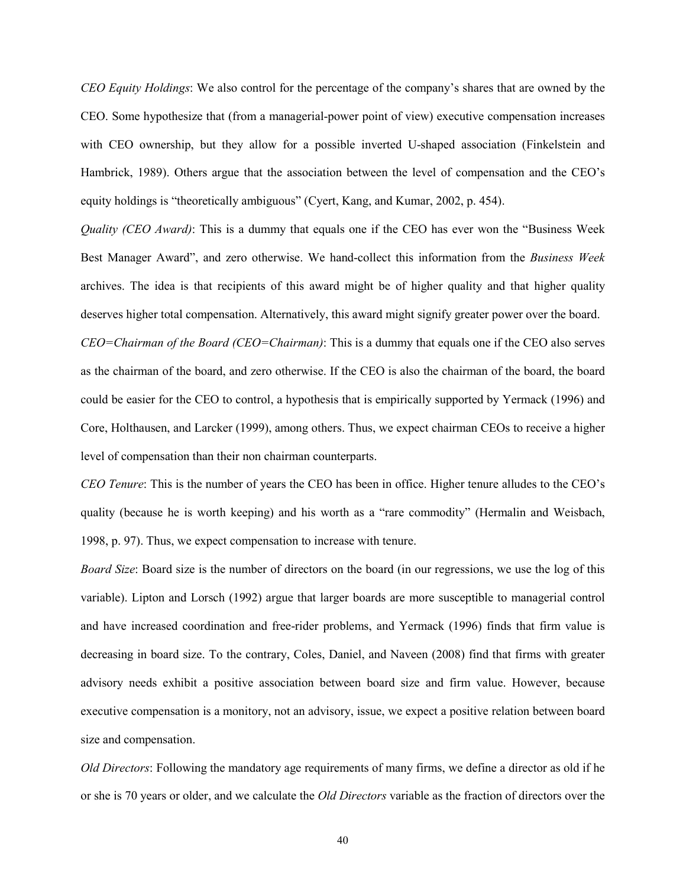*CEO Equity Holdings*: We also control for the percentage of the company's shares that are owned by the CEO. Some hypothesize that (from a managerial-power point of view) executive compensation increases with CEO ownership, but they allow for a possible inverted U-shaped association (Finkelstein and Hambrick, 1989). Others argue that the association between the level of compensation and the CEO's equity holdings is "theoretically ambiguous" (Cyert, Kang, and Kumar, 2002, p. 454).

*Quality (CEO Award)*: This is a dummy that equals one if the CEO has ever won the "Business Week Best Manager Award", and zero otherwise. We hand-collect this information from the *Business Week* archives. The idea is that recipients of this award might be of higher quality and that higher quality deserves higher total compensation. Alternatively, this award might signify greater power over the board.

*CEO=Chairman of the Board (CEO=Chairman)*: This is a dummy that equals one if the CEO also serves as the chairman of the board, and zero otherwise. If the CEO is also the chairman of the board, the board could be easier for the CEO to control, a hypothesis that is empirically supported by Yermack (1996) and Core, Holthausen, and Larcker (1999), among others. Thus, we expect chairman CEOs to receive a higher level of compensation than their non chairman counterparts.

*CEO Tenure*: This is the number of years the CEO has been in office. Higher tenure alludes to the CEO's quality (because he is worth keeping) and his worth as a "rare commodity" (Hermalin and Weisbach, 1998, p. 97). Thus, we expect compensation to increase with tenure.

*Board Size*: Board size is the number of directors on the board (in our regressions, we use the log of this variable). Lipton and Lorsch (1992) argue that larger boards are more susceptible to managerial control and have increased coordination and free-rider problems, and Yermack (1996) finds that firm value is decreasing in board size. To the contrary, Coles, Daniel, and Naveen (2008) find that firms with greater advisory needs exhibit a positive association between board size and firm value. However, because executive compensation is a monitory, not an advisory, issue, we expect a positive relation between board size and compensation.

*Old Directors*: Following the mandatory age requirements of many firms, we define a director as old if he or she is 70 years or older, and we calculate the *Old Directors* variable as the fraction of directors over the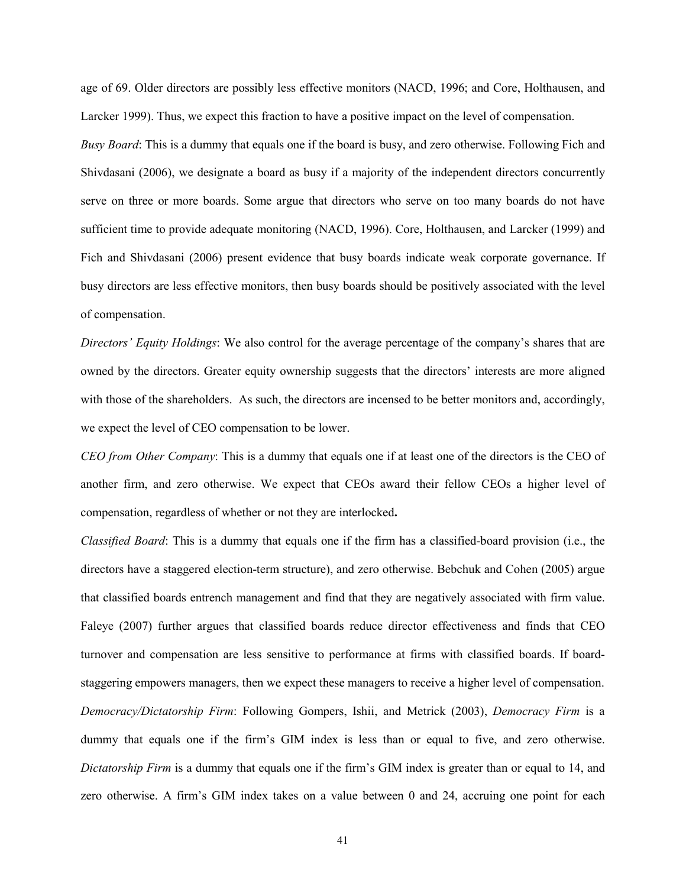age of 69. Older directors are possibly less effective monitors (NACD, 1996; and Core, Holthausen, and Larcker 1999). Thus, we expect this fraction to have a positive impact on the level of compensation.

*Busy Board*: This is a dummy that equals one if the board is busy, and zero otherwise. Following Fich and Shivdasani (2006), we designate a board as busy if a majority of the independent directors concurrently serve on three or more boards. Some argue that directors who serve on too many boards do not have sufficient time to provide adequate monitoring (NACD, 1996). Core, Holthausen, and Larcker (1999) and Fich and Shivdasani (2006) present evidence that busy boards indicate weak corporate governance. If busy directors are less effective monitors, then busy boards should be positively associated with the level of compensation.

*Directors' Equity Holdings*: We also control for the average percentage of the company's shares that are owned by the directors. Greater equity ownership suggests that the directors' interests are more aligned with those of the shareholders. As such, the directors are incensed to be better monitors and, accordingly, we expect the level of CEO compensation to be lower.

*CEO from Other Company*: This is a dummy that equals one if at least one of the directors is the CEO of another firm, and zero otherwise. We expect that CEOs award their fellow CEOs a higher level of compensation, regardless of whether or not they are interlocked**.**

*Classified Board*: This is a dummy that equals one if the firm has a classified-board provision (i.e., the directors have a staggered election-term structure), and zero otherwise. Bebchuk and Cohen (2005) argue that classified boards entrench management and find that they are negatively associated with firm value. Faleye (2007) further argues that classified boards reduce director effectiveness and finds that CEO turnover and compensation are less sensitive to performance at firms with classified boards. If boardstaggering empowers managers, then we expect these managers to receive a higher level of compensation. *Democracy/Dictatorship Firm*: Following Gompers, Ishii, and Metrick (2003), *Democracy Firm* is a dummy that equals one if the firm's GIM index is less than or equal to five, and zero otherwise. *Dictatorship Firm* is a dummy that equals one if the firm's GIM index is greater than or equal to 14, and zero otherwise. A firm's GIM index takes on a value between 0 and 24, accruing one point for each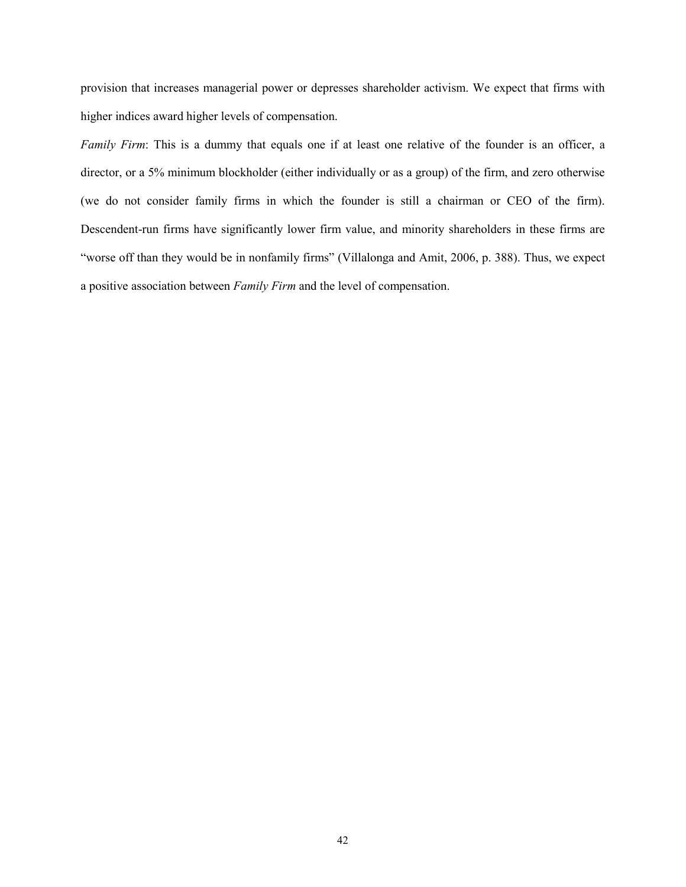provision that increases managerial power or depresses shareholder activism. We expect that firms with higher indices award higher levels of compensation.

*Family Firm*: This is a dummy that equals one if at least one relative of the founder is an officer, a director, or a 5% minimum blockholder (either individually or as a group) of the firm, and zero otherwise (we do not consider family firms in which the founder is still a chairman or CEO of the firm). Descendent-run firms have significantly lower firm value, and minority shareholders in these firms are "worse off than they would be in nonfamily firms" (Villalonga and Amit, 2006, p. 388). Thus, we expect a positive association between *Family Firm* and the level of compensation.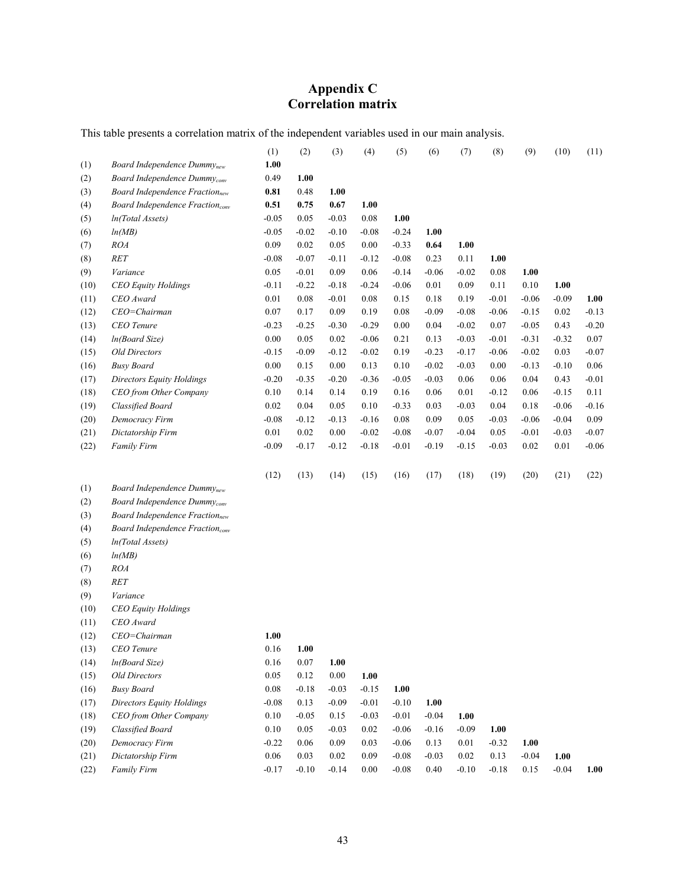# **Appendix C Correlation matrix**

This table presents a correlation matrix of the independent variables used in our main analysis.

|      |                                                   | (1)      | (2)      | (3)      | (4)     | (5)     | (6)     | (7)     | (8)     | (9)     | (10)    | (11)    |
|------|---------------------------------------------------|----------|----------|----------|---------|---------|---------|---------|---------|---------|---------|---------|
| (1)  | Board Independence $Dummynew$                     | 1.00     |          |          |         |         |         |         |         |         |         |         |
| (2)  | Board Independence Dummy <sub>conv</sub>          | 0.49     | 1.00     |          |         |         |         |         |         |         |         |         |
| (3)  | <b>Board Independence Fraction</b> <sub>new</sub> | 0.81     | 0.48     | 1.00     |         |         |         |         |         |         |         |         |
| (4)  | Board Independence Fraction <sub>conv</sub>       | 0.51     | 0.75     | 0.67     | 1.00    |         |         |         |         |         |         |         |
| (5)  | In(Total Assets)                                  | $-0.05$  | 0.05     | $-0.03$  | 0.08    | 1.00    |         |         |         |         |         |         |
| (6)  | ln(MB)                                            | $-0.05$  | $-0.02$  | $-0.10$  | $-0.08$ | $-0.24$ | 1.00    |         |         |         |         |         |
| (7)  | <b>ROA</b>                                        | 0.09     | 0.02     | 0.05     | 0.00    | $-0.33$ | 0.64    | 1.00    |         |         |         |         |
| (8)  | RET                                               | $-0.08$  | $-0.07$  | $-0.11$  | $-0.12$ | $-0.08$ | 0.23    | 0.11    | 1.00    |         |         |         |
| (9)  | Variance                                          | 0.05     | $-0.01$  | 0.09     | 0.06    | $-0.14$ | $-0.06$ | $-0.02$ | 0.08    | 1.00    |         |         |
| (10) | <b>CEO Equity Holdings</b>                        | $-0.11$  | $-0.22$  | $-0.18$  | $-0.24$ | $-0.06$ | 0.01    | 0.09    | 0.11    | 0.10    | 1.00    |         |
| (11) | CEO Award                                         | 0.01     | $0.08\,$ | $-0.01$  | 0.08    | 0.15    | 0.18    | 0.19    | $-0.01$ | $-0.06$ | $-0.09$ | 1.00    |
| (12) | CEO=Chairman                                      | 0.07     | 0.17     | 0.09     | 0.19    | 0.08    | $-0.09$ | $-0.08$ | $-0.06$ | $-0.15$ | 0.02    | $-0.13$ |
| (13) | CEO Tenure                                        | $-0.23$  | $-0.25$  | $-0.30$  | $-0.29$ | 0.00    | 0.04    | $-0.02$ | 0.07    | $-0.05$ | 0.43    | $-0.20$ |
| (14) | In(Board Size)                                    | $0.00\,$ | 0.05     | 0.02     | $-0.06$ | 0.21    | 0.13    | $-0.03$ | $-0.01$ | $-0.31$ | $-0.32$ | 0.07    |
| (15) | <b>Old Directors</b>                              | $-0.15$  | $-0.09$  | $-0.12$  | $-0.02$ | 0.19    | $-0.23$ | $-0.17$ | $-0.06$ | $-0.02$ | 0.03    | $-0.07$ |
| (16) | <b>Busy Board</b>                                 | $0.00\,$ | $0.15\,$ | 0.00     | 0.13    | 0.10    | $-0.02$ | $-0.03$ | 0.00    | $-0.13$ | $-0.10$ | 0.06    |
| (17) | <b>Directors Equity Holdings</b>                  | $-0.20$  | $-0.35$  | $-0.20$  | $-0.36$ | $-0.05$ | $-0.03$ | 0.06    | 0.06    | 0.04    | 0.43    | $-0.01$ |
| (18) | CEO from Other Company                            | 0.10     | 0.14     | 0.14     | 0.19    | 0.16    | 0.06    | 0.01    | $-0.12$ | 0.06    | $-0.15$ | 0.11    |
| (19) | Classified Board                                  | 0.02     | 0.04     | 0.05     | 0.10    | $-0.33$ | 0.03    | $-0.03$ | 0.04    | 0.18    | $-0.06$ | $-0.16$ |
| (20) | Democracy Firm                                    | $-0.08$  | $-0.12$  | $-0.13$  | $-0.16$ | 0.08    | 0.09    | 0.05    | $-0.03$ | $-0.06$ | $-0.04$ | 0.09    |
| (21) | Dictatorship Firm                                 | 0.01     | 0.02     | 0.00     | $-0.02$ | $-0.08$ | $-0.07$ | $-0.04$ | 0.05    | $-0.01$ | $-0.03$ | $-0.07$ |
| (22) | Family Firm                                       | $-0.09$  | $-0.17$  | $-0.12$  | $-0.18$ | $-0.01$ | $-0.19$ | $-0.15$ | $-0.03$ | 0.02    | 0.01    | $-0.06$ |
|      |                                                   |          |          |          |         |         |         |         |         |         |         |         |
|      |                                                   | (12)     | (13)     | (14)     | (15)    | (16)    | (17)    | (18)    | (19)    | (20)    | (21)    | (22)    |
| (1)  | Board Independence Dummy <sub>new</sub>           |          |          |          |         |         |         |         |         |         |         |         |
| (2)  | Board Independence Dummy <sub>conv</sub>          |          |          |          |         |         |         |         |         |         |         |         |
| (3)  | <b>Board Independence Fraction</b> new            |          |          |          |         |         |         |         |         |         |         |         |
| (4)  | Board Independence Fraction <sub>conv</sub>       |          |          |          |         |         |         |         |         |         |         |         |
| (5)  | In(Total Assets)                                  |          |          |          |         |         |         |         |         |         |         |         |
| (6)  | ln(MB)                                            |          |          |          |         |         |         |         |         |         |         |         |
| (7)  | <b>ROA</b>                                        |          |          |          |         |         |         |         |         |         |         |         |
| (8)  | RET                                               |          |          |          |         |         |         |         |         |         |         |         |
| (9)  | Variance                                          |          |          |          |         |         |         |         |         |         |         |         |
| (10) | CEO Equity Holdings                               |          |          |          |         |         |         |         |         |         |         |         |
| (11) | CEO Award                                         |          |          |          |         |         |         |         |         |         |         |         |
| (12) | CEO=Chairman                                      | 1.00     |          |          |         |         |         |         |         |         |         |         |
| (13) | CEO Tenure                                        | 0.16     | 1.00     |          |         |         |         |         |         |         |         |         |
| (14) | In(Board Size)                                    | 0.16     | 0.07     | 1.00     |         |         |         |         |         |         |         |         |
| (15) | <b>Old Directors</b>                              | 0.05     | 0.12     | $0.00\,$ | 1.00    |         |         |         |         |         |         |         |
| (16) | <b>Busy Board</b>                                 | 0.08     | $-0.18$  | $-0.03$  | $-0.15$ | 1.00    |         |         |         |         |         |         |
| (17) | Directors Equity Holdings                         | $-0.08$  | 0.13     | $-0.09$  | $-0.01$ | $-0.10$ | 1.00    |         |         |         |         |         |
| (18) | CEO from Other Company                            | 0.10     | $-0.05$  | 0.15     | $-0.03$ | $-0.01$ | $-0.04$ | 1.00    |         |         |         |         |
| (19) | Classified Board                                  | 0.10     | 0.05     | $-0.03$  | 0.02    | $-0.06$ | $-0.16$ | $-0.09$ | 1.00    |         |         |         |
| (20) | Democracy Firm<br>Dictatorship Firm               | $-0.22$  | 0.06     | 0.09     | 0.03    | $-0.06$ | 0.13    | 0.01    | $-0.32$ | 1.00    |         |         |
| (21) |                                                   | 0.06     | 0.03     | 0.02     | 0.09    | $-0.08$ | $-0.03$ | 0.02    | 0.13    | $-0.04$ | 1.00    |         |
| (22) | Family Firm                                       | $-0.17$  | $-0.10$  | $-0.14$  | 0.00    | $-0.08$ | 0.40    | $-0.10$ | $-0.18$ | 0.15    | $-0.04$ | 1.00    |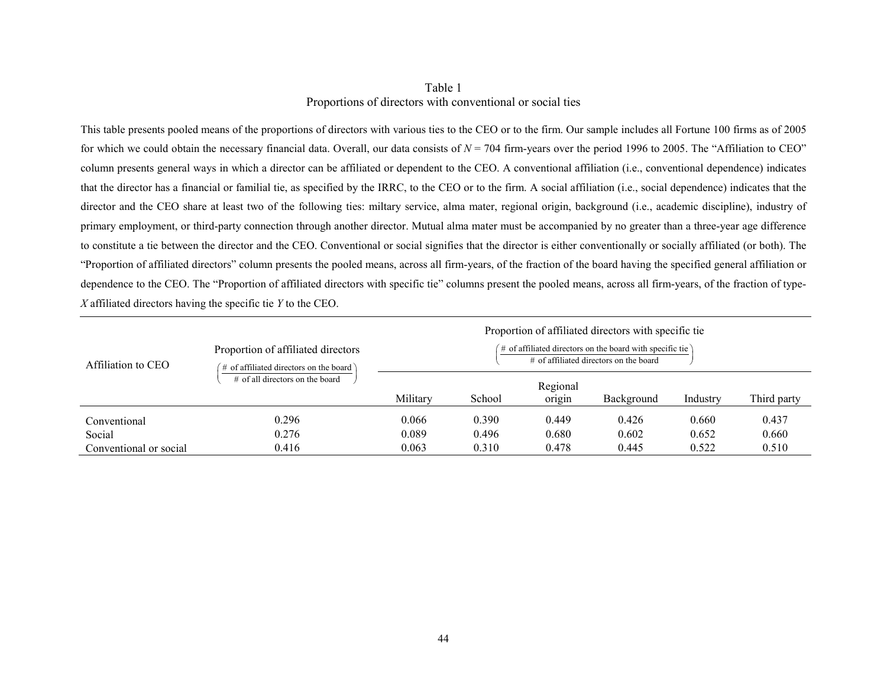# Table 1 Proportions of directors with conventional or social ties

This table presents pooled means of the proportions of directors with various ties to the CEO or to the firm. Our sample includes all Fortune 100 firms as of 2005 for which we could obtain the necessary financial data. Overall, our data consists of  $N = 704$  firm-years over the period 1996 to 2005. The "Affiliation to CEO" column presents general ways in which a director can be affiliated or dependent to the CEO. A conventional affiliation (i.e., conventional dependence) indicates that the director has a financial or familial tie, as specified by the IRRC, to the CEO or to the firm. A social affiliation (i.e., social dependence) indicates that the director and the CEO share at least two of the following ties: miltary service, alma mater, regional origin, background (i.e., academic discipline), industry of primary employment, or third-party connection through another director. Mutual alma mater must be accompanied by no greater than a three-year age difference to constitute a tie between the director and the CEO. Conventional or social signifies that the director is either conventionally or socially affiliated (or both). The "Proportion of affiliated directors" column presents the pooled means, across all firm-years, of the fraction of the board having the specified general affiliation or dependence to the CEO. The "Proportion of affiliated directors with specific tie" columns present the pooled means, across all firm-years, of the fraction of type-*X* affiliated directors having the specific tie *Y* to the CEO.

|                        |                                                                                  | Proportion of affiliated directors with specific tie                                                   |        |                    |            |          |             |  |  |
|------------------------|----------------------------------------------------------------------------------|--------------------------------------------------------------------------------------------------------|--------|--------------------|------------|----------|-------------|--|--|
| Affiliation to CEO     | Proportion of affiliated directors<br>$\#$ of affiliated directors on the board) | $\#$ of affiliated directors on the board with specific tie)<br># of affiliated directors on the board |        |                    |            |          |             |  |  |
|                        | $\#$ of all directors on the board                                               | Military                                                                                               | School | Regional<br>origin | Background | Industry | Third party |  |  |
| Conventional           | 0.296                                                                            | 0.066                                                                                                  | 0.390  | 0.449              | 0.426      | 0.660    | 0.437       |  |  |
| Social                 | 0.276                                                                            | 0.089                                                                                                  | 0.496  | 0.680              | 0.602      | 0.652    | 0.660       |  |  |
| Conventional or social | 0.416                                                                            | 0.063                                                                                                  | 0.310  | 0.478              | 0.445      | 0.522    | 0.510       |  |  |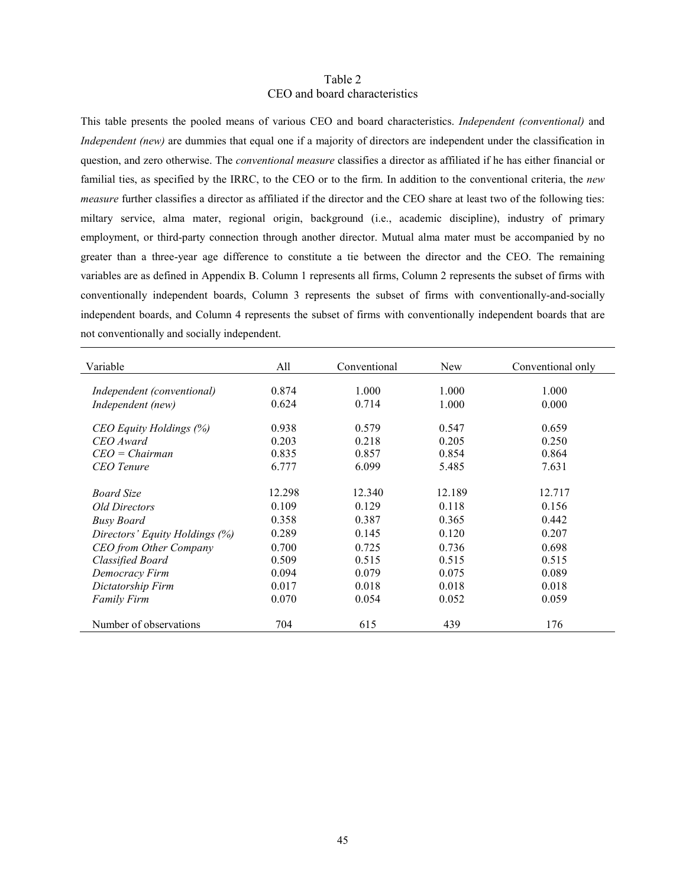## Table 2 CEO and board characteristics

This table presents the pooled means of various CEO and board characteristics. *Independent (conventional)* and *Independent (new)* are dummies that equal one if a majority of directors are independent under the classification in question, and zero otherwise. The *conventional measure* classifies a director as affiliated if he has either financial or familial ties, as specified by the IRRC, to the CEO or to the firm. In addition to the conventional criteria, the *new measure* further classifies a director as affiliated if the director and the CEO share at least two of the following ties: miltary service, alma mater, regional origin, background (i.e., academic discipline), industry of primary employment, or third-party connection through another director. Mutual alma mater must be accompanied by no greater than a three-year age difference to constitute a tie between the director and the CEO. The remaining variables are as defined in Appendix B. Column 1 represents all firms, Column 2 represents the subset of firms with conventionally independent boards, Column 3 represents the subset of firms with conventionally-and-socially independent boards, and Column 4 represents the subset of firms with conventionally independent boards that are not conventionally and socially independent.

| Variable                       | All    | Conventional | New    | Conventional only |
|--------------------------------|--------|--------------|--------|-------------------|
| Independent (conventional)     | 0.874  | 1.000        | 1.000  | 1.000             |
| Independent (new)              | 0.624  | 0.714        | 1.000  | 0.000             |
| CEO Equity Holdings (%)        | 0.938  | 0.579        | 0.547  | 0.659             |
| CEO Award                      | 0.203  | 0.218        | 0.205  | 0.250             |
| $CEO = Chairman$               | 0.835  | 0.857        | 0.854  | 0.864             |
| <b>CEO</b> Tenure              | 6.777  | 6.099        | 5.485  | 7.631             |
| <b>Board Size</b>              | 12.298 | 12.340       | 12.189 | 12.717            |
| <i>Old Directors</i>           | 0.109  | 0.129        | 0.118  | 0.156             |
| <b>Busy Board</b>              | 0.358  | 0.387        | 0.365  | 0.442             |
| Directors' Equity Holdings (%) | 0.289  | 0.145        | 0.120  | 0.207             |
| <b>CEO</b> from Other Company  | 0.700  | 0.725        | 0.736  | 0.698             |
| Classified Board               | 0.509  | 0.515        | 0.515  | 0.515             |
| Democracy Firm                 | 0.094  | 0.079        | 0.075  | 0.089             |
| Dictatorship Firm              | 0.017  | 0.018        | 0.018  | 0.018             |
| <b>Family Firm</b>             | 0.070  | 0.054        | 0.052  | 0.059             |
| Number of observations         | 704    | 615          | 439    | 176               |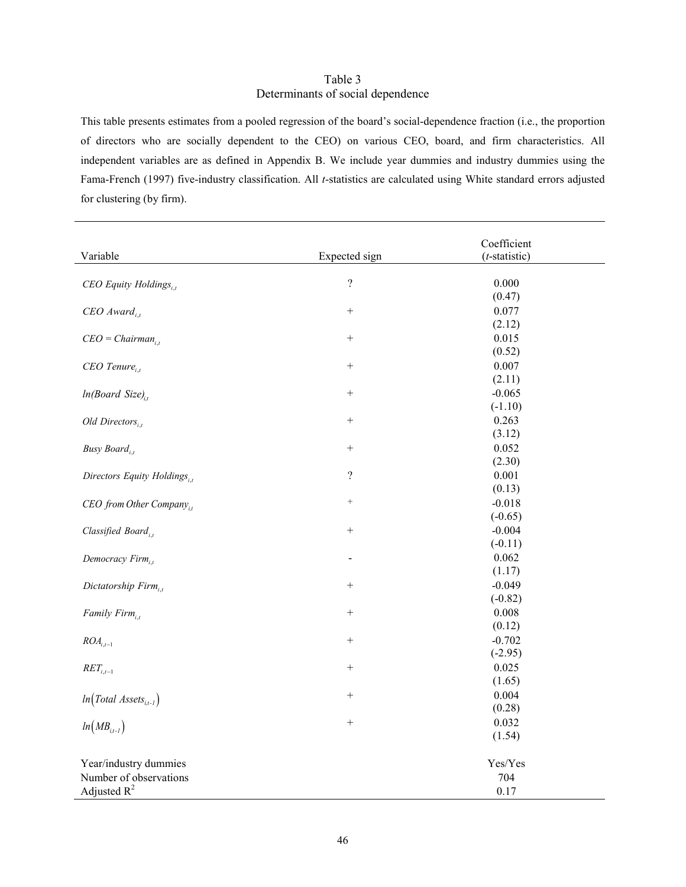## Table 3 Determinants of social dependence

This table presents estimates from a pooled regression of the board's social-dependence fraction (i.e., the proportion of directors who are socially dependent to the CEO) on various CEO, board, and firm characteristics. All independent variables are as defined in Appendix B. We include year dummies and industry dummies using the Fama-French (1997) five-industry classification. All *t*-statistics are calculated using White standard errors adjusted for clustering (by firm).

|                                        |                   | Coefficient      |  |
|----------------------------------------|-------------------|------------------|--|
| Variable                               | Expected sign     | $(t$ -statistic) |  |
|                                        | $\overline{?}$    | 0.000            |  |
| CEO Equity Holdings,                   |                   | (0.47)           |  |
| $CEO$ Award <sub>it</sub>              | $\! + \!$         | 0.077            |  |
|                                        |                   | (2.12)           |  |
| $CEO = Chairman_{i,t}$                 | $\! + \!$         | 0.015            |  |
|                                        |                   | (0.52)           |  |
| $CEO$ Tenure <sub>i.t</sub>            | $\! + \!$         | 0.007            |  |
|                                        |                   | (2.11)           |  |
| $ln(Board Size)_{i}$                   | $\qquad \qquad +$ | $-0.065$         |  |
|                                        |                   | $(-1.10)$        |  |
| Old Directors $_{i,t}$                 | $+$               | 0.263            |  |
|                                        |                   | (3.12)           |  |
| Busy Board,                            | $\! + \!$         | 0.052            |  |
|                                        |                   | (2.30)           |  |
| Directors Equity Holdings $_{i,t}$     | $\overline{?}$    | 0.001            |  |
|                                        |                   | (0.13)           |  |
| $CEO$ from Other Company <sub>it</sub> | $^+$              | $-0.018$         |  |
|                                        |                   | $(-0.65)$        |  |
| Classified Board,                      | $\! +$            | $-0.004$         |  |
|                                        |                   | $(-0.11)$        |  |
| Democracy $Firm_{i,t}$                 |                   | 0.062            |  |
|                                        |                   | (1.17)           |  |
| Dictatorship Firm,                     | $^{+}$            | $-0.049$         |  |
|                                        |                   | $(-0.82)$        |  |
| Family $Firm_{i,t}$                    |                   | 0.008            |  |
|                                        |                   | (0.12)           |  |
| $ROA_{i,t-1}$                          | $\! +$            | $-0.702$         |  |
|                                        |                   | $(-2.95)$        |  |
| $RET_{i,t-1}$                          | $\qquad \qquad +$ | 0.025            |  |
|                                        |                   | (1.65)           |  |
| $ln(Total \text{ Assets}_{i,t-1})$     | $^{+}$            | 0.004            |  |
|                                        |                   | (0.28)           |  |
| $ln(MB_{i,t-1})$                       |                   | 0.032            |  |
|                                        |                   | (1.54)           |  |
| Year/industry dummies                  |                   | Yes/Yes          |  |
| Number of observations                 |                   | 704              |  |
| Adjusted $R^2$                         |                   | 0.17             |  |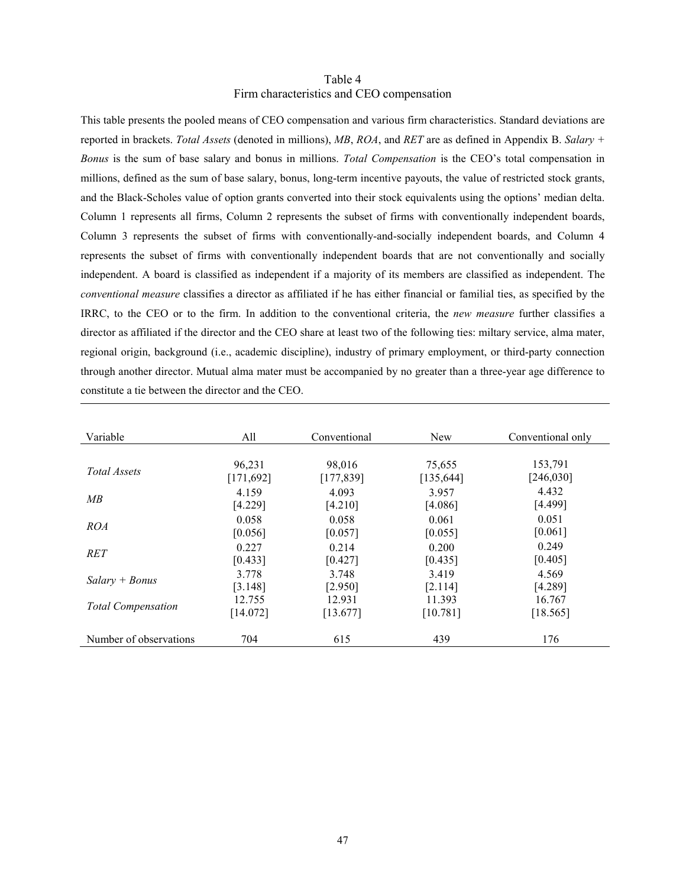## Table 4 Firm characteristics and CEO compensation

This table presents the pooled means of CEO compensation and various firm characteristics. Standard deviations are reported in brackets. *Total Assets* (denoted in millions), *MB*, *ROA*, and *RET* are as defined in Appendix B. *Salary + Bonus* is the sum of base salary and bonus in millions. *Total Compensation* is the CEO's total compensation in millions, defined as the sum of base salary, bonus, long-term incentive payouts, the value of restricted stock grants, and the Black-Scholes value of option grants converted into their stock equivalents using the options' median delta. Column 1 represents all firms, Column 2 represents the subset of firms with conventionally independent boards, Column 3 represents the subset of firms with conventionally-and-socially independent boards, and Column 4 represents the subset of firms with conventionally independent boards that are not conventionally and socially independent. A board is classified as independent if a majority of its members are classified as independent. The *conventional measure* classifies a director as affiliated if he has either financial or familial ties, as specified by the IRRC, to the CEO or to the firm. In addition to the conventional criteria, the *new measure* further classifies a director as affiliated if the director and the CEO share at least two of the following ties: miltary service, alma mater, regional origin, background (i.e., academic discipline), industry of primary employment, or third-party connection through another director. Mutual alma mater must be accompanied by no greater than a three-year age difference to constitute a tie between the director and the CEO.

| Variable                  | All        | Conventional | New        | Conventional only |
|---------------------------|------------|--------------|------------|-------------------|
|                           |            |              |            |                   |
|                           | 96,231     | 98,016       | 75,655     | 153,791           |
| Total Assets              | [171, 692] | [177, 839]   | [135, 644] | [246, 030]        |
| MB                        | 4.159      | 4.093        | 3.957      | 4.432             |
|                           | [4.229]    | [4.210]      | [4.086]    | [4.499]           |
|                           | 0.058      | 0.058        | 0.061      | 0.051             |
| <i>ROA</i>                | [0.056]    | [0.057]      | [0.055]    | [0.061]           |
|                           | 0.227      | 0.214        | 0.200      | 0.249             |
| <b>RET</b>                | [0.433]    | [0.427]      | [0.435]    | [0.405]           |
|                           | 3.778      | 3.748        | 3.419      | 4.569             |
| $Salarv + Bonus$          | [3.148]    | [2.950]      | [2.114]    | [4.289]           |
|                           | 12.755     | 12.931       | 11.393     | 16.767            |
| <b>Total Compensation</b> | [14.072]   | [13.677]     | [10.781]   | [18.565]          |
|                           |            |              |            |                   |
| Number of observations    | 704        | 615          | 439        | 176               |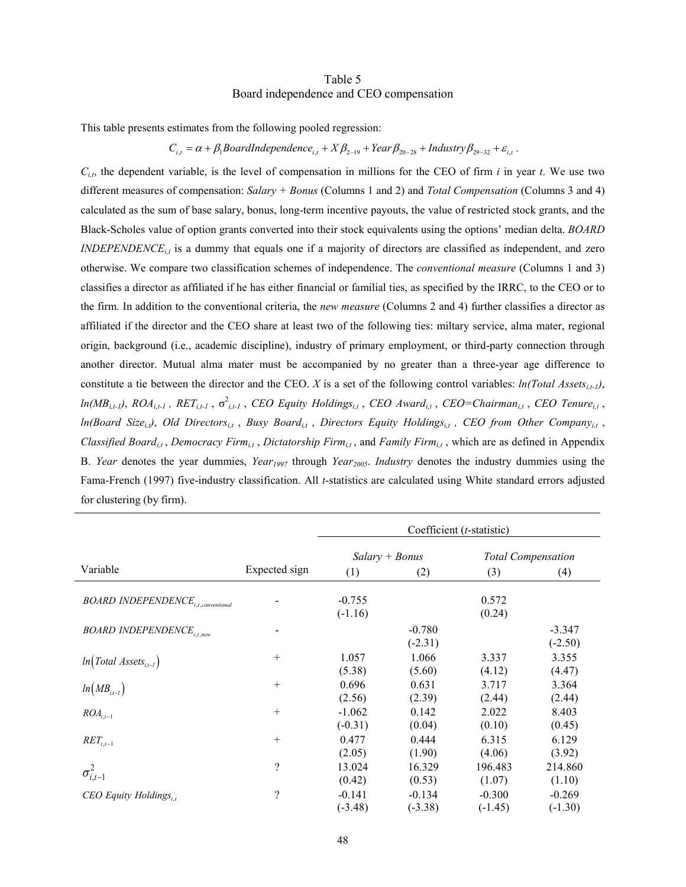## Table 5 Board independence and CEO compensation

This table presents estimates from the following pooled regression:

# $C_{i,t} = \alpha + \beta_1$ BoardIndependence<sub>i,t</sub> +  $X\beta_{2-19}$  + Year  $\beta_{20-28}$  + Industry  $\beta_{29-32}$  +  $\varepsilon_{i,t}$ .

*Ci,t*, the dependent variable, is the level of compensation in millions for the CEO of firm *i* in year *t*. We use two different measures of compensation: *Salary + Bonus* (Columns 1 and 2) and *Total Compensation* (Columns 3 and 4) calculated as the sum of base salary, bonus, long-term incentive payouts, the value of restricted stock grants, and the Black-Scholes value of option grants converted into their stock equivalents using the options' median delta. *BOARD*   $INDEPENDENCE_{i,t}$  is a dummy that equals one if a majority of directors are classified as independent, and zero otherwise. We compare two classification schemes of independence. The *conventional measure* (Columns 1 and 3) classifies a director as affiliated if he has either financial or familial ties, as specified by the IRRC, to the CEO or to the firm. In addition to the conventional criteria, the *new measure* (Columns 2 and 4) further classifies a director as affiliated if the director and the CEO share at least two of the following ties: miltary service, alma mater, regional origin, background (i.e., academic discipline), industry of primary employment, or third-party connection through another director. Mutual alma mater must be accompanied by no greater than a three-year age difference to constitute a tie between the director and the CEO. *X* is a set of the following control variables:  $ln(Total Assets_{i,t-1})$ ,  $ln(MB_{i,t})$ ,  $ROA_{i,t-1}$ ,  $RET_{i,t-1}$ ,  $\sigma_{i,t-1}^2$ ,  $CEO$  Equity Holdings<sub>i,t</sub>,  $CEO$   $Award_{i,t}$ ,  $CEO$   $Chairman_{i,t}$ ,  $CEO$   $Tenure_{i,t}$ , *ln(Board Size<sub>i,t</sub>)*, *Old Directors<sub>i,t</sub>*, *Busy Board<sub>i,t</sub>*, *Directors Equity Holdings<sub>i,t</sub></sub>, <i>CEO from Other Company*<sub>i,t</sub> *Classified Boardi,t* , *Democracy Firmi,t* , *Dictatorship Firmi,t* , and *Family Firmi,t* , which are as defined in Appendix B. *Year* denotes the year dummies, *Year<sub>1997</sub>* through *Year<sub>2005</sub>*. *Industry* denotes the industry dummies using the Fama-French (1997) five-industry classification. All *t*-statistics are calculated using White standard errors adjusted for clustering (by firm).

|                                                       |                          | Coefficient ( <i>t</i> -statistic) |                       |                       |                           |  |  |
|-------------------------------------------------------|--------------------------|------------------------------------|-----------------------|-----------------------|---------------------------|--|--|
|                                                       |                          |                                    | $Salary + Bonus$      |                       | <b>Total Compensation</b> |  |  |
| Variable                                              | Expected sign            | (1)                                | (2)                   | (3)                   | (4)                       |  |  |
| <b>BOARD INDEPENDENCE</b> <sub>i.t.conventional</sub> |                          | $-0.755$<br>$(-1.16)$              |                       | 0.572<br>(0.24)       |                           |  |  |
| <b>BOARD INDEPENDENCE</b> <sub>i.t.new</sub>          |                          |                                    | $-0.780$<br>$(-2.31)$ |                       | $-3.347$<br>$(-2.50)$     |  |  |
| $ln(Total Assets_{i,t-1})$                            | $+$                      | 1.057<br>(5.38)                    | 1.066<br>(5.60)       | 3.337<br>(4.12)       | 3.355<br>(4.47)           |  |  |
| $ln(MB_{i,t-1})$                                      | $^{+}$                   | 0.696<br>(2.56)                    | 0.631<br>(2.39)       | 3.717<br>(2.44)       | 3.364<br>(2.44)           |  |  |
| $ROA_{i,t-1}$                                         | $+$                      | $-1.062$<br>$(-0.31)$              | 0.142<br>(0.04)       | 2.022<br>(0.10)       | 8.403<br>(0.45)           |  |  |
| $RET_{i,t-1}$                                         | $^{+}$                   | 0.477<br>(2.05)                    | 0.444<br>(1.90)       | 6.315<br>(4.06)       | 6.129<br>(3.92)           |  |  |
| $\sigma_{i,t-1}^2$                                    | $\overline{\mathcal{C}}$ | 13.024<br>(0.42)                   | 16.329<br>(0.53)      | 196.483<br>(1.07)     | 214.860<br>(1.10)         |  |  |
| CEO Equity Holdings,                                  | $\overline{\mathcal{C}}$ | $-0.141$<br>$(-3.48)$              | $-0.134$<br>$(-3.38)$ | $-0.300$<br>$(-1.45)$ | $-0.269$<br>$(-1.30)$     |  |  |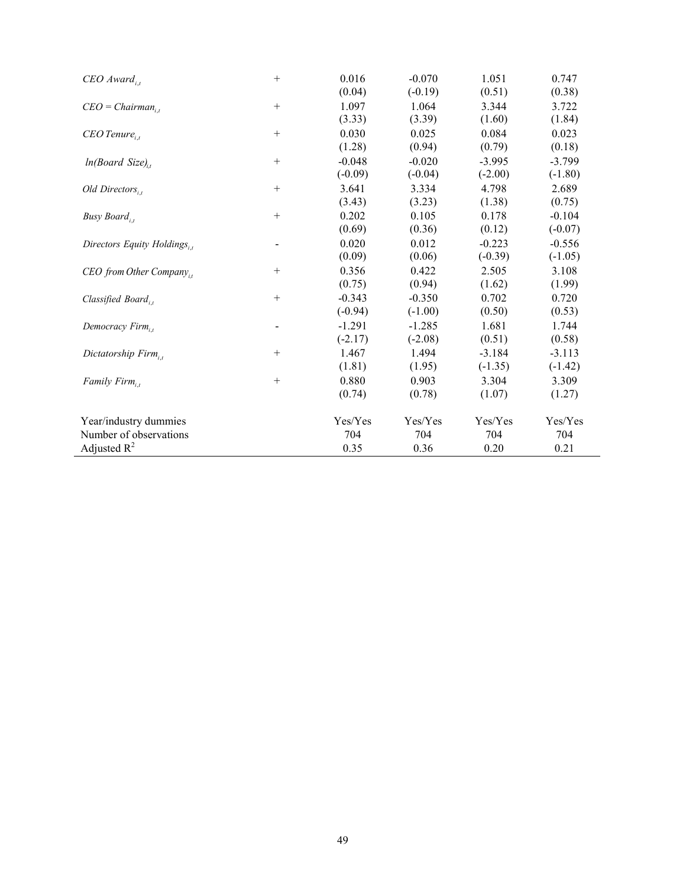| $CEO$ Award,                         | $^{+}$ | 0.016                 | $-0.070$              | 1.051                 | 0.747                 |
|--------------------------------------|--------|-----------------------|-----------------------|-----------------------|-----------------------|
| $CEO = Chairman_{i,t}$               | $+$    | (0.04)<br>1.097       | $(-0.19)$<br>1.064    | (0.51)<br>3.344       | (0.38)<br>3.722       |
| $CEO$ Tenure,                        | $^{+}$ | (3.33)<br>0.030       | (3.39)<br>0.025       | (1.60)<br>0.084       | (1.84)<br>0.023       |
| $ln(Board Size)_{i}$                 | $^{+}$ | (1.28)<br>$-0.048$    | (0.94)<br>$-0.020$    | (0.79)<br>$-3.995$    | (0.18)<br>$-3.799$    |
| Old Directors,                       | $+$    | $(-0.09)$<br>3.641    | $(-0.04)$<br>3.334    | $(-2.00)$<br>4.798    | $(-1.80)$<br>2.689    |
| Busy Board,                          | $^{+}$ | (3.43)<br>0.202       | (3.23)<br>0.105       | (1.38)<br>0.178       | (0.75)<br>$-0.104$    |
| Directors Equity Holdings,           |        | (0.69)<br>0.020       | (0.36)<br>0.012       | (0.12)<br>$-0.223$    | $(-0.07)$<br>$-0.556$ |
| CEO from Other Company <sub>it</sub> | $^{+}$ | (0.09)<br>0.356       | (0.06)<br>0.422       | $(-0.39)$<br>2.505    | $(-1.05)$<br>3.108    |
|                                      |        | (0.75)                | (0.94)                | (1.62)                | (1.99)                |
| Classified Board,                    | $^{+}$ | $-0.343$<br>$(-0.94)$ | $-0.350$<br>$(-1.00)$ | 0.702<br>(0.50)       | 0.720<br>(0.53)       |
| Democracy $Firm_{i}$ ,               |        | $-1.291$<br>$(-2.17)$ | $-1.285$<br>$(-2.08)$ | 1.681<br>(0.51)       | 1.744<br>(0.58)       |
| Dictatorship Firm,                   | $^{+}$ | 1.467<br>(1.81)       | 1.494<br>(1.95)       | $-3.184$<br>$(-1.35)$ | $-3.113$<br>$(-1.42)$ |
| Family Firm,                         | $^{+}$ | 0.880<br>(0.74)       | 0.903<br>(0.78)       | 3.304<br>(1.07)       | 3.309<br>(1.27)       |
| Year/industry dummies                |        | Yes/Yes               | Yes/Yes               | Yes/Yes               | Yes/Yes               |
| Number of observations               |        | 704                   | 704                   | 704                   | 704                   |
| Adjusted $R^2$                       |        | 0.35                  | 0.36                  | 0.20                  | 0.21                  |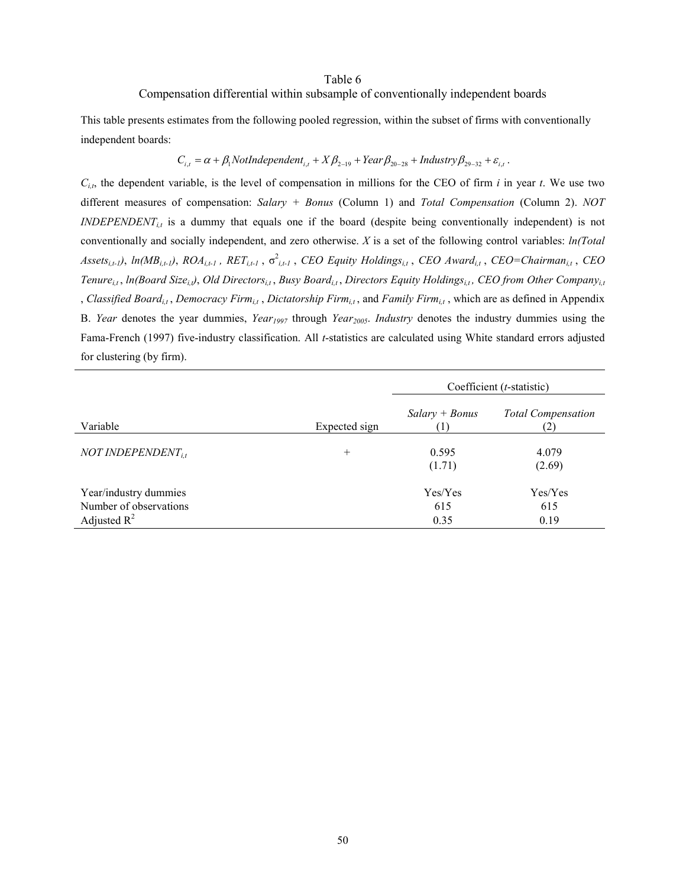#### Table 6

## Compensation differential within subsample of conventionally independent boards

This table presents estimates from the following pooled regression, within the subset of firms with conventionally independent boards:

$$
C_{i,t} = \alpha + \beta_1 \text{NotIndependent}_{i,t} + X\beta_{2-19} + Year\beta_{20-28} + Industry\beta_{29-32} + \varepsilon_{i,t}.
$$

 $C_{i,t}$ , the dependent variable, is the level of compensation in millions for the CEO of firm *i* in year *t*. We use two different measures of compensation: *Salary + Bonus* (Column 1) and *Total Compensation* (Column 2). *NOT*   $INDEPENDENT_{i,t}$  is a dummy that equals one if the board (despite being conventionally independent) is not conventionally and socially independent, and zero otherwise. *X* is a set of the following control variables: *ln(Total*   $A$ ssets<sub>i,t-1</sub>), *ln*( $MB$ <sub>i,t-1</sub>),  $ROA$ <sub>i,t-1</sub>,  $RET$ <sub>i,t-1</sub>,  $\sigma$ <sup>2</sup><sub>i,t-1</sub>, *CEO* Equity Holdings<sub>i,t</sub>, *CEO* Award<sub>i,t</sub>, *CEO*=Chairman<sub>i,t</sub>, *CEO Tenure<sub>it</sub>*, *ln(Board Size<sub>it</sub>)*, *Old Directors*<sub>it</sub>, *Busy Board*<sub>it</sub>, *Directors Equity Holdings*<sub>it</sub>, *CEO from Other Company*<sub>it</sub> , *Classified Boardi,t* , *Democracy Firmi,t* , *Dictatorship Firmi,t* , and *Family Firmi,t* , which are as defined in Appendix B. *Year* denotes the year dummies, *Year<sub>1997</sub>* through *Year<sub>2005</sub>*. *Industry* denotes the industry dummies using the Fama-French (1997) five-industry classification. All *t*-statistics are calculated using White standard errors adjusted for clustering (by firm).

|                                                                   |               | Coefficient ( <i>t</i> -statistic) |                           |  |  |
|-------------------------------------------------------------------|---------------|------------------------------------|---------------------------|--|--|
| Variable                                                          | Expected sign | $Salary + Bonus$                   | <b>Total Compensation</b> |  |  |
| NOT INDEPENDENT $_{it}$                                           | $^{+}$        | 0.595<br>(1.71)                    | 4.079<br>(2.69)           |  |  |
| Year/industry dummies<br>Number of observations<br>Adjusted $R^2$ |               | Yes/Yes<br>615<br>0.35             | Yes/Yes<br>615<br>0.19    |  |  |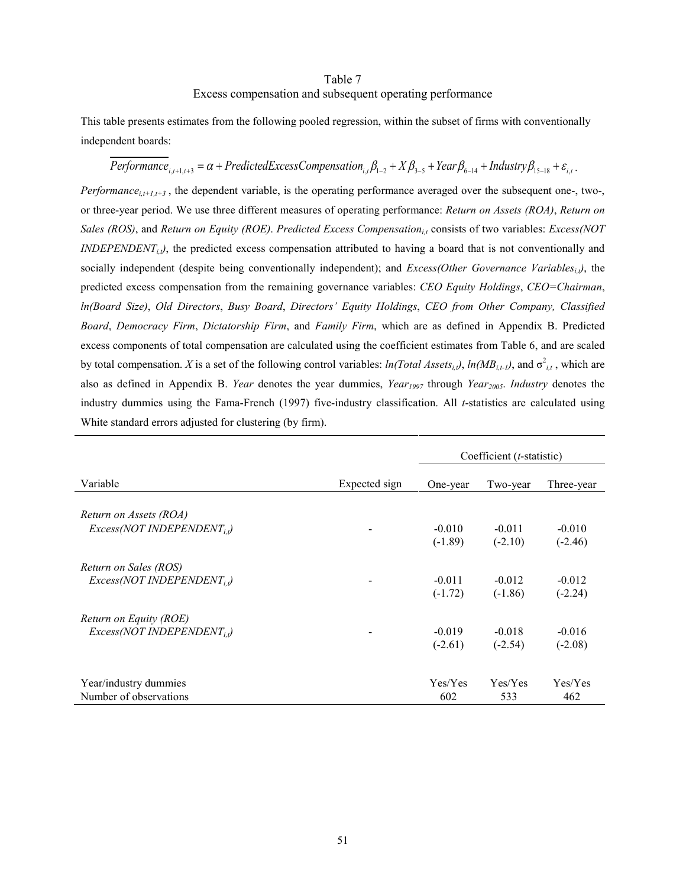## Table 7 Excess compensation and subsequent operating performance

This table presents estimates from the following pooled regression, within the subset of firms with conventionally independent boards:

# $Performance_{i,t+1,t+3} = \alpha + PredictedExcessComparison_{i,t}\beta_{1-2} + X\beta_{3-5} + Year\beta_{6-14} + Industry\beta_{15-18} + \varepsilon_{i,t}$ .

*Performance*<sub>i,t+1,t+3</sub>, the dependent variable, is the operating performance averaged over the subsequent one-, two-, or three-year period. We use three different measures of operating performance: *Return on Assets (ROA)*, *Return on Sales (ROS)*, and *Return on Equity (ROE)*. *Predicted Excess Compensationi,t* consists of two variables: *Excess(NOT INDEPENDENT<sub>ij</sub>*), the predicted excess compensation attributed to having a board that is not conventionally and socially independent (despite being conventionally independent); and *Excess(Other Governance Variables<sub>i,t</sub>)*, the predicted excess compensation from the remaining governance variables: *CEO Equity Holdings*, *CEO=Chairman*, *ln(Board Size)*, *Old Directors*, *Busy Board*, *Directors' Equity Holdings*, *CEO from Other Company, Classified Board*, *Democracy Firm*, *Dictatorship Firm*, and *Family Firm*, which are as defined in Appendix B. Predicted excess components of total compensation are calculated using the coefficient estimates from Table 6, and are scaled by total compensation. *X* is a set of the following control variables:  $ln(Total Assets_{i,t})$ ,  $ln(MB_{i,t})$ , and  $\sigma^2_{i,t}$ , which are also as defined in Appendix B. *Year* denotes the year dummies, *Year1997* through *Year2005*. *Industry* denotes the industry dummies using the Fama-French (1997) five-industry classification. All *t*-statistics are calculated using White standard errors adjusted for clustering (by firm).

|                                                            |                          | Coefficient $(t\text{-statistic})$ |                       |                       |  |
|------------------------------------------------------------|--------------------------|------------------------------------|-----------------------|-----------------------|--|
| Variable                                                   | Expected sign            | One-year                           | Two-year              | Three-year            |  |
| Return on Assets (ROA)                                     |                          |                                    |                       |                       |  |
| $Excess(NOT\ INDEPENDENT_{i},)$                            | $\overline{\phantom{a}}$ | $-0.010$<br>$(-1.89)$              | $-0.011$<br>$(-2.10)$ | $-0.010$<br>$(-2.46)$ |  |
| Return on Sales (ROS)<br>$Excess(NOT\ INDEPENDENT_{i},)$   |                          | $-0.011$<br>$(-1.72)$              | $-0.012$<br>$(-1.86)$ | $-0.012$<br>$(-2.24)$ |  |
| Return on Equity (ROE)<br>$Excess(NOT\ INDEPENDENT_{i,i})$ |                          | $-0.019$<br>$(-2.61)$              | $-0.018$<br>$(-2.54)$ | $-0.016$<br>$(-2.08)$ |  |
| Year/industry dummies<br>Number of observations            |                          | Yes/Yes<br>602                     | Yes/Yes<br>533        | Yes/Yes<br>462        |  |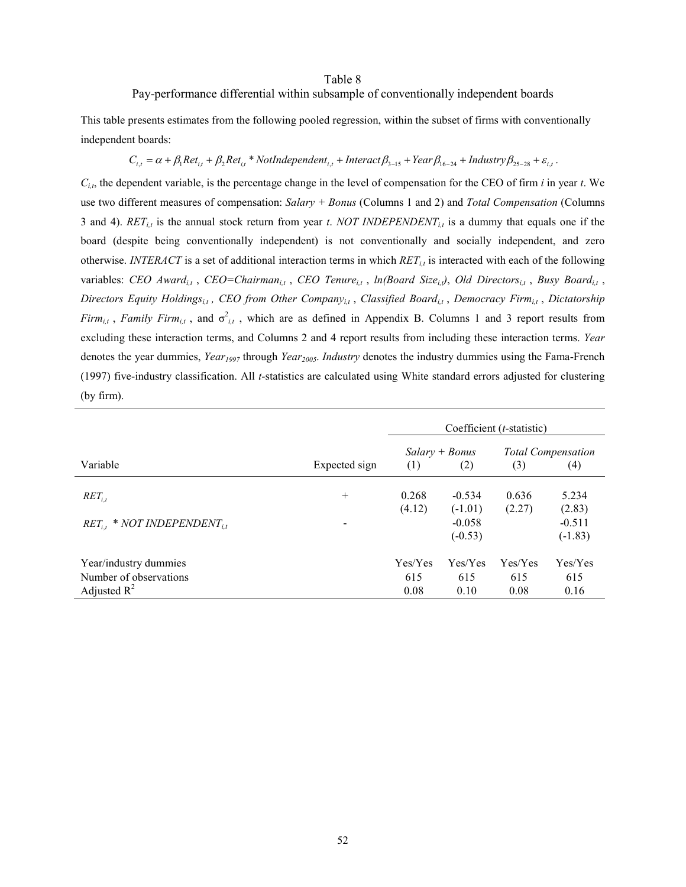#### Table 8

## Pay-performance differential within subsample of conventionally independent boards

This table presents estimates from the following pooled regression, within the subset of firms with conventionally independent boards:

## $C_{i,t} = \alpha + \beta_1 Ret_{i,t} + \beta_2Ret_{i,t} * \text{NotIndependent}_{i,t} + \text{Interact}\beta_{3-15} + \text{Year}\beta_{16-24} + \text{Industry}\beta_{25-28} + \varepsilon_{i,t}$ .

*Ci,t*, the dependent variable, is the percentage change in the level of compensation for the CEO of firm *i* in year *t*. We use two different measures of compensation: *Salary + Bonus* (Columns 1 and 2) and *Total Compensation* (Columns 3 and 4). *RETi,t* is the annual stock return from year *t*. *NOT INDEPENDENTi,t* is a dummy that equals one if the board (despite being conventionally independent) is not conventionally and socially independent, and zero otherwise. *INTERACT* is a set of additional interaction terms in which *RETi,t* is interacted with each of the following variables: *CEO Award<sub>it</sub>*, *CEO=Chairman<sub>it</sub>*, *CEO Tenure<sub>it</sub>*, *ln(Board Size<sub>it</sub>)*, *Old Directors<sub>it</sub>*, *Busy Board<sub>it</sub>*, *Directors Equity Holdingsi,t , CEO from Other Companyi,t* , *Classified Boardi,t* , *Democracy Firmi,t* , *Dictatorship Firm*<sub>it</sub>, *Family Firm*<sub>it</sub>, and  $\sigma^2_{i,t}$ , which are as defined in Appendix B. Columns 1 and 3 report results from excluding these interaction terms, and Columns 2 and 4 report results from including these interaction terms. *Year* denotes the year dummies, *Year<sub>1997</sub>* through *Year<sub>2005</sub>*. *Industry* denotes the industry dummies using the Fama-French (1997) five-industry classification. All *t*-statistics are calculated using White standard errors adjusted for clustering (by firm).

|                                             |               | Coefficient $(t\text{-statistic})$ |                                    |             |                                  |  |
|---------------------------------------------|---------------|------------------------------------|------------------------------------|-------------|----------------------------------|--|
| Variable                                    | Expected sign | (1)                                | $Salary + Bonus$<br>(2)            | (3)         | <b>Total Compensation</b><br>(4) |  |
| $RET_{i,t}$                                 | $^{+}$        | 0.268                              | $-0.534$                           | 0.636       | 5.234                            |  |
| $RET_{i,t}$ * NOT INDEPENDENT <sub>it</sub> |               | (4.12)                             | $(-1.01)$<br>$-0.058$<br>$(-0.53)$ | (2.27)      | (2.83)<br>$-0.511$<br>$(-1.83)$  |  |
| Year/industry dummies                       |               | Yes/Yes                            | Yes/Yes                            | Yes/Yes     | Yes/Yes                          |  |
| Number of observations<br>Adjusted $R^2$    |               | 615<br>0.08                        | 615<br>0.10                        | 615<br>0.08 | 615<br>0.16                      |  |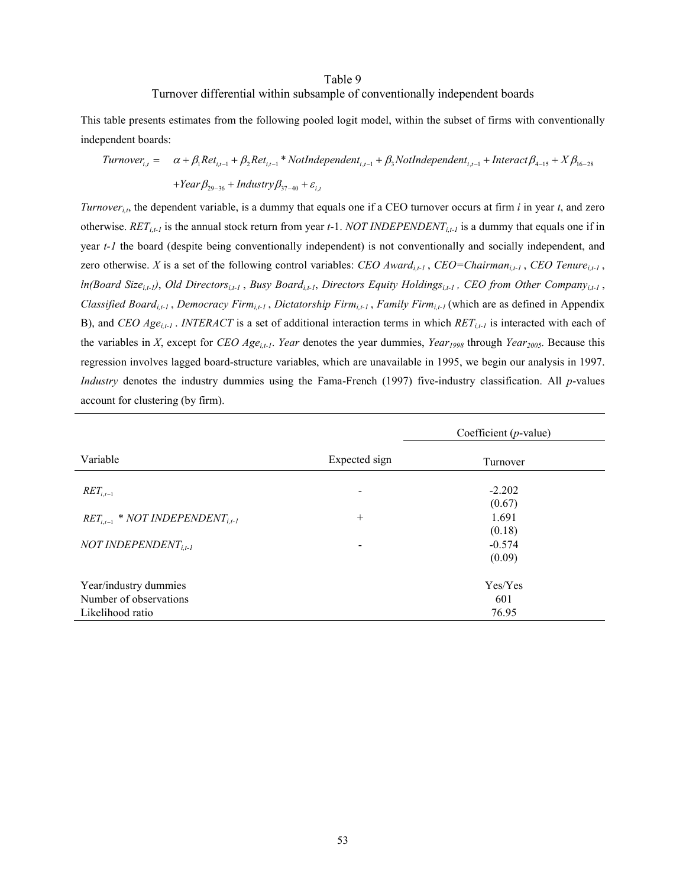## Table 9 Turnover differential within subsample of conventionally independent boards

This table presents estimates from the following pooled logit model, within the subset of firms with conventionally independent boards:

$$
Turnover_{i,t} = \alpha + \beta_1 Ret_{i,t-1} + \beta_2Ret_{i,t-1} * NotIndependent_{i,t-1} + \beta_3 NotIndependent_{i,t-1} + Internet\beta_{4-15} + X\beta_{16-28} + Year\beta_{29-36} + Industry\beta_{37-40} + \varepsilon_{i,t}
$$

*Turnover<sub>i,t</sub>*, the dependent variable, is a dummy that equals one if a CEO turnover occurs at firm *i* in year *t*, and zero otherwise. *RET<sub>i,t-1</sub>* is the annual stock return from year  $t-1$ . *NOT INDEPENDENT<sub>i,t-1</sub>* is a dummy that equals one if in year *t-1* the board (despite being conventionally independent) is not conventionally and socially independent, and zero otherwise. *X* is a set of the following control variables: *CEO Awardi,t-1* , *CEO=Chairmani,t-1* , *CEO Tenurei,t-1* , *ln(Board Sizei,t-1)*, *Old Directorsi,t-1* , *Busy Boardi,t-1*, *Directors Equity Holdingsi,t-1 , CEO from Other Companyi,t-1* , *Classified Boardi,t-1* , *Democracy Firmi,t-1* , *Dictatorship Firmi,t-1* , *Family Firmi,t-1* (which are as defined in Appendix B), and *CEO Agei,t-1* . *INTERACT* is a set of additional interaction terms in which *RETi,t-1* is interacted with each of the variables in *X*, except for *CEO Age<sub>i,t-1</sub>*. *Year* denotes the year dummies, *Year<sub>1998</sub>* through *Year<sub>2005</sub>*. Because this regression involves lagged board-structure variables, which are unavailable in 1995, we begin our analysis in 1997. *Industry* denotes the industry dummies using the Fama-French (1997) five-industry classification. All *p*-values account for clustering (by firm).

|                                                  |               | Coefficient ( $p$ -value) |  |
|--------------------------------------------------|---------------|---------------------------|--|
| Variable                                         | Expected sign | Turnover                  |  |
| $RET_{i,t-1}$                                    |               | $-2.202$<br>(0.67)        |  |
| $RET_{i,t-1}$ * NOT INDEPENDENT <sub>i.t-1</sub> | $^{+}$        | 1.691<br>(0.18)           |  |
| NOT INDEPENDENT $T_{i,t-1}$                      | -             | $-0.574$<br>(0.09)        |  |
| Year/industry dummies                            |               | Yes/Yes                   |  |
| Number of observations                           |               | 601                       |  |
| Likelihood ratio                                 |               | 76.95                     |  |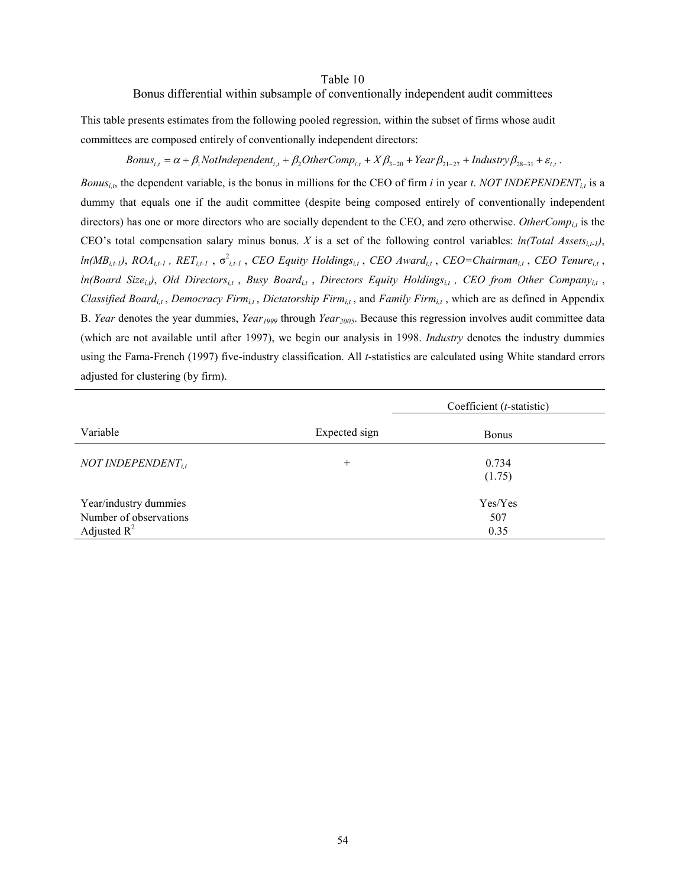#### Table 10

#### Bonus differential within subsample of conventionally independent audit committees

This table presents estimates from the following pooled regression, within the subset of firms whose audit committees are composed entirely of conventionally independent directors:

## $Bonus_{i,t} = \alpha + \beta_1 \text{NotIndependent}_{i,t} + \beta_2 \text{OtherComp}_{i,t} + X\beta_{3-20} + Year\beta_{21-27} + Industry\beta_{28-31} + \varepsilon_{i,t}$ .

*Bonus<sub>i,t</sub>*, the dependent variable, is the bonus in millions for the CEO of firm *i* in year *t*. *NOT INDEPENDENT<sub>i,t</sub>* is a dummy that equals one if the audit committee (despite being composed entirely of conventionally independent directors) has one or more directors who are socially dependent to the CEO, and zero otherwise. *OtherComp<sub>it</sub>* is the CEO's total compensation salary minus bonus. *X* is a set of the following control variables:  $ln(Total Assets_{i,t-1})$ ,  $ln(MB_{i,t})$ ,  $ROA_{i,t-1}$ ,  $RET_{i,t-1}$ ,  $\sigma^2_{i,t-1}$ , *CEO Equity Holdings*<sub>i,t</sub>, *CEO Award*<sub>i,t</sub>, *CEO*=*Chairman*<sub>i,t</sub>, *CEO* Tenure<sub>i,t</sub>, *ln(Board Size<sub>i,t</sub>)*, *Old Directors*<sub>it</sub>, *Busy Board*<sub>it</sub>, *Directors Equity Holdings*<sub>it</sub>, *CEO from Other Company*<sub>it</sub>, *Classified Boardi,t* , *Democracy Firmi,t* , *Dictatorship Firmi,t* , and *Family Firmi,t* , which are as defined in Appendix B. *Year* denotes the year dummies, *Year1999* through *Year2005*. Because this regression involves audit committee data (which are not available until after 1997), we begin our analysis in 1998. *Industry* denotes the industry dummies using the Fama-French (1997) five-industry classification. All *t*-statistics are calculated using White standard errors adjusted for clustering (by firm).

|                                                                   |               | Coefficient $(t\text{-statistic})$ |  |  |
|-------------------------------------------------------------------|---------------|------------------------------------|--|--|
| Variable                                                          | Expected sign | <b>Bonus</b>                       |  |  |
| NOT INDEPENDENT $_{it}$                                           | $^{+}$        | 0.734<br>(1.75)                    |  |  |
| Year/industry dummies<br>Number of observations<br>Adjusted $R^2$ |               | Yes/Yes<br>507<br>0.35             |  |  |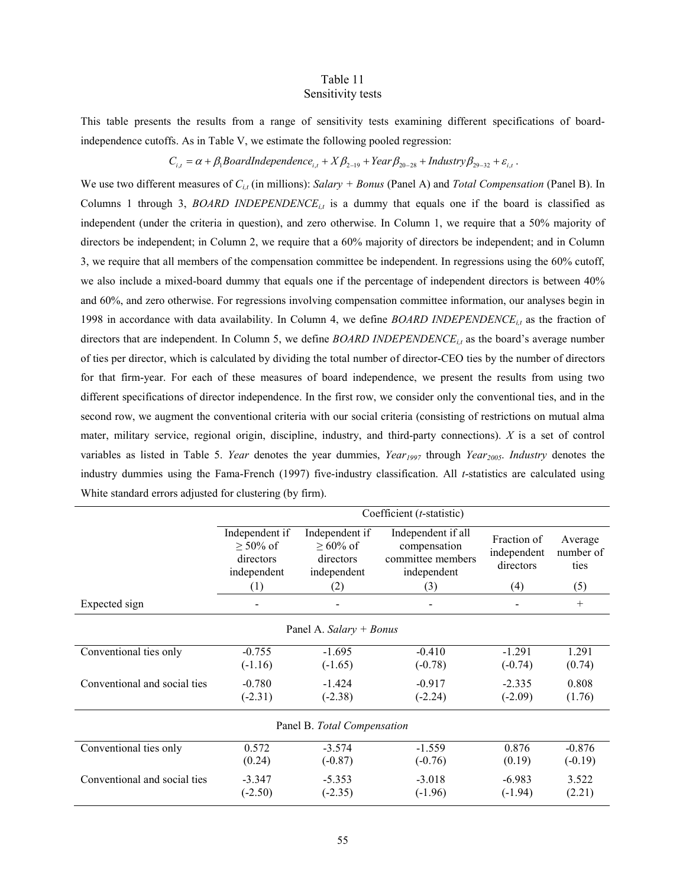## Table 11 Sensitivity tests

This table presents the results from a range of sensitivity tests examining different specifications of boardindependence cutoffs. As in Table V, we estimate the following pooled regression:

$$
C_{i,t} = \alpha + \beta_1 \text{BoardIndependence}_{i,t} + X\beta_{2-19} + \text{Year}\beta_{20-28} + \text{Industry}\beta_{29-32} + \varepsilon_{i,t}.
$$

We use two different measures of  $C_{i,t}$  (in millions): *Salary + Bonus* (Panel A) and *Total Compensation* (Panel B). In Columns 1 through 3, *BOARD INDEPENDENCE<sub>it</sub>* is a dummy that equals one if the board is classified as independent (under the criteria in question), and zero otherwise. In Column 1, we require that a 50% majority of directors be independent; in Column 2, we require that a 60% majority of directors be independent; and in Column 3, we require that all members of the compensation committee be independent. In regressions using the 60% cutoff, we also include a mixed-board dummy that equals one if the percentage of independent directors is between 40% and 60%, and zero otherwise. For regressions involving compensation committee information, our analyses begin in 1998 in accordance with data availability. In Column 4, we define *BOARD INDEPENDENCEi,t* as the fraction of directors that are independent. In Column 5, we define *BOARD INDEPENDENCEi,t* as the board's average number of ties per director, which is calculated by dividing the total number of director-CEO ties by the number of directors for that firm-year. For each of these measures of board independence, we present the results from using two different specifications of director independence. In the first row, we consider only the conventional ties, and in the second row, we augment the conventional criteria with our social criteria (consisting of restrictions on mutual alma mater, military service, regional origin, discipline, industry, and third-party connections). *X* is a set of control variables as listed in Table 5. *Year* denotes the year dummies, *Year<sub>1997</sub>* through *Year<sub>2005</sub>*. *Industry* denotes the industry dummies using the Fama-French (1997) five-industry classification. All *t*-statistics are calculated using White standard errors adjusted for clustering (by firm).

|                              | Coefficient (t-statistic)                                    |                                                          |                                                                        |                                         |                              |
|------------------------------|--------------------------------------------------------------|----------------------------------------------------------|------------------------------------------------------------------------|-----------------------------------------|------------------------------|
|                              | Independent if<br>$\geq 50\%$ of<br>directors<br>independent | Independent if<br>$>60\%$ of<br>directors<br>independent | Independent if all<br>compensation<br>committee members<br>independent | Fraction of<br>independent<br>directors | Average<br>number of<br>ties |
|                              | (1)                                                          | (2)                                                      | (3)                                                                    | (4)                                     | (5)                          |
| Expected sign                |                                                              |                                                          |                                                                        |                                         | $+$                          |
| Panel A. Salary $+$ Bonus    |                                                              |                                                          |                                                                        |                                         |                              |
| Conventional ties only       | $-0.755$<br>$(-1.16)$                                        | $-1.695$<br>$(-1.65)$                                    | $-0.410$<br>$(-0.78)$                                                  | $-1.291$<br>$(-0.74)$                   | 1.291<br>(0.74)              |
| Conventional and social ties | $-0.780$<br>$(-2.31)$                                        | $-1.424$<br>$(-2.38)$                                    | $-0.917$<br>$(-2.24)$                                                  | $-2.335$<br>$(-2.09)$                   | 0.808<br>(1.76)              |
| Panel B. Total Compensation  |                                                              |                                                          |                                                                        |                                         |                              |
| Conventional ties only       | 0.572<br>(0.24)                                              | $-3.574$<br>$(-0.87)$                                    | $-1.559$<br>$(-0.76)$                                                  | 0.876<br>(0.19)                         | $-0.876$<br>$(-0.19)$        |
| Conventional and social ties | $-3.347$<br>$(-2.50)$                                        | $-5.353$<br>$(-2.35)$                                    | $-3.018$<br>$(-1.96)$                                                  | $-6.983$<br>$(-1.94)$                   | 3.522<br>(2.21)              |